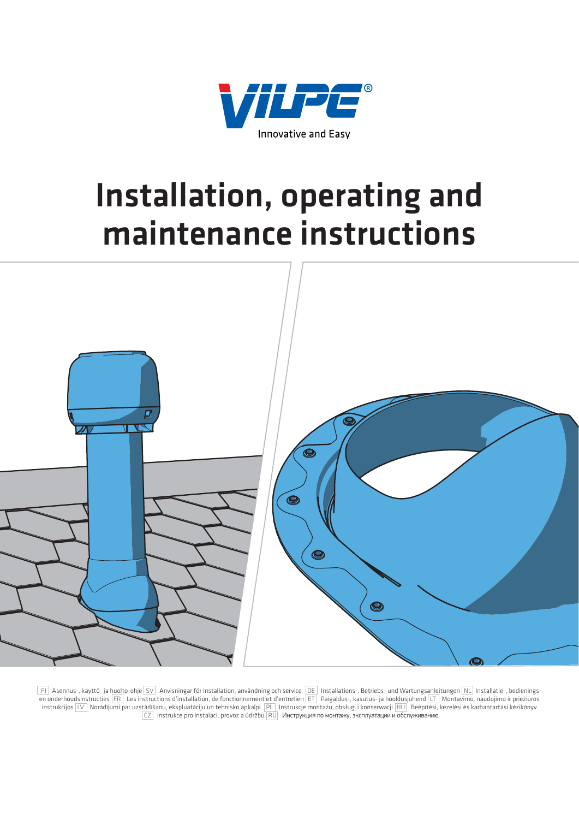

# **Installation, operating and maintenance instructions**



 FI Asennus-, käyttö- ja huolto-ohje SV Anvisningar för installation, användning och service DE Installations-, Betriebs- und Wartungsanleitungen NL Installatie-, bedieningsen onderhoudsinstructies FR Les instructions d'installation, de fonctionnement et d'entretien ET Paigaldus-, kasutus- ja hooldusjuhend LT Montavimo, naudojimo ir priežiūros instrukcijos LV Norādījumi par uzstādīšanu, ekspluatāciju un tehnisko apkalpi PL Instrukcje montażu, obsługi i konserwacji HU Beépítési, kezelési és karbantartási kézikönyv  $\overline{CZ}$  Instrukce pro instalaci, provoz a údržbu  $\overline{RU}$  Инструкция по монтажу, эксплуатации и обслуживанию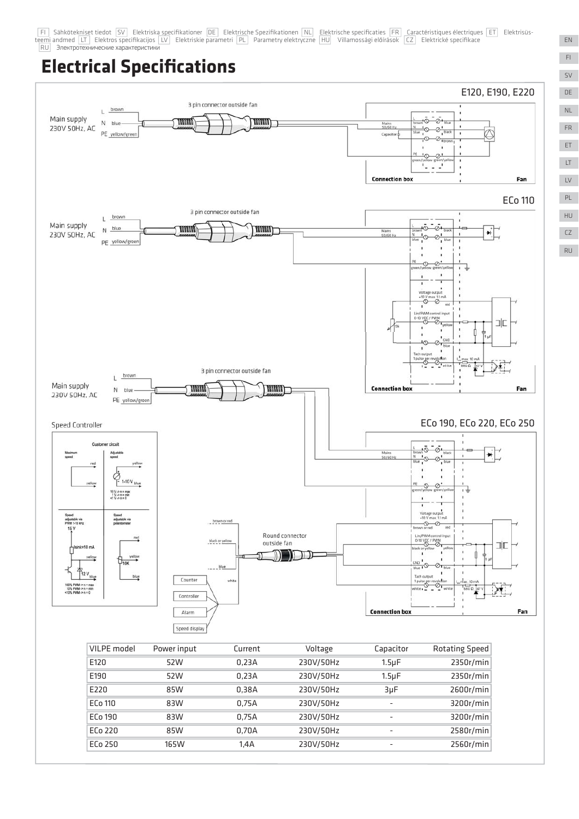FFI Sähkötekniset tiedot SV Elektriska specifikationer DE Elektrische Spezifikationen NL Elektrische specificaties FRI Caractéristiques électriques ETT Elektrisüsteemi andmed LT Elektros specifikacijos LV Elektriskie parametri PL Parametry elektryczne HU Villamossági előírások CZ Elektrické specifikace **RU** Электротехнические характеристики

### **Electrical Specifications**



EN FI SV DE ET FR NL

LT LV

PL

HU CZ RU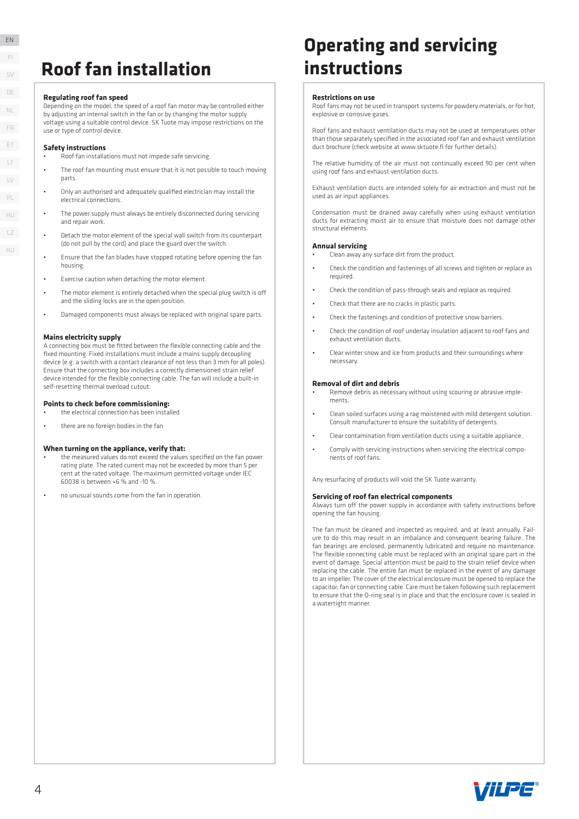### **Roof fan installation**

#### **Regulating roof fan speed**

Depending on the model, the speed of a roof fan motor may be controlled either by adjusting an internal switch in the fan or by changing the motor supply voltage using a suitable control device. SK Tuote may impose restrictions on the use or type of control device.

#### **Safety instructions**

- Roof fan installations must not impede safe servicing.
- The roof fan mounting must ensure that it is not possible to touch moving parts.
- Only an authorised and adequately qualified electrician may install the electrical connections.
- The nower sunnly must always be entirely disconnected during servicing and repair work.
- Detach the motor element of the special wall switch from its counterpart (do not pull by the cord) and place the guard over the switch.
- Ensure that the fan blades have stopped rotating before opening the fan housing.
- Exercise caution when detaching the motor element.
- The motor element is entirely detached when the special plug switch is off and the sliding locks are in the open position.
- Damaged components must always be replaced with original spare parts.

#### **Mains electricity supply**

A connecting box must be fitted between the flexible connecting cable and the fixed mounting. Fixed installations must include a mains supply decoupling device (e.g. a switch with a contact clearance of not less than 3 mm for all poles). Ensure that the connecting box includes a correctly dimensioned strain relief device intended for the flexible connecting cable. The fan will include a built-in self-resetting thermal overload cutout.

#### **Points to check before commissioning:**

- the electrical connection has been installed
- there are no foreign bodies in the fan

#### **When turning on the appliance, verify that:**

- the measured values do not exceed the values specified on the fan power rating plate. The rated current may not be exceeded by more than 5 per cent at the rated voltage. The maximum permitted voltage under IEC 60038 is between +6 % and -10 %.
- no unusual sounds come from the fan in operation.

### **Operating and servicing instructions**

#### **Restrictions on use**

Roof fans may not be used in transport systems for powdery materials, or for hot, explosive or corrosive gases.

Roof fans and exhaust ventilation ducts may not be used at temperatures other than those separately specified in the associated roof fan and exhaust ventilation duct brochure (check website at www.sktuote.fi for further details).

The relative humidity of the air must not continually exceed 90 per cent when using roof fans and exhaust ventilation ducts.

Exhaust ventilation ducts are intended solely for air extraction and must not be used as air input appliances.

Condensation must be drained away carefully when using exhaust ventilation ducts for extracting moist air to ensure that moisture does not damage other structural elements.

#### **Annual servicing**

- Clean away any surface dirt from the product.
- Check the condition and fastenings of all screws and tighten or replace as required.
- Check the condition of pass-through seals and replace as required.
- Check that there are no cracks in plastic parts.
- Check the fastenings and condition of protective snow barriers.
- Check the condition of roof underlay insulation adjacent to roof fans and exhaust ventilation ducts.
- Clear winter snow and ice from products and their surroundings where necessary.

#### **Removal of dirt and debris**

- Remove debris as necessary without using scouring or abrasive implements.
- Clean soiled surfaces using a rag moistened with mild detergent solution. Consult manufacturer to ensure the suitability of detergents.
- Clear contamination from ventilation ducts using a suitable appliance.
- Comply with servicing instructions when servicing the electrical components of roof fans.

Any resurfacing of products will void the SK Tuote warranty.

#### **Servicing of roof fan electrical components**

Always turn off the power supply in accordance with safety instructions before opening the fan housing.

The fan must be cleaned and inspected as required, and at least annually. Failure to do this may result in an imbalance and consequent bearing failure. The fan bearings are enclosed, permanently lubricated and require no maintenance. The flexible connecting cable must be replaced with an original spare part in the event of damage. Special attention must be paid to the strain relief device when replacing the cable. The entire fan must be replaced in the event of any damage to an impeller. The cover of the electrical enclosure must be opened to replace the capacitor, fan or connecting cable. Care must be taken following such replacement to ensure that the O-ring seal is in place and that the enclosure cover is sealed in a watertight manner.



EN EN FI SV DE LT LV ET FR PL NL HU

CZ

RU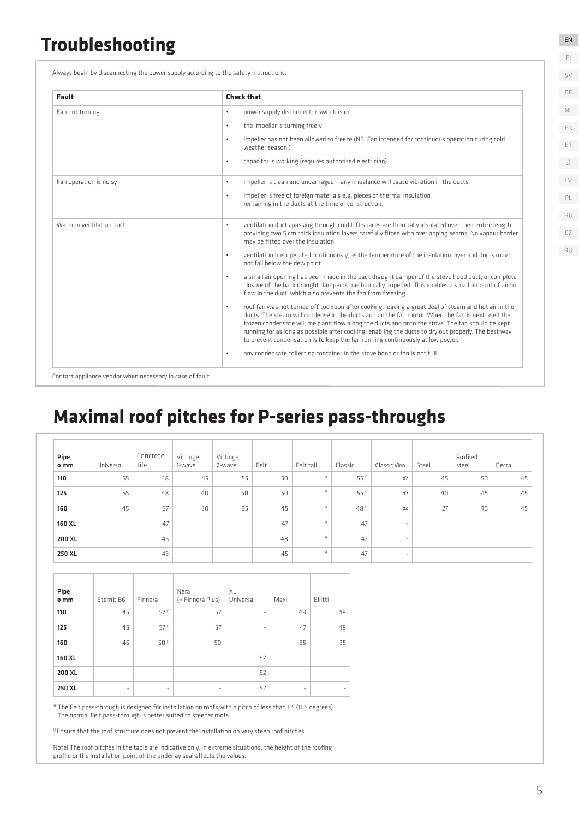### **Troubleshooting**

Always begin by disconnecting the power supply according to the safety instructions.

| Fault                     | <b>Check that</b>                                                                                                                                                                                                                                                                                                                                                                                                                                                                                               |
|---------------------------|-----------------------------------------------------------------------------------------------------------------------------------------------------------------------------------------------------------------------------------------------------------------------------------------------------------------------------------------------------------------------------------------------------------------------------------------------------------------------------------------------------------------|
| Fan not turning           | power supply disconnector switch is on<br>$\bullet$                                                                                                                                                                                                                                                                                                                                                                                                                                                             |
|                           | the impeller is turning freely<br>$\bullet$                                                                                                                                                                                                                                                                                                                                                                                                                                                                     |
|                           | impeller has not been allowed to freeze (NB! Fan intended for continuous operation during cold<br>$\bullet$<br>weather season.)                                                                                                                                                                                                                                                                                                                                                                                 |
|                           | capacitor is working (requires authorised electrician)<br>$\bullet$                                                                                                                                                                                                                                                                                                                                                                                                                                             |
| Fan operation is noisy    | impeller is clean and undamaged - any imbalance will cause vibration in the ducts.<br>$\bullet$                                                                                                                                                                                                                                                                                                                                                                                                                 |
|                           | impeller is free of foreign materials e.g. pieces of thermal insulation<br>$\bullet$<br>remaining in the ducts at the time of construction.                                                                                                                                                                                                                                                                                                                                                                     |
| Water in ventilation duct | ventilation ducts passing through cold loft spaces are thermally insulated over their entire length,<br>$\bullet$<br>providing two 5 cm thick insulation layers carefully fitted with overlapping seams. No vapour barrier<br>may be fitted over the insulation                                                                                                                                                                                                                                                 |
|                           | ventilation has operated continuously, as the temperature of the insulation layer and ducts may<br>$\bullet$<br>not fall below the dew point.                                                                                                                                                                                                                                                                                                                                                                   |
|                           | a small air opening has been made in the back draught damper of the stove hood duct, or complete<br>$\bullet$<br>closure of the back draught damper is mechanically impeded. This enables a small amount of air to<br>flow in the duct, which also prevents the fan from freezing.                                                                                                                                                                                                                              |
|                           | roof fan was not turned off too soon after cooking, leaving a great deal of steam and hot air in the<br>$\bullet$<br>ducts. The steam will condense in the ducts and on the fan motor. When the fan is next used the<br>frozen condensate will melt and flow along the ducts and onto the stove. The fan should be kept<br>running for as long as possible after cooking, enabling the ducts to dry out properly. The best way<br>to prevent condensation is to keep the fan running continuously at low power. |
|                           | any condensate collecting container in the stove hood or fan is not full.<br>$\bullet$                                                                                                                                                                                                                                                                                                                                                                                                                          |

### **Maximal roof pitches for P-series pass-throughs**

| Pipe<br>ø mm | Universal                | Concrete<br>tile | Vittinge<br>1-wave       | Vittinge<br>2-wave       | Felt | Felt tall                       | Classic | Classic Vino             | Steel                    | Profiled<br>steel        | Decra                    |
|--------------|--------------------------|------------------|--------------------------|--------------------------|------|---------------------------------|---------|--------------------------|--------------------------|--------------------------|--------------------------|
| 110          | 55                       | 48               | 45                       | 55                       | 50   | $\ast$                          | 55 (1   | 57                       | 45                       | 50                       | 45                       |
| 125          | 55                       | 48               | 40                       | 50                       | 50   | $\frac{1}{2}$                   | 55 (1   | 57                       | 40                       | 45                       | 45                       |
| 160          | 45                       | 37               | 30                       | 35                       | 45   | $\ast$                          | 48 (1   | 52                       | 27                       | 40                       | 45                       |
| 160 XL       | $\sim$                   | 47               | $\overline{\phantom{a}}$ | $\sim$                   | 47   | $\frac{M}{N}$                   | 47      | $\overline{\phantom{a}}$ | $\overline{\phantom{a}}$ | $\overline{\phantom{a}}$ | $\sim$                   |
| 200 XL       | $\overline{\phantom{a}}$ | 45               | $\overline{\phantom{a}}$ | $\overline{\phantom{a}}$ | 48   | $\frac{M}{2}$                   | 47      | $\overline{\phantom{a}}$ | $\overline{\phantom{a}}$ | $\overline{\phantom{a}}$ | $\overline{\phantom{a}}$ |
| 250 XL       | $\sim$                   | 43               | $\overline{\phantom{a}}$ | $\sim$                   | 45   | $\frac{\partial f}{\partial t}$ | 47      | $\overline{\phantom{a}}$ | $\overline{\phantom{a}}$ | $\sim$                   | $\sim$                   |

| Pipe   |                          |                     | Nera                     | XL                       |                          |         |
|--------|--------------------------|---------------------|--------------------------|--------------------------|--------------------------|---------|
| ø mm   | Eternit B6               | Finnera             | (= Finnera Plus)         | Universal                | Maxi                     | Eliitti |
| 110    | 45                       | 57 (1               | 57                       | $\overline{\phantom{a}}$ | 48                       | 48      |
| 125    | 45                       | 57 (1               | 57                       | $\overline{\phantom{m}}$ | 47                       | 48      |
| 160    | 45                       | 50 (1               | 50                       | $\overline{\phantom{a}}$ | 35                       | 35      |
| 160 XL | $\bar{\phantom{a}}$      | $\bar{\phantom{a}}$ | $\overline{\phantom{0}}$ | 52                       | $\overline{\phantom{m}}$ |         |
| 200 XL | ٠                        | -                   | $\overline{\phantom{a}}$ | 52                       | ٠                        |         |
| 250 XL | $\overline{\phantom{a}}$ | ۰                   | $\overline{\phantom{a}}$ | 52                       | ۰                        | ۰       |

\* The Felt pass-through is designed for installation on roofs with a pitch of less than 1:5 (11.5 degrees). The normal Felt pass-through is better suited to steeper roofs.

<sup>(1</sup> Ensure that the roof structure does not prevent the installation on very steep roof pitches.

Note! The roof pitches in the table are indicative only. In extreme situations, the height of the roofing profile or the installation point of the underlay seal affects the values.

EN FI

SV DE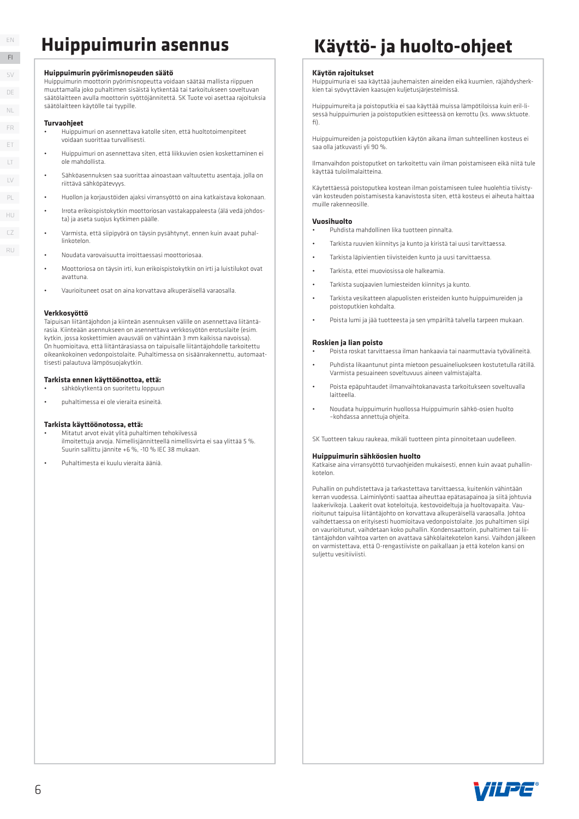#### **Huippuimurin pyörimisnopeuden säätö**

Huippuimurin moottorin pyörimisnopeutta voidaan säätää mallista riippuen muuttamalla joko puhaltimen sisäistä kytkentää tai tarkoitukseen soveltuvan säätölaitteen avulla moottorin syöttöjännitettä. SK Tuote voi asettaa rajoituksia säätölaitteen käytölle tai tyypille.

#### **Turvaohjeet**

- Huippuimuri on asennettava katolle siten, että huoltotoimenpiteet voidaan suorittaa turvallisesti.
- Huippuimuri on asennettava siten, että liikkuvien osien koskettaminen ei ole mahdollista.
- Sähköasennuksen saa suorittaa ainoastaan valtuutettu asentaja, jolla on riittävä sähköpätevyys.
- Huollon ja korjaustöiden ajaksi virransyöttö on aina katkaistava kokonaan.
- Irrota erikoispistokytkin moottoriosan vastakappaleesta (älä vedä johdosta) ja aseta suojus kytkimen päälle.
- Varmista, että siipipyörä on täysin pysähtynyt, ennen kuin avaat puhallinkotelon.
- Noudata varovaisuutta irroittaessasi moottoriosaa.
- Moottoriosa on täysin irti, kun erikoispistokytkin on irti ja luistilukot ovat avattuna.
- Vaurioituneet osat on aina korvattava alkuperäisellä varaosalla.

#### **Verkkosyöttö**

Taipuisan liitäntäjohdon ja kiinteän asennuksen välille on asennettava liitäntärasia. Kiinteään asennukseen on asennettava verkkosyötön erotuslaite (esim. kytkin, jossa koskettimien avausväli on vähintään 3 mm kaikissa navoissa). On huomioitava, että liitäntärasiassa on taipuisalle liitäntäjohdolle tarkoitettu oikeankokoinen vedonpoistolaite. Puhaltimessa on sisäänrakennettu, automaattisesti palautuva lämpösuojakytkin.

#### **Tarkista ennen käyttöönottoa, että:**

- sähkökytkentä on suoritettu loppuun
- puhaltimessa ei ole vieraita esineitä.

#### **Tarkista käyttöönotossa, että:**

- Mitatut arvot eivät ylitä puhaltimen tehokilvessä ilmoitettuja arvoja. Nimellisjännitteellä nimellisvirta ei saa ylittää 5 %. Suurin sallittu jännite +6 %, -10 % IEC 38 mukaan.
- Puhaltimesta ei kuulu vieraita ääniä.

### **Huippuimurin asennus Käyttö- ja huolto-ohjeet**

#### **Käytön rajoitukset**

Huippuimuria ei saa käyttää jauhemaisten aineiden eikä kuumien, räjähdysherkkien tai syövyttävien kaasujen kuljetusjärjestelmissä.

Huippuimureita ja poistoputkia ei saa käyttää muissa lämpötiloissa kuin eril-lisessä huippuimurien ja poistoputkien esitteessä on kerrottu (ks. www.sktuote. fi).

Huippuimureiden ja poistoputkien käytön aikana ilman suhteellinen kosteus ei saa olla jatkuvasti yli 90 %.

Ilmanvaihdon poistoputket on tarkoitettu vain ilman poistamiseen eikä niitä tule käyttää tuloilmalaitteina.

Käytettäessä poistoputkea kostean ilman poistamiseen tulee huolehtia tiivistyvän kosteuden poistamisesta kanavistosta siten, että kosteus ei aiheuta haittaa muille rakenneosille.

#### **Vuosihuolto**

- Puhdista mahdollinen lika tuotteen pinnalta.
- Tarkista ruuvien kiinnitys ja kunto ja kiristä tai uusi tarvittaessa.
- Tarkista läpivientien tiivisteiden kunto ja uusi tarvittaessa.
- Tarkista, ettei muoviosissa ole halkeamia.
- Tarkista suojaavien lumiesteiden kiinnitys ja kunto.
- Tarkista vesikatteen alapuolisten eristeiden kunto huippuimureiden ja poistoputkien kohdalta.
- Poista lumi ja jää tuotteesta ja sen ympäriltä talvella tarpeen mukaan.

#### **Roskien ja lian poisto**

- Poista roskat tarvittaessa ilman hankaavia tai naarmuttavia työvälineitä.
- Puhdista likaantunut pinta mietoon pesuaineliuokseen kostutetulla rätillä. Varmista pesuaineen soveltuvuus aineen valmistajalta.
- Poista epäpuhtaudet ilmanvaihtokanavasta tarkoitukseen soveltuvalla laitteella.
- Noudata huippuimurin huollossa Huippuimurin sähkö-osien huolto –kohdassa annettuja ohjeita.

SK Tuotteen takuu raukeaa, mikäli tuotteen pinta pinnoitetaan uudelleen.

#### **Huippuimurin sähköosien huolto**

Katkaise aina virransyöttö turvaohjeiden mukaisesti, ennen kuin avaat puhallinkotelon.

Puhallin on puhdistettava ja tarkastettava tarvittaessa, kuitenkin vähintään kerran vuodessa. Laiminlyönti saattaa aiheuttaa epätasapainoa ja siitä johtuvia laakerivikoja. Laakerit ovat koteloituja, kestovoideltuja ja huoltovapaita. Vaurioitunut taipuisa liitäntäjohto on korvattava alkuperäisellä varaosalla. Johtoa vaihdettaessa on erityisesti huomioitava vedonpoistolaite. Jos puhaltimen siipi on vaurioitunut, vaihdetaan koko puhallin. Kondensaattorin, puhaltimen tai liitäntäjohdon vaihtoa varten on avattava sähkölaitekotelon kansi. Vaihdon jälkeen on varmistettava, että O-rengastiiviste on paikallaan ja että kotelon kansi on suljettu vesitiiviisti.



DE LT LV ET FR PL NL HU CZ

RU

EN FI  $\zeta \setminus$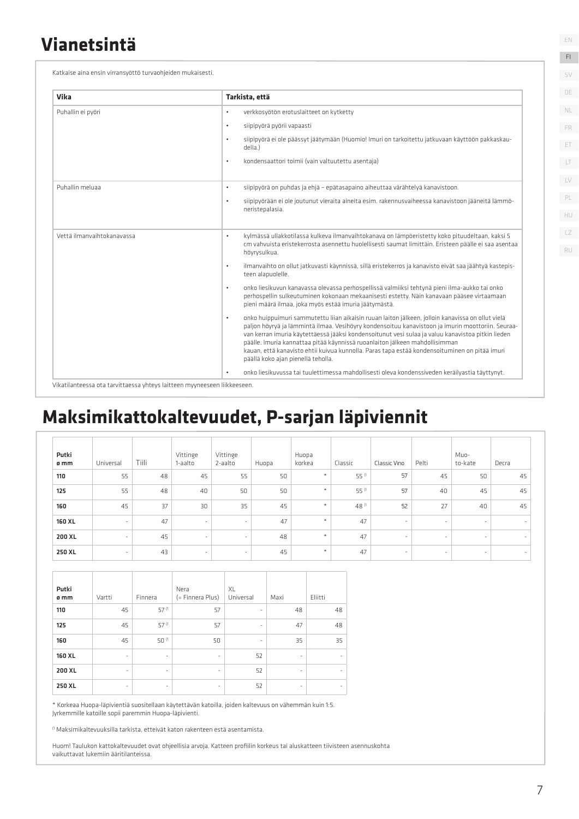### **Vianetsintä**

Katkaise aina ensin virransyöttö turvaohjeiden mukaisesti.

| Vika                       | Tarkista, että                                                                                                                                                                                                                                                                                                                                                                                                                                                                                                                                 |
|----------------------------|------------------------------------------------------------------------------------------------------------------------------------------------------------------------------------------------------------------------------------------------------------------------------------------------------------------------------------------------------------------------------------------------------------------------------------------------------------------------------------------------------------------------------------------------|
| Puhallin ei pyöri          | verkkosyötön erotuslaitteet on kytketty<br>$\bullet$                                                                                                                                                                                                                                                                                                                                                                                                                                                                                           |
|                            | siipipyörä pyörii vapaasti<br>$\bullet$                                                                                                                                                                                                                                                                                                                                                                                                                                                                                                        |
|                            | siipipyörä ei ole päässyt jäätymään (Huomio! Imuri on tarkoitettu jatkuvaan käyttöön pakkaskau-<br>$\bullet$<br>della.)                                                                                                                                                                                                                                                                                                                                                                                                                        |
|                            | kondensaattori toimii (vain valtuutettu asentaja)<br>$\bullet$                                                                                                                                                                                                                                                                                                                                                                                                                                                                                 |
| Puhallin meluaa            | siipipyörä on puhdas ja ehjä - epätasapaino aiheuttaa värähtelyä kanavistoon.<br>$\bullet$                                                                                                                                                                                                                                                                                                                                                                                                                                                     |
|                            | siipipyörään ei ole joutunut vieraita aineita esim. rakennusvaiheessa kanavistoon jääneitä lämmö-<br>$\bullet$<br>neristepalasia.                                                                                                                                                                                                                                                                                                                                                                                                              |
| Vettä ilmanvaihtokanavassa | kylmässä ullakkotilassa kulkeva ilmanvaihtokanava on lämpöeristetty koko pituudeltaan, kaksi 5<br>$\bullet$<br>cm vahvuista eristekerrosta asennettu huolellisesti saumat limittäin. Eristeen päälle ei saa asentaa<br>höyrysulkua.                                                                                                                                                                                                                                                                                                            |
|                            | ilmanvaihto on ollut jatkuvasti käynnissä, sillä eristekerros ja kanavisto eivät saa jäähtyä kastepis-<br>$\bullet$<br>teen alapuolelle.                                                                                                                                                                                                                                                                                                                                                                                                       |
|                            | onko liesikuvun kanavassa olevassa perhospellissä valmiiksi tehtynä pieni ilma-aukko tai onko<br>$\bullet$<br>perhospellin sulkeutuminen kokonaan mekaanisesti estetty. Näin kanavaan pääsee virtaamaan<br>pieni määrä ilmaa, joka myös estää imuria jäätymästä.                                                                                                                                                                                                                                                                               |
|                            | onko huippuimuri sammutettu liian aikaisin ruuan laiton jälkeen, jolloin kanavissa on ollut vielä<br>$\bullet$<br>paljon höyryä ja lämmintä ilmaa. Vesihöyry kondensoituu kanavistoon ja imurin moottoriin. Seuraa-<br>van kerran imuria käytettäessä jääksi kondensoitunut vesi sulaa ja valuu kanavistoa pitkin lieden<br>päälle. Imuria kannattaa pitää käynnissä ruoanlaiton jälkeen mahdollisimman<br>kauan, että kanavisto ehtii kuivua kunnolla. Paras tapa estää kondensoituminen on pitää imuri<br>päällä koko ajan pienellä teholla. |
|                            | onko liesikuvussa tai tuulettimessa mahdollisesti oleva kondenssiveden keräilvastia täyttynyt.<br>$\bullet$                                                                                                                                                                                                                                                                                                                                                                                                                                    |

## **Maksimikattokaltevuudet, P-sarjan läpiviennit**

| Putki<br>ø mm | Universal | Tiili | Vittinge<br>1-aalto | Vittinge<br>2-aalto | Huopa | Huopa<br>korkea | Classic | Classic Vino             | Pelti                    | Muo-<br>to-kate | Decra  |
|---------------|-----------|-------|---------------------|---------------------|-------|-----------------|---------|--------------------------|--------------------------|-----------------|--------|
| 110           | 55        | 48    | 45                  | 55                  | 50    | $\ast$          | 55 (1   | 57                       | 45                       | 50              | 45     |
| 125           | 55        | 48    | 40                  | 50                  | 50    | $\ast$          | 55 (1   | 57                       | 40                       | 45              | 45     |
| 160           | 45        | 37    | 30                  | 35                  | 45    | $\ast$          | 48 (1   | 52                       | 27                       | 40              | 45     |
| 160 XL        | $\sim$    | 47    | $\sim$              | $\sim$              | 47    | $\ast$          | 47      | $\overline{\phantom{a}}$ | $\overline{\phantom{a}}$ | $\sim$          | ۰      |
| 200 XL        | $\sim$    | 45    | $\sim$              | $\sim$              | 48    | $\ast$          | 47      | $\overline{\phantom{a}}$ | $\sim$                   | $\sim$          | $\sim$ |
| 250 XL        | ۰         | 43    | $\sim$              | $\sim$              | 45    | $\ast$          | 47      | $\overline{\phantom{a}}$ | $\overline{\phantom{0}}$ | $\sim$          | ۰      |

| Putki  |                          |                          | Nera                     | XL                       |      |         |
|--------|--------------------------|--------------------------|--------------------------|--------------------------|------|---------|
| ø mm   | Vartti                   | Finnera                  | (= Finnera Plus)         | Universal                | Maxi | Eliitti |
| 110    | 45                       | 57 (1                    | 57                       | $\overline{\phantom{m}}$ | 48   | 48      |
| 125    | 45                       | 57 (1                    | 57                       | $\overline{\phantom{m}}$ | 47   | 48      |
| 160    | 45                       | 50 (1                    | 50                       | $\overline{\phantom{m}}$ | 35   | 35      |
| 160 XL | $\overline{\phantom{a}}$ | ٠                        | $\overline{\phantom{a}}$ | 52                       | ٠    |         |
| 200 XL | $\overline{\phantom{a}}$ | $\overline{\phantom{a}}$ | $\overline{\phantom{a}}$ | 52                       | ۰    |         |
| 250 XL | $\overline{\phantom{a}}$ | ۰                        | $\overline{\phantom{a}}$ | 52                       | ۰    |         |

\* Korkeaa Huopa-läpivientiä suositellaan käytettävän katoilla, joiden kaltevuus on vähemmän kuin 1:5. Jyrkemmille katoille sopii paremmin Huopa-läpivienti.

<sup>(1</sup> Maksimikaltevuuksilla tarkista, etteivät katon rakenteen estä asentamista.

Huom! Taulukon kattokaltevuudet ovat ohjeellisia arvoja. Katteen profiilin korkeus tai aluskatteen tiivisteen asennuskohta vaikuttavat lukemiin ääritilanteissa.

EN FI

SV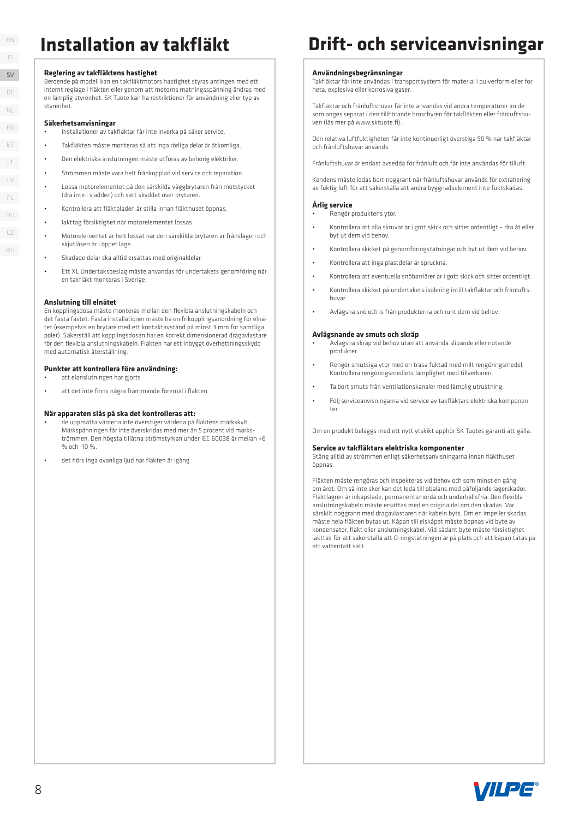#### **Reglering av takfl äktens hastighet**

Beroende på modell kan en takfl äktmotors hastighet styras antingen med ett internt reglage i fläkten eller genom att motorns matningsspänning ändras med en lämplig styrenhet. SK Tuote kan ha restriktioner för användning eller typ av styrenhet.

#### **Säkerhetsanvisningar**

- Installationer av takfl äktar får inte inverka på säker service.
- Takfl äkten måste monteras så att inga rörliga delar är åtkomliga.
- Den elektriska anslutningen måste utföras av behörig elektriker.
- Strömmen måste vara helt frånkopplad vid service och reparation.
- Lossa motorelementet på den särskilda väggbrytaren från motstycket (dra inte i sladden) och sätt skyddet över brytaren.
- Kontrollera att fl äktbladen är stilla innan fl äkthuset öppnas.
- Iakttag försiktighet när motorelementet lossas.
- Motorelementet är helt lossat när den särskilda brytaren är frånslagen och skjutlåsen är i önnet läge
- Skadade delar ska alltid ersättas med originaldelar.
- Ett XL Undertaksbeslag måste anvandas för undertakets genomföring när en takfläkt monteras i Sverige.

#### **Anslutning till elnätet**

En kopplingsdosa måste monteras mellan den flexibla anslutningskabeln och det fasta fästet. Fasta installationer måste ha en frikopplingsanordning för elnätet (exempelvis en brytare med ett kontaktavstånd på minst 3 mm för samtliga poler). Säkerställ att kopplingsdosan har en korrekt dimensionerad dragavlastare för den flexibla anslutningskabeln. Fläkten har ett inbyggt överhettningsskydd med automatisk återställning.

#### **Punkter att kontrollera före användning:**

- att elanslutningen har gjorts
- att det inte finns några främmande föremål i fläkten

#### **När apparaten slås på ska det kontrolleras att:**

- de uppmätta värdena inte överstiger värdena på fl äktens märkskylt. Märkspänningen får inte överskridas med mer än 5 procent vid märkströmmen. Den högsta tillåtna strömstyrkan under IEC 60038 är mellan +6 % och -10 %
- det hörs inga ovanliga ljud när fläkten är jgång.

### **Installation av takfläkt beiter Drift- och serviceanvisningar**

#### **Användningsbegränsningar**

Takfl äktar får inte användas i transportsystem för material i pulverform eller för heta, explosiva eller korrosiva gaser.

Takfläktar och frånluftshuvar får inte användas vid andra temperaturer än de som anges separat i den tillhörande broschyren för takfläkten eller frånluftshuven (läs mer på www.sktuote.fi).

Den relativa luftfuktigheten får inte kontinuerligt överstiga 90 % när takfläktar och frånluftshuvar används.

Frånluftshuvar är endast avsedda för frånluft och får inte användas för tilluft.

Kondens måste ledas bort noggrant när frånluftshuvar används för extrahering av fuktig luft för att säkerställa att andra byggnadselement inte fuktskadas.

#### **Årlig service**

• Rengör produktens ytor.

- Kontrollera att alla skruvar är i gott skick och sitter ordentligt dra åt eller byt ut dem vid behov.
- Kontrollera skicket på genomföringstätningar och byt ut dem vid behov.
- Kontrollera att inga plastdelar är spruckna.
- Kontrollera att eventuella snöbarriärer är i gott skick och sitter ordentligt.
- Kontrollera skicket på undertakets isolering intill takfl äktar och frånluftshuvar.
- Avlägsna snö och is från produkterna och runt dem vid behov.

#### **Avlägsnande av smuts och skräp**

- Avlägsna skräp vid behov utan att använda slipande eller nötande produkter.
- Rengör smutsiga ytor med en trasa fuktad med milt rengöringsmedel. Kontrollera rengöringsmedlets lämplighet med tillverkaren.
- Ta bort smuts från ventilationskanaler med lämplig utrustning.
- Följ serviceanvisningarna vid service av takfl äktars elektriska komponenter.

Om en produkt beläggs med ett nytt ytskikt upphör SK Tuotes garanti att gälla.

#### **Service av takfl äktars elektriska komponenter**

Stäng alltid av strömmen enligt säkerhetsanvisningarna innan fläkthuset öppnas.

Fläkten måste rengöras och inspekteras vid behov och som minst en gång om året. Om så inte sker kan det leda till obalans med påföljande lagerskador. Fläktlagren är inkapslade, permanentsmorda och underhållsfria. Den flexibla anslutningskabeln måste ersättas med en originaldel om den skadas. Var särskilt noggrann med dragavlastaren när kabeln byts. Om en impeller skadas måste hela fläkten bytas ut. Kåpan till elskåpet måste öppnas vid byte av kondensator, fl äkt eller anslutningskabel. Vid sådant byte måste försiktighet iakttas för att säkerställa att O-ringstätningen är på plats och att kåpan tätas på ett vattentätt sätt.



SV DE LT LV ET FR PL NL HU CZ RU

EN FI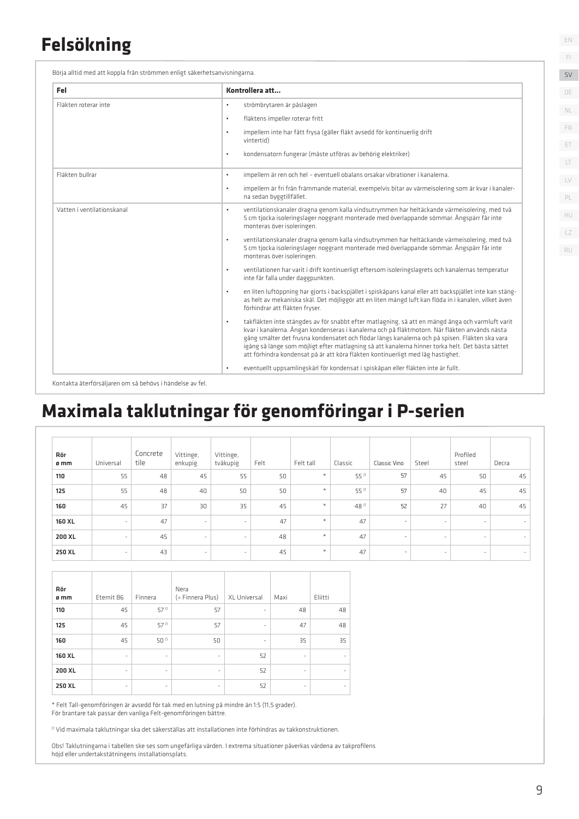### **Felsökning**

Börja alltid med att koppla från strömmen enligt säkerhetsanvisningarna.

| Fel                        | Kontrollera att                                                                                                                                                                                                                                                                                                                                                                                                                                                                                         |
|----------------------------|---------------------------------------------------------------------------------------------------------------------------------------------------------------------------------------------------------------------------------------------------------------------------------------------------------------------------------------------------------------------------------------------------------------------------------------------------------------------------------------------------------|
| Fläkten roterar inte       | strömbrytaren är påslagen<br>$\bullet$                                                                                                                                                                                                                                                                                                                                                                                                                                                                  |
|                            | fläktens impeller roterar fritt<br>$\bullet$                                                                                                                                                                                                                                                                                                                                                                                                                                                            |
|                            | impellern inte har fått frysa (gäller fläkt avsedd för kontinuerlig drift<br>$\bullet$<br>vintertid)                                                                                                                                                                                                                                                                                                                                                                                                    |
|                            | kondensatorn fungerar (måste utföras av behörig elektriker)<br>$\bullet$                                                                                                                                                                                                                                                                                                                                                                                                                                |
| Fläkten bullrar            | impellern är ren och hel - eventuell obalans orsakar vibrationer i kanalerna.<br>$\bullet$                                                                                                                                                                                                                                                                                                                                                                                                              |
|                            | impellern är fri från främmande material, exempelvis bitar av värmeisolering som är kvar i kanaler-<br>$\bullet$<br>na sedan byggtillfället.                                                                                                                                                                                                                                                                                                                                                            |
| Vatten i ventilationskanal | ventilationskanaler dragna genom kalla vindsutrymmen har heltäckande värmeisolering, med två<br>$\bullet$<br>5 cm tjocka isoleringslager noggrant monterade med överlappande sömmar. Ångspärr får inte<br>monteras över isoleringen.                                                                                                                                                                                                                                                                    |
|                            | ventilationskanaler dragna genom kalla vindsutrymmen har heltäckande värmeisolering, med två<br>$\bullet$<br>5 cm tjocka isoleringslager noggrant monterade med överlappande sömmar. Ångspärr får inte<br>monteras över isoleringen.                                                                                                                                                                                                                                                                    |
|                            | ventilationen har varit i drift kontinuerligt eftersom isoleringslagrets och kanalernas temperatur<br>$\bullet$<br>inte får falla under daggpunkten.                                                                                                                                                                                                                                                                                                                                                    |
|                            | en liten luftöppning har gjorts i backspjället i spiskåpans kanal eller att backspjället inte kan stäng-<br>$\bullet$<br>as helt av mekaniska skäl. Det möjliggör att en liten mängd luft kan flöda in i kanalen, vilket även<br>förhindrar att fläkten fryser.                                                                                                                                                                                                                                         |
|                            | takfläkten inte stängdes av för snabbt efter matlagning, så att en mängd ånga och varmluft varit<br>$\bullet$<br>kvar i kanalerna. Ångan kondenseras i kanalerna och på fläktmotorn. När fläkten används nästa<br>gång smälter det frusna kondensatet och flödar längs kanalerna och på spisen. Fläkten ska vara<br>igång så länge som möjligt efter matlagning så att kanalerna hinner torka helt. Det bästa sättet<br>att förhindra kondensat på är att köra fläkten kontinuerligt med låg hastighet. |
|                            | eventuellt uppsamlingskärl för kondensat i spiskåpan eller fläkten inte är fullt.<br>$\bullet$                                                                                                                                                                                                                                                                                                                                                                                                          |

Kontakta återförsäljaren om så behövs i händelse av fel.

### **Maximala taklutningar för genomföringar i P-serien**

| Rör<br>ø mm | Universal                | Concrete<br>tile | Vittinge,<br>enkupig | Vittinge,<br>tvåkupig | Felt | Felt tall                                           | Classic | Classic Vino             | Steel  | Profiled<br>steel | Decra                    |
|-------------|--------------------------|------------------|----------------------|-----------------------|------|-----------------------------------------------------|---------|--------------------------|--------|-------------------|--------------------------|
| 110         | 55                       | 48               | 45                   | 55                    | 50   | $\frac{1}{2}$                                       | 55 (1   | 57                       | 45     | 50                | 45                       |
| 125         | 55                       | 48               | 40                   | 50                    | 50   | $\frac{\partial \mathcal{L}}{\partial \mathcal{L}}$ | 55 (1   | 57                       | 40     | 45                | 45                       |
| 160         | 45                       | 37               | 30                   | 35                    | 45   | $\frac{\partial \mathcal{L}}{\partial \mathcal{L}}$ | 48 (1   | 52                       | 27     | 40                | 45                       |
| 160 XL      | $\overline{\phantom{a}}$ | 47               | $\sim$               | $\sim$                | 47   | $\frac{1}{\sqrt{2}}$                                | 47      | $\overline{\phantom{a}}$ | $\sim$ | $\sim$            | $\sim$                   |
| 200 XL      | $\sim$                   | 45               | $\sim$               | $\sim$                | 48   | $\frac{M}{N}$                                       | 47      | $\overline{\phantom{a}}$ | $\sim$ | $\sim$            | $\sim$                   |
| 250 XL      | $\sim$                   | 43               | $\sim$               | $\sim$                | 45   | $\frac{1}{\sqrt{2}}$                                | 47      | $\sim$                   | $\sim$ | $\sim$            | $\overline{\phantom{a}}$ |

| Rör<br>ø mm | Eternit B6               | Finnera                  | Nera<br>(= Finnera Plus) | XL Universal      | Maxi                     | Eliitti |
|-------------|--------------------------|--------------------------|--------------------------|-------------------|--------------------------|---------|
| 110         | 45                       | 57 (1                    | 57                       | $\qquad \qquad -$ | 48                       | 48      |
| 125         | 45                       | 57 (1                    | 57                       | -                 | 47                       | 48      |
| 160         | 45                       | 50 (1                    | 50                       | ٠                 | 35                       | 35      |
| 160 XL      | $\overline{\phantom{a}}$ | $\overline{\phantom{a}}$ | $\overline{\phantom{a}}$ | 52                | $\overline{\phantom{a}}$ |         |
| 200 XL      | $\overline{\phantom{a}}$ | $\overline{\phantom{a}}$ | $\overline{\phantom{a}}$ | 52                | $\overline{\phantom{a}}$ |         |
| 250 XL      | ٠                        | ٠                        | ۰                        | 52                | ٠                        |         |

\* Felt Tall-genomföringen är avsedd för tak med en lutning på mindre än 1:5 (11,5 grader). För brantare tak passar den vanliga Felt-genomföringen bättre.

(1 Vid maximala taklutningar ska det säkerställas att installationen inte förhindras av takkonstruktionen.

Obs! Taklutningarna i tabellen ske ses som ungefärliga värden. I extrema situationer påverkas värdena av takprofilens höjd eller undertakstätningens installationsplats.

EN FI

SV DE

PL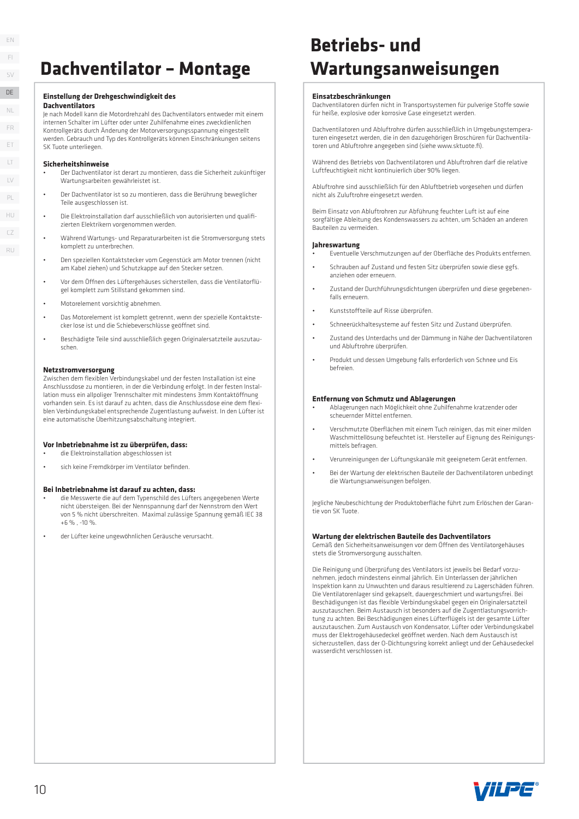### **Dachventilator – Montage**

#### **Einstellung der Drehgeschwindigkeit des**

#### **Dachventilators**

Je nach Modell kann die Motordrehzahl des Dachventilators entweder mit einem internen Schalter im Lüfter oder unter Zuhilfenahme eines zweckdienlichen Kontrollgeräts durch Änderung der Motorversorgungsspannung eingestellt werden. Gebrauch und Typ des Kontrollgeräts können Einschränkungen seitens SK Tuote unterliegen.

#### **Sicherheitshinweise**

- Der Dachventilator ist derart zu montieren, dass die Sicherheit zukünftiger Wartungsarbeiten gewährleistet ist.
- Der Dachventilator ist so zu montieren, dass die Berührung beweglicher Teile ausgeschlossen ist.
- Die Elektroinstallation darf ausschließlich von autorisierten und qualifi zierten Elektrikern vorgenommen werden.
- Während Wartungs- und Reparaturarbeiten ist die Stromversorgung stets komplett zu unterbrechen.
- Den speziellen Kontaktstecker vom Gegenstück am Motor trennen (nicht am Kabel ziehen) und Schutzkappe auf den Stecker setzen.
- Vor dem Öff nen des Lüftergehäuses sicherstellen, dass die Ventilatorfl ügel komplett zum Stillstand gekommen sind.
- Motorelement vorsichtig abnehmen.
- Das Motorelement ist komplett getrennt, wenn der spezielle Kontaktstecker lose ist und die Schiebeverschlüsse geöffnet sind.
- Beschädigte Teile sind ausschließlich gegen Originalersatzteile auszutauschen.

#### **Netzstromversorgung**

Zwischen dem flexiblen Verbindungskabel und der festen Installation ist eine Anschlussdose zu montieren, in der die Verbindung erfolgt. In der festen Installation muss ein allpoliger Trennschalter mit mindestens 3mm Kontaktöffnung vorhanden sein. Es ist darauf zu achten, dass die Anschlussdose eine dem flexiblen Verbindungskabel entsprechende Zugentlastung aufweist. In den Lüfter ist eine automatische Überhitzungsabschaltung integriert.

#### **Vor Inbetriebnahme ist zu überprüfen, dass:**

• die Elektroinstallation abgeschlossen ist

sich keine Fremdkörper im Ventilator befinden.

#### **Bei Inbetriebnahme ist darauf zu achten, dass:**

- die Messwerte die auf dem Typenschild des Lüfters angegebenen Werte nicht übersteigen. Bei der Nennspannung darf der Nennstrom den Wert von 5 % nicht überschreiten. Maximal zulässige Spannung gemäß IEC 38  $+6$  % -10 %
- der Lüfter keine ungewöhnlichen Geräusche verursacht.

### **Betriebs- und Wartungsanweisungen**

#### **Einsatzbeschränkungen**

Dachventilatoren dürfen nicht in Transportsystemen für pulverige Stoff e sowie für heiße, explosive oder korrosive Gase eingesetzt werden.

Dachventilatoren und Abluftrohre dürfen ausschließlich in Umgebungstemperaturen eingesetzt werden, die in den dazugehörigen Broschüren für Dachventilatoren und Abluftrohre angegeben sind (siehe www.sktuote.fi)

Während des Betriebs von Dachventilatoren und Abluftrohren darf die relative Luftfeuchtigkeit nicht kontinuierlich über 90% liegen.

Abluftrohre sind ausschließlich für den Abluftbetrieb vorgesehen und dürfen nicht als Zuluftrohre eingesetzt werden.

Beim Einsatz von Abluftrohren zur Abführung feuchter Luft ist auf eine sorgfältige Ableitung des Kondenswassers zu achten, um Schäden an anderen Bauteilen zu vermeiden.

#### **Jahreswartung**

- Eventuelle Verschmutzungen auf der Oberfl äche des Produkts entfernen.
- Schrauben auf Zustand und festen Sitz überprüfen sowie diese ggfs. anziehen oder erneuern.
- Zustand der Durchführungsdichtungen überprüfen und diese gegebenenfalls erneuern.
- Kunststoff teile auf Risse überprüfen.
- Schneerückhaltesysteme auf festen Sitz und Zustand überprüfen.
- Zustand des Unterdachs und der Dämmung in Nähe der Dachventilatoren und Abluftrohre überprüfen.
- Produkt und dessen Umgebung falls erforderlich von Schnee und Eis befreien.

#### **Entfernung von Schmutz und Ablagerungen**

- Ablagerungen nach Möglichkeit ohne Zuhilfenahme kratzender oder scheuernder Mittel entfernen.
- Verschmutzte Oberflächen mit einem Tuch reinigen, das mit einer milden Waschmittellösung befeuchtet ist. Hersteller auf Eignung des Reinigungsmittels befragen.
- Verunreinigungen der Lüftungskanäle mit geeignetem Gerät entfernen.
- Bei der Wartung der elektrischen Bauteile der Dachventilatoren unbedingt die Wartungsanweisungen befolgen.

Jegliche Neubeschichtung der Produktoberfl äche führt zum Erlöschen der Garantie von SK Tuote.

#### **Wartung der elektrischen Bauteile des Dachventilators**

Gemäß den Sicherheitsanweisungen vor dem Öff nen des Ventilatorgehäuses stets die Stromversorgung ausschalten.

Die Reinigung und Überprüfung des Ventilators ist jeweils bei Bedarf vorzunehmen, jedoch mindestens einmal jährlich. Ein Unterlassen der jährlichen Inspektion kann zu Unwuchten und daraus resultierend zu Lagerschäden führen. Die Ventilatorenlager sind gekapselt, dauergeschmiert und wartungsfrei. Bei Beschädigungen ist das flexible Verbindungskabel gegen ein Originalersatzteil auszutauschen. Beim Austausch ist besonders auf die Zugentlastungsvorrichtung zu achten. Bei Beschädigungen eines Lüfterflügels ist der gesamte Lüfter auszutauschen. Zum Austausch von Kondensator, Lüfter oder Verbindungskabel muss der Elektrogehäusedeckel geöffnet werden. Nach dem Austausch ist sicherzustellen, dass der O-Dichtungsring korrekt anliegt und der Gehäusedeckel wasserdicht verschlossen ist.



EN FI SV DE LT LV ET FR PL NL HU DENLER<br>
FRET LT<br>
UNICZ<br>
PL<br>
CZ<br>
PL<br>
CZ<br>
PL<br>
CZ<br>
PL<br>
C<br>
DENLER<br>
C<br>
C<br>
DENLER<br>
C<br>
DENLER<br>
C<br>
C<br>
DENLER<br>
C<br>
DENLER<br>
DENLER<br>
DENLER<br>
DENLER<br>
DENLER<br>
DENLER<br>
DENLER<br>
DENLER<br>
DENLER<br>
DENLER<br>
DENLER<br>
DENLER<br>
DENLER<br>
DENLER<br>
DENLE

 $\Gamma$ RU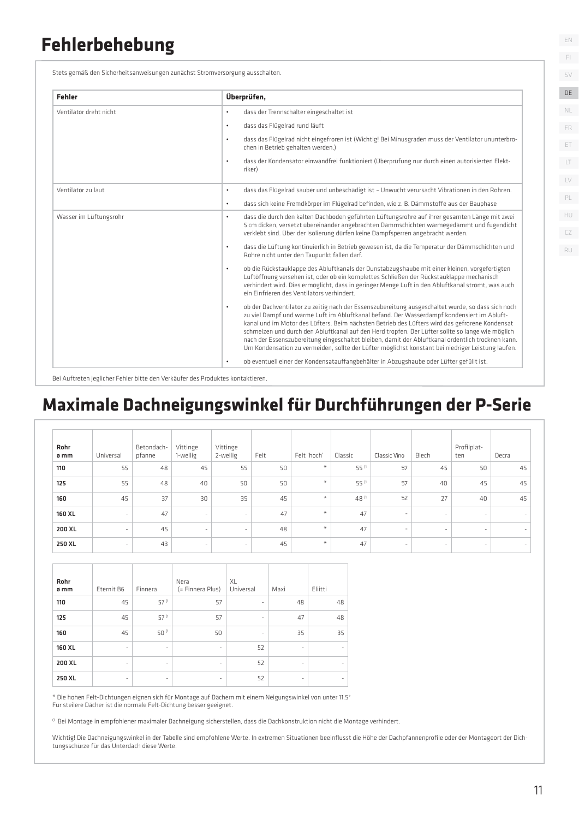### **Fehlerbehebung**

Stets gemäß den Sicherheitsanweisungen zunächst Stromversorgung ausschalten.

| <b>Fehler</b>          | Überprüfen,                                                                                                                                                                                                                                                                                                                                                                                                                                                                                                                                                                                                                  |
|------------------------|------------------------------------------------------------------------------------------------------------------------------------------------------------------------------------------------------------------------------------------------------------------------------------------------------------------------------------------------------------------------------------------------------------------------------------------------------------------------------------------------------------------------------------------------------------------------------------------------------------------------------|
| Ventilator dreht nicht | dass der Trennschalter eingeschaltet ist<br>$\bullet$                                                                                                                                                                                                                                                                                                                                                                                                                                                                                                                                                                        |
|                        | dass das Flügelrad rund läuft<br>$\bullet$                                                                                                                                                                                                                                                                                                                                                                                                                                                                                                                                                                                   |
|                        | dass das Flügelrad nicht eingefroren ist (Wichtig! Bei Minusgraden muss der Ventilator ununterbro-<br>$\bullet$<br>chen in Betrieb gehalten werden.)                                                                                                                                                                                                                                                                                                                                                                                                                                                                         |
|                        | dass der Kondensator einwandfrei funktioniert (Überprüfung nur durch einen autorisierten Elekt-<br>$\bullet$<br>riker)                                                                                                                                                                                                                                                                                                                                                                                                                                                                                                       |
| Ventilator zu laut     | dass das Flügelrad sauber und unbeschädigt ist - Unwucht verursacht Vibrationen in den Rohren.<br>$\bullet$                                                                                                                                                                                                                                                                                                                                                                                                                                                                                                                  |
|                        | dass sich keine Fremdkörper im Flügelrad befinden, wie z. B. Dämmstoffe aus der Bauphase<br>$\bullet$                                                                                                                                                                                                                                                                                                                                                                                                                                                                                                                        |
| Wasser im Lüftungsrohr | dass die durch den kalten Dachboden geführten Lüftungsrohre auf ihrer gesamten Länge mit zwei<br>$\bullet$<br>5 cm dicken, versetzt übereinander angebrachten Dämmschichten wärmegedämmt und fugendicht<br>verklebt sind. Über der Isolierung dürfen keine Dampfsperren angebracht werden.                                                                                                                                                                                                                                                                                                                                   |
|                        | dass die Lüftung kontinuierlich in Betrieb gewesen ist, da die Temperatur der Dämmschichten und<br>$\bullet$<br>Rohre nicht unter den Taupunkt fallen darf.                                                                                                                                                                                                                                                                                                                                                                                                                                                                  |
|                        | ob die Rückstauklappe des Abluftkanals der Dunstabzugshaube mit einer kleinen, vorgefertigten<br>$\bullet$<br>Luftöffnung versehen ist, oder ob ein komplettes Schließen der Rückstauklappe mechanisch<br>verhindert wird. Dies ermöglicht, dass in geringer Menge Luft in den Abluftkanal strömt, was auch<br>ein Finfrieren des Ventilators verhindert.                                                                                                                                                                                                                                                                    |
|                        | ob der Dachventilator zu zeitig nach der Essenszubereitung ausgeschaltet wurde, so dass sich noch<br>$\bullet$<br>zu viel Dampf und warme Luft im Abluftkanal befand. Der Wasserdampf kondensiert im Abluft-<br>kanal und im Motor des Lüfters. Beim nächsten Betrieb des Lüfters wird das gefrorene Kondensat<br>schmelzen und durch den Abluftkanal auf den Herd tropfen. Der Lüfter sollte so lange wie möglich<br>nach der Essenszubereitung eingeschaltet bleiben, damit der Abluftkanal ordentlich trocknen kann.<br>Um Kondensation zu vermeiden, sollte der Lüfter möglichst konstant bei niedriger Leistung laufen. |
|                        | ob eventuell einer der Kondensatauffangbehälter in Abzugshaube oder Lüfter gefüllt ist.<br>$\bullet$                                                                                                                                                                                                                                                                                                                                                                                                                                                                                                                         |

Bei Auftreten jeglicher Fehler bitte den Verkäufer des Produktes kontaktieren.

### **Maximale Dachneigungswinkel für Durchführungen der P-Serie**

| Rohr<br>ø mm | Universal                | Betondach-<br>pfanne | Vittinge<br>1-wellig | Vittinge<br>2-wellig | Felt | Felt 'hoch' | Classic | Classic Vino             | Blech                    | Profilplat-<br>ten | Decra  |
|--------------|--------------------------|----------------------|----------------------|----------------------|------|-------------|---------|--------------------------|--------------------------|--------------------|--------|
| 110          | 55                       | 48                   | 45                   | 55                   | 50   | $\ast$      | 55 (1   | 57                       | 45                       | 50                 | 45     |
| 125          | 55                       | 48                   | 40                   | 50                   | 50   | $\ast$      | 55 (1   | 57                       | 40                       | 45                 | 45     |
| 160          | 45                       | 37                   | 30                   | 35                   | 45   | $\ast$      | 48 (1   | 52                       | 27                       | 40                 | 45     |
| 160 XL       | $\sim$                   | 47                   | $\sim$               | $\sim$               | 47   | $\star$     | 47      | $\overline{\phantom{a}}$ | $\overline{\phantom{a}}$ | ٠                  | $\sim$ |
| 200 XL       | ٠                        | 45                   | $\sim$               | $\sim$               | 48   | $\star$     | 47      | $\overline{\phantom{a}}$ | $\overline{\phantom{a}}$ | ٠                  | $\sim$ |
| 250 XL       | $\overline{\phantom{a}}$ | 43                   | $\sim$               | $\sim$               | 45   | $\star$     | 47      | $\overline{\phantom{a}}$ |                          | ۰                  | $\sim$ |

| Rohr<br>ø mm | Eternit B6 | Finnera                  | Nera<br>(= Finnera Plus) | XL<br>Universal          | Maxi                     | Eliitti |
|--------------|------------|--------------------------|--------------------------|--------------------------|--------------------------|---------|
| 110          | 45         | 57 (1                    | 57                       | $\overline{\phantom{m}}$ | 48                       | 48      |
| 125          | 45         | 57 (1                    | 57                       | ٠                        | 47                       | 48      |
| 160          | 45         | 50 (1                    | 50                       | $\overline{\phantom{m}}$ | 35                       | 35      |
| 160 XL       | ٠          | $\overline{\phantom{a}}$ | ۰                        | 52                       | $\overline{\phantom{a}}$ |         |
| 200 XL       | ÷.         | ٠                        | $\overline{\phantom{a}}$ | 52                       | $\overline{\phantom{a}}$ |         |
| 250 XL       | ٠          | ۰                        | ۰                        | 52                       | -                        |         |

\* Die hohen Felt-Dichtungen eignen sich für Montage auf Dächern mit einem Neigungswinkel von unter 11.5° Für steilere Dächer ist die normale Felt-Dichtung besser geeignet.

 $<sup>0</sup>$  Bei Montage in empfohlener maximaler Dachneigung sicherstellen, dass die Dachkonstruktion nicht die Montage verhindert.</sup>

Wichtig! Die Dachneigungswinkel in der Tabelle sind empfohlene Werte. In extremen Situationen beeinflusst die Höhe der Dachpfannenprofile oder der Montageort der Dichtungsschürze für das Unterdach diese Werte.

EN

FI SV DE DE

 $\Box$ LV

PL

HU CZ RU

ET FR

NL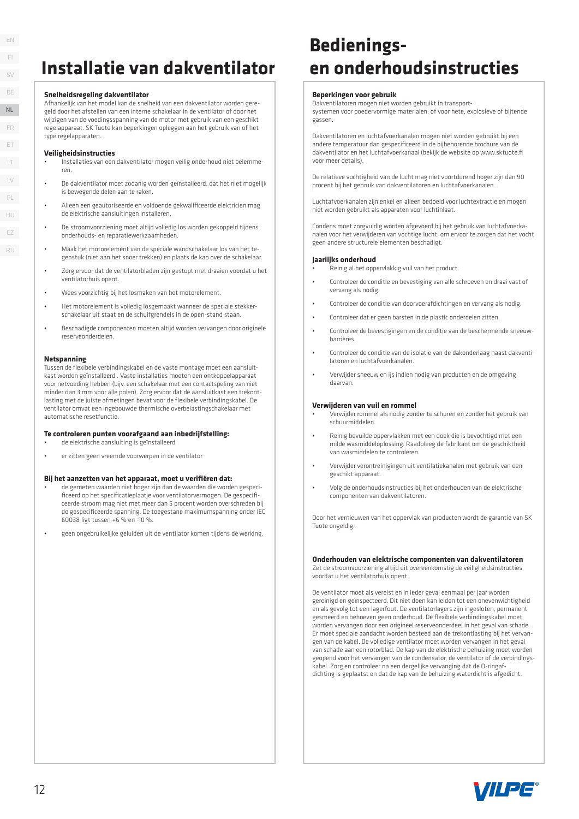### **Installatie van dakventilator**

#### **Snelheidsregeling dakventilator**

Afhankelijk van het model kan de snelheid van een dakventilator worden geregeld door het afstellen van een interne schakelaar in de ventilator of door het wijzigen van de voedingsspanning van de motor met gebruik van een geschikt regelapparaat. SK Tuote kan beperkingen opleggen aan het gebruik van of het type regelapparaten.

#### **Veiligheidsinstructies**

- Installaties van een dakventilator mogen veilig onderhoud niet belemmeren.
- De dakventilator moet zodanig worden geïnstalleerd, dat het niet mogelijk is bewegende delen aan te raken.
- Alleen een geautoriseerde en voldoende gekwalificeerde elektricien mag de elektrische aansluitingen installeren.
- De stroomvoorziening moet altijd volledig los worden gekoppeld tijdens onderhouds- en reparatiewerkzaamheden.
- Maak het motorelement van de speciale wandschakelaar los van het tegenstuk (niet aan het snoer trekken) en plaats de kap over de schakelaar.
- Zorg ervoor dat de ventilatorbladen zijn gestopt met draaien voordat u het ventilatorhuis opent.
- Wees voorzichtig bij het losmaken van het motorelement.
- Het motorelement is volledig losgemaakt wanneer de speciale stekkerschakelaar uit staat en de schuifgrendels in de open-stand staan.
- Beschadigde componenten moeten altijd worden vervangen door originele reserveonderdelen.

#### **Netspanning**

Tussen de flexibele verbindingskabel en de vaste montage moet een aansluitkast worden geïnstalleerd . Vaste installaties moeten een ontkoppelapparaat voor netvoeding hebben (bijv. een schakelaar met een contactspeling van niet minder dan 3 mm voor alle polen). Zorg ervoor dat de aansluitkast een trekontlasting met de juiste afmetingen bevat voor de flexibele verbindingskabel. De ventilator omvat een ingebouwde thermische overbelastingschakelaar met automatische resetfunctie.

#### **Te controleren punten voorafgaand aan inbedrijfstelling:**

- de elektrische aansluiting is geïnstalleerd
- er zitten geen vreemde voorwerpen in de ventilator

#### Bij het aanzetten van het apparaat, moet u verifiëren dat:

- de gemeten waarden niet hoger zijn dan de waarden die worden gespecificeerd op het specificatieplaatje voor ventilatorvermogen. De gespecificeerde stroom mag niet met meer dan 5 procent worden overschreden bij de gespecificeerde spanning. De toegestane maximumspanning onder IEC 60038 ligt tussen +6 % en -10 %.
- geen ongebruikelijke geluiden uit de ventilator komen tijdens de werking.

### **Bedieningsen onderhoudsinstructies**

#### **Beperkingen voor gebruik**

Dakventilatoren mogen niet worden gebruikt in transportsystemen voor poedervormige materialen, of voor hete, explosieve of bijtende gassen.

Dakventilatoren en luchtafvoerkanalen mogen niet worden gebruikt bij een andere temperatuur dan gespecificeerd in de bijbehorende brochure van de dakventilator en het luchtafvoerkanaal (bekijk de website op www.sktuote.fi voor meer details).

De relatieve vochtigheid van de lucht mag niet voortdurend hoger zijn dan 90 procent bij het gebruik van dakventilatoren en luchtafvoerkanalen.

Luchtafvoerkanalen zijn enkel en alleen bedoeld voor luchtextractie en mogen niet worden gebruikt als apparaten voor luchtinlaat.

Condens moet zorgvuldig worden afgevoerd bij het gebruik van luchtafvoerkanalen voor het verwijderen van vochtige lucht, om ervoor te zorgen dat het vocht geen andere structurele elementen beschadigt.

#### **Jaarlijks onderhoud**

- Reinig al het oppervlakkig vuil van het product.
- Controleer de conditie en bevestiging van alle schroeven en draai vast of vervang als nodig.
- Controleer de conditie van doorvoerafdichtingen en vervang als nodig.
- Controleer dat er geen barsten in de plastic onderdelen zitten.
- Controleer de bevestigingen en de conditie van de beschermende sneeuwbarrières.
- Controleer de conditie van de isolatie van de dakonderlaag naast dakventilatoren en luchtafvoerkanalen.
- Verwijder sneeuw en ijs indien nodig van producten en de omgeving daarvan.

#### **Verwijderen van vuil en rommel**

- Verwijder rommel als nodig zonder te schuren en zonder het gebruik van schuurmiddelen.
- Reinig bevuilde oppervlakken met een doek die is bevochtigd met een milde wasmiddeloplossing. Raadpleeg de fabrikant om de geschiktheid van wasmiddelen te controleren.
- Verwijder verontreinigingen uit ventilatiekanalen met gebruik van een geschikt apparaat.
- Volg de onderhoudsinstructies bij het onderhouden van de elektrische componenten van dakventilatoren.

Door het vernieuwen van het oppervlak van producten wordt de garantie van SK Tuote ongeldig.

#### **Onderhouden van elektrische componenten van dakventilatoren**

Zet de stroomvoorziening altijd uit overeenkomstig de veiligheidsinstructies voordat u het ventilatorhuis opent.

De ventilator moet als vereist en in ieder geval eenmaal per jaar worden gereinigd en geïnspecteerd. Dit niet doen kan leiden tot een onevenwichtigheid en als gevolg tot een lagerfout. De ventilatorlagers zijn ingesloten, permanent gesmeerd en behoeven geen onderhoud. De flexibele verbindingskabel moet worden vervangen door een origineel reserveonderdeel in het geval van schade. Er moet speciale aandacht worden besteed aan de trekontlasting bij het vervangen van de kabel. De volledige ventilator moet worden vervangen in het geval van schade aan een rotorblad. De kap van de elektrische behuizing moet worden geopend voor het vervangen van de condensator, de ventilator of de verbindingskabel. Zorg en controleer na een dergelijke vervanging dat de O-ringafdichting is geplaatst en dat de kap van de behuizing waterdicht is afgedicht.



EN FI SV DE LT LV ET FR PL NL NL HU  $\Gamma$ RU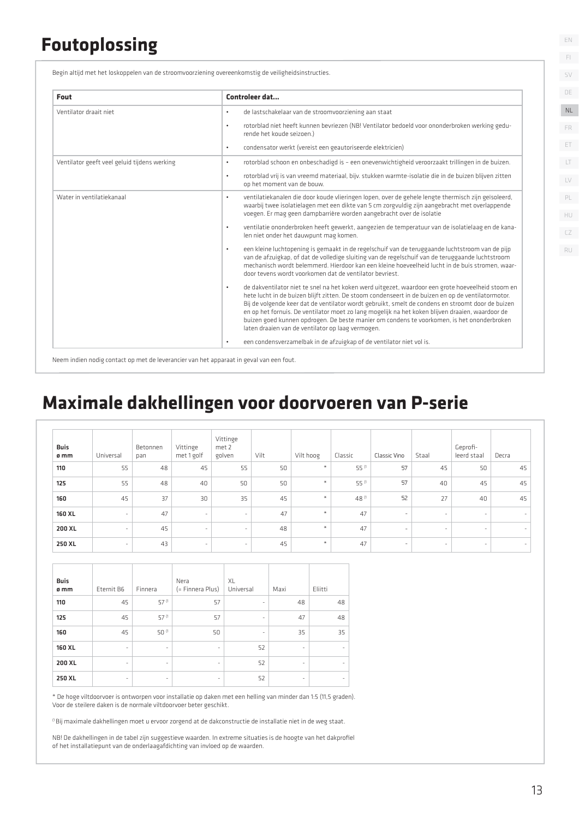### **Foutoplossing**

Begin altijd met het loskoppelen van de stroomvoorziening overeenkomstig de veiligheidsinstructies.

| Fout                                         | Controleer dat                                                                                                                                                                                                                                                                                                                                                                                                                                                                                                                                                                   |
|----------------------------------------------|----------------------------------------------------------------------------------------------------------------------------------------------------------------------------------------------------------------------------------------------------------------------------------------------------------------------------------------------------------------------------------------------------------------------------------------------------------------------------------------------------------------------------------------------------------------------------------|
| Ventilator draait niet                       | de lastschakelaar van de stroomvoorziening aan staat<br>$\bullet$                                                                                                                                                                                                                                                                                                                                                                                                                                                                                                                |
|                                              | rotorblad niet heeft kunnen bevriezen (NB! Ventilator bedoeld voor ononderbroken werking gedu-<br>$\bullet$<br>rende het koude seizoen.)                                                                                                                                                                                                                                                                                                                                                                                                                                         |
|                                              | condensator werkt (vereist een geautoriseerde elektricien)<br>$\bullet$                                                                                                                                                                                                                                                                                                                                                                                                                                                                                                          |
| Ventilator geeft veel geluid tijdens werking | rotorblad schoon en onbeschadigd is - een onevenwichtigheid veroorzaakt trillingen in de buizen.<br>$\bullet$                                                                                                                                                                                                                                                                                                                                                                                                                                                                    |
|                                              | rotorblad vrij is van vreemd materiaal, bijv. stukken warmte-isolatie die in de buizen blijven zitten<br>$\bullet$<br>op het moment van de bouw.                                                                                                                                                                                                                                                                                                                                                                                                                                 |
| Water in ventilatiekanaal                    | ventilatiekanalen die door koude vlieringen lopen, over de gehele lengte thermisch zijn geïsoleerd,<br>$\bullet$<br>waarbij twee isolatielagen met een dikte van 5 cm zorgvuldig zijn aangebracht met overlappende<br>voegen. Er mag geen dampbarrière worden aangebracht over de isolatie                                                                                                                                                                                                                                                                                       |
|                                              | ventilatie ononderbroken heeft gewerkt, aangezien de temperatuur van de isolatielaag en de kana-<br>$\bullet$<br>len niet onder het dauwpunt mag komen.                                                                                                                                                                                                                                                                                                                                                                                                                          |
|                                              | een kleine luchtopening is gemaakt in de regelschuif van de teruggaande luchtstroom van de pijp<br>$\bullet$<br>van de afzuigkap, of dat de volledige sluiting van de regelschuif van de teruggaande luchtstroom<br>mechanisch wordt belemmerd. Hierdoor kan een kleine hoeveelheid lucht in de buis stromen, waar-<br>door tevens wordt voorkomen dat de ventilator bevriest.                                                                                                                                                                                                   |
|                                              | de dakventilator niet te snel na het koken werd uitgezet, waardoor een grote hoeveelheid stoom en<br>$\bullet$<br>hete lucht in de buizen blijft zitten. De stoom condenseert in de buizen en op de ventilatormotor.<br>Bij de volgende keer dat de ventilator wordt gebruikt, smelt de condens en stroomt door de buizen<br>en op het fornuis. De ventilator moet zo lang mogelijk na het koken blijven draaien, waardoor de<br>buizen goed kunnen opdrogen. De beste manier om condens te voorkomen, is het ononderbroken<br>laten draaien van de ventilator op laag vermogen. |
|                                              | een condensverzamelbak in de afzuigkap of de ventilator niet vol is.<br>$\bullet$                                                                                                                                                                                                                                                                                                                                                                                                                                                                                                |

Neem indien nodig contact op met de leverancier van het apparaat in geval van een fout.

### **Maximale dakhellingen voor doorvoeren van P-serie**

| <b>Buis</b><br>ø mm | Universal | Betonnen<br>pan | Vittinge<br>met 1 golf   | Vittinge<br>met 2<br>golven | Vilt | Vilt hoog     | Classic | Classic Vino             | Staal  | Geprofi-<br>leerd staal | Decra                    |
|---------------------|-----------|-----------------|--------------------------|-----------------------------|------|---------------|---------|--------------------------|--------|-------------------------|--------------------------|
| 110                 | 55        | 48              | 45                       | 55                          | 50   | $\ast$        | 55 (1   | 57                       | 45     | 50                      | 45                       |
| 125                 | 55        | 48              | 40                       | 50                          | 50   | $\star$       | 55 (1   | 57                       | 40     | 45                      | 45                       |
| 160                 | 45        | 37              | 30                       | 35                          | 45   | $\frac{1}{2}$ | 48 (1   | 52                       | 27     | 40                      | 45                       |
| 160 XL              | $\sim$    | 47              | $\sim$                   | $\overline{\phantom{a}}$    | 47   | $\star$       | 47      | $\overline{\phantom{a}}$ | $\sim$ | $\sim$                  | $\sim$                   |
| 200 XL              | $\sim$    | 45              | $\overline{\phantom{a}}$ | $\overline{\phantom{a}}$    | 48   | $\star$       | 47      | $\overline{\phantom{a}}$ | $\sim$ | $\sim$                  | $\sim$                   |
| 250 XL              | -         | 43              | $\sim$                   | $\overline{\phantom{a}}$    | 45   | $\star$       | 47      | $\overline{\phantom{a}}$ | $\sim$ | $\sim$                  | $\overline{\phantom{a}}$ |

| <b>Buis</b><br>ø mm | Eternit B6               | Finnera                  | Nera<br>(= Finnera Plus) | XL<br>Universal          | Maxi                     | Eliitti |
|---------------------|--------------------------|--------------------------|--------------------------|--------------------------|--------------------------|---------|
| 110                 | 45                       | 57 (1                    | 57                       | $\overline{\phantom{m}}$ | 48                       | 48      |
| 125                 | 45                       | 57 (1                    | 57                       | ٠                        | 47                       | 48      |
| 160                 | 45                       | 50 (1                    | 50                       | ٠                        | 35                       | 35      |
| 160 XL              | $\overline{\phantom{a}}$ | $\overline{\phantom{a}}$ | $\overline{\phantom{a}}$ | 52                       | $\overline{\phantom{a}}$ |         |
| 200 XL              | $\overline{\phantom{a}}$ | $\overline{\phantom{a}}$ | $\overline{\phantom{a}}$ | 52                       | $\overline{\phantom{a}}$ | -       |
| 250 XL              | $\overline{\phantom{m}}$ | $\overline{\phantom{a}}$ | $\overline{\phantom{a}}$ | 52                       | $\bar{\phantom{a}}$      |         |

\* De hoge viltdoorvoer is ontworpen voor installatie op daken met een helling van minder dan 1:5 (11,5 graden). Voor de steilere daken is de normale viltdoorvoer beter geschikt.

(1 Bij maximale dakhellingen moet u ervoor zorgend at de dakconstructie de installatie niet in de weg staat.

NB! De dakhellingen in de tabel zijn suggestieve waarden. In extreme situaties is de hoogte van het dakprofiel of het installatiepunt van de onderlaagafdichting van invloed op de waarden.

SV DE  $\Box$ LV ET FR PL NL HU

EN FI

CZ RU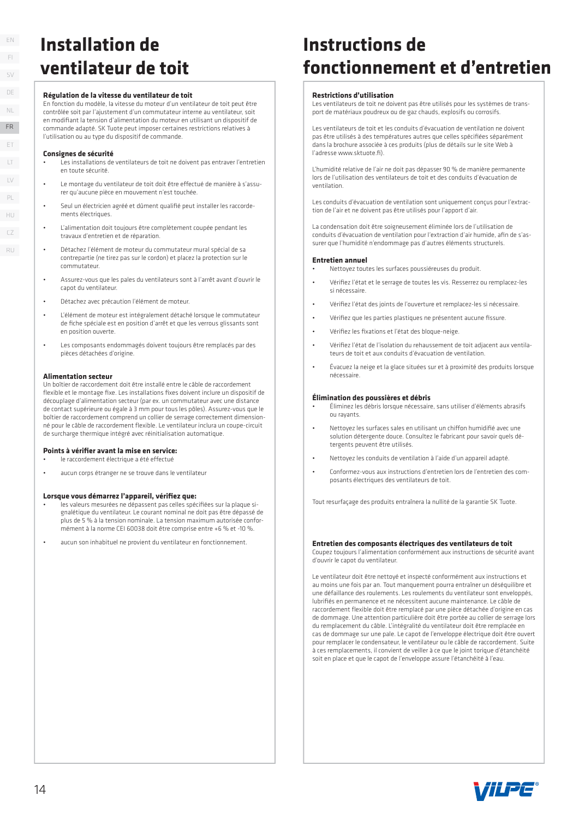### **Installation de ventilateur de toit**

#### **Régulation de la vitesse du ventilateur de toit**

En fonction du modèle, la vitesse du moteur d'un ventilateur de toit peut être contrôlée soit par l'ajustement d'un commutateur interne au ventilateur, soit en modifiant la tension d'alimentation du moteur en utilisant un dispositif de commande adapté. SK Tuote peut imposer certaines restrictions relatives à l'utilisation ou au type du dispositif de commande.

#### **Consignes de sécurité**

- Les installations de ventilateurs de toit ne doivent pas entraver l'entretien en toute sécurité.
- Le montage du ventilateur de toit doit être effectué de manière à s'assurer qu'aucune pièce en mouvement n'est touchée.
- Seul un électricien agréé et dûment qualifié peut installer les raccordements électriques.
- L'alimentation doit toujours être complètement coupée pendant les travaux d'entretien et de réparation.
- Détachez l'élément de moteur du commutateur mural spécial de sa contrepartie (ne tirez pas sur le cordon) et placez la protection sur le commutateur.
- Assurez-vous que les pales du ventilateurs sont à l'arrêt avant d'ouvrir le capot du ventilateur.
- Détachez avec précaution l'élément de moteur.
- L'élément de moteur est intégralement détaché lorsque le commutateur de fiche spéciale est en position d'arrêt et que les verrous glissants sont en position ouverte.
- Les composants endommagés doivent toujours être remplacés par des pièces détachées d'origine.

#### **Alimentation secteur**

Un boîtier de raccordement doit être installé entre le câble de raccordement flexible et le montage fixe. Les installations fixes doivent inclure un dispositif de découplage d'alimentation secteur (par ex. un commutateur avec une distance de contact supérieure ou égale à 3 mm pour tous les pôles). Assurez-vous que le boîtier de raccordement comprend un collier de serrage correctement dimensionné pour le câble de raccordement flexible. Le ventilateur inclura un coupe-circuit de surcharge thermique intégré avec réinitialisation automatique.

#### Points à vérifier avant la mise en service:

- le raccordement électrique a été effectué
- aucun corps étranger ne se trouve dans le ventilateur

#### Lorsque vous démarrez l'appareil, vérifiez que:

- •<br>les valeurs mesurées ne dépassent pas celles spécifiées sur la plaque signalétique du ventilateur. Le courant nominal ne doit pas être dépassé de plus de 5 % à la tension nominale. La tension maximum autorisée conformément à la norme CEI 60038 doit être comprise entre +6 % et -10 %.
- aucun son inhabituel ne provient du ventilateur en fonctionnement.

### **Instructions de fonctionnement et d'entretien**

#### **Restrictions d'utilisation**

Les ventilateurs de toit ne doivent pas être utilisés pour les systèmes de transport de matériaux poudreux ou de gaz chauds, explosifs ou corrosifs.

Les ventilateurs de toit et les conduits d'évacuation de ventilation ne doivent pas être utilisés à des températures autres que celles spécifiées séparément dans la brochure associée à ces produits (plus de détails sur le site Web à l'adresse www.sktuote.fi).

L'humidité relative de l'air ne doit pas dépasser 90 % de manière permanente lors de l'utilisation des ventilateurs de toit et des conduits d'évacuation de ventilation.

Les conduits d'évacuation de ventilation sont uniquement conçus pour l'extraction de l'air et ne doivent pas être utilisés pour l'apport d'air.

La condensation doit être soigneusement éliminée lors de l'utilisation de conduits d'évacuation de ventilation pour l'extraction d'air humide, afin de s'assurer que l'humidité n'endommage pas d'autres éléments structurels.

#### **Entretien annuel**

- Nettoyez toutes les surfaces poussiéreuses du produit.
- Vérifiez l'état et le serrage de toutes les vis. Resserrez ou remplacez-les si nécessaire.
- Vérifi ez l'état des joints de l'ouverture et remplacez-les si nécessaire.
- Vérifiez que les parties plastiques ne présentent aucune fissure.
- Vérifiez les fixations et l'état des bloque-neige
- Vérifiez l'état de l'isolation du rehaussement de toit adjacent aux ventilateurs de toit et aux conduits d'évacuation de ventilation.
- Évacuez la neige et la glace situées sur et à proximité des produits lorsque nécessaire.

#### **Élimination des poussières et débris**

- Éliminez les débris lorsque nécessaire, sans utiliser d'éléments abrasifs ou rayants.
- Nettoyez les surfaces sales en utilisant un chiffon humidifié avec une solution détergente douce. Consultez le fabricant pour savoir quels détergents peuvent être utilisés.
- Nettoyez les conduits de ventilation à l'aide d'un appareil adapté.
- Conformez-vous aux instructions d'entretien lors de l'entretien des composants électriques des ventilateurs de toit.

Tout resurfaçage des produits entraînera la nullité de la garantie SK Tuote.

#### **Entretien des composants électriques des ventilateurs de toit**

Coupez toujours l'alimentation conformément aux instructions de sécurité avant d'ouvrir le capot du ventilateur.

Le ventilateur doit être nettoyé et inspecté conformément aux instructions et au moins une fois par an. Tout manquement pourra entraîner un déséquilibre et une défaillance des roulements. Les roulements du ventilateur sont enveloppés, lubrifiés en permanence et ne nécessitent aucune maintenance. Le câble de raccordement flexible doit être remplacé par une pièce détachée d'origine en cas de dommage. Une attention particulière doit être portée au collier de serrage lors du remplacement du câble. L'intégralité du ventilateur doit être remplacée en cas de dommage sur une pale. Le capot de l'enveloppe électrique doit être ouvert pour remplacer le condensateur, le ventilateur ou le câble de raccordement. Suite à ces remplacements, il convient de veiller à ce que le joint torique d'étanchéité soit en place et que le capot de l'enveloppe assure l'étanchéité à l'eau.

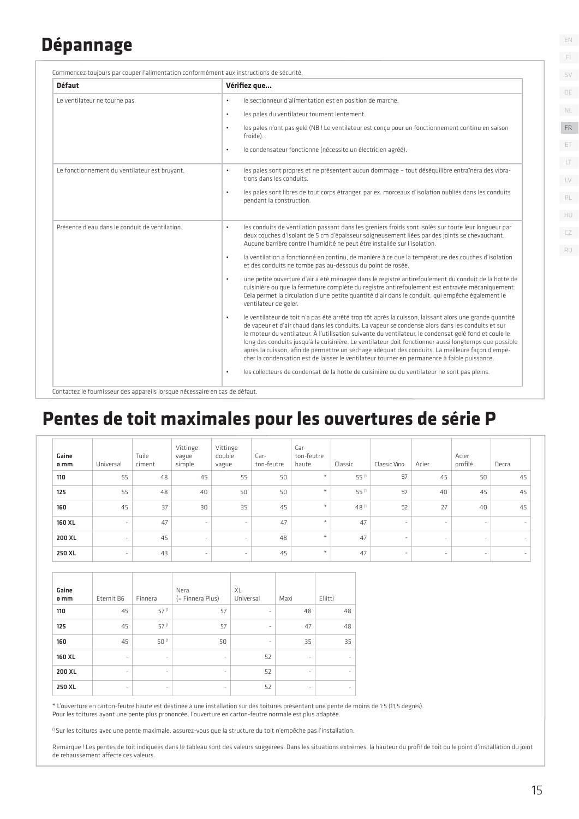### **Dépannage**

| <b>Défaut</b>                                  | Vérifiez que                                                                                                                                                                                                                                                                                                                                                                                                                                                                                                                                                                                                                                  |
|------------------------------------------------|-----------------------------------------------------------------------------------------------------------------------------------------------------------------------------------------------------------------------------------------------------------------------------------------------------------------------------------------------------------------------------------------------------------------------------------------------------------------------------------------------------------------------------------------------------------------------------------------------------------------------------------------------|
| Le ventilateur ne tourne pas.                  | le sectionneur d'alimentation est en position de marche.<br>$\bullet$<br>les pales du ventilateur tournent lentement.<br>$\bullet$                                                                                                                                                                                                                                                                                                                                                                                                                                                                                                            |
|                                                | les pales n'ont pas gelé (NB ! Le ventilateur est concu pour un fonctionnement continu en saison<br>$\bullet$<br>froide).<br>le condensateur fonctionne (nécessite un électricien agréé).<br>$\bullet$                                                                                                                                                                                                                                                                                                                                                                                                                                        |
| Le fonctionnement du ventilateur est bruyant.  | les pales sont propres et ne présentent aucun dommage - tout déséquilibre entraînera des vibra-<br>$\bullet$<br>tions dans les conduits.                                                                                                                                                                                                                                                                                                                                                                                                                                                                                                      |
|                                                | les pales sont libres de tout corps étranger, par ex. morceaux d'isolation oubliés dans les conduits<br>$\bullet$<br>pendant la construction.                                                                                                                                                                                                                                                                                                                                                                                                                                                                                                 |
| Présence d'eau dans le conduit de ventilation. | les conduits de ventilation passant dans les greniers froids sont isolés sur toute leur longueur par<br>$\bullet$<br>deux couches d'isolant de 5 cm d'épaisseur soigneusement liées par des joints se chevauchant.<br>Aucune barrière contre l'humidité ne peut être installée sur l'isolation.                                                                                                                                                                                                                                                                                                                                               |
|                                                | la ventilation a fonctionné en continu, de manière à ce que la température des couches d'isolation<br>$\bullet$<br>et des conduits ne tombe pas au-dessous du point de rosée.                                                                                                                                                                                                                                                                                                                                                                                                                                                                 |
|                                                | une petite ouverture d'air a été ménagée dans le registre antirefoulement du conduit de la hotte de<br>$\bullet$<br>cuisinière ou que la fermeture complète du registre antirefoulement est entravée mécaniquement.<br>Cela permet la circulation d'une petite quantité d'air dans le conduit, qui empêche également le<br>ventilateur de geler.                                                                                                                                                                                                                                                                                              |
|                                                | le ventilateur de toit n'a pas été arrêté trop tôt après la cuisson, laissant alors une grande quantité<br>$\bullet$<br>de vapeur et d'air chaud dans les conduits. La vapeur se condense alors dans les conduits et sur<br>le moteur du ventilateur. À l'utilisation suivante du ventilateur, le condensat gelé fond et coule le<br>long des conduits jusqu'à la cuisinière. Le ventilateur doit fonctionner aussi longtemps que possible<br>après la cuisson, afin de permettre un séchage adéquat des conduits. La meilleure façon d'empê-<br>cher la condensation est de laisser le ventilateur tourner en permanence à faible puissance. |
|                                                | les collecteurs de condensat de la hotte de cuisinière ou du ventilateur ne sont pas pleins.<br>$\bullet$                                                                                                                                                                                                                                                                                                                                                                                                                                                                                                                                     |

### **Pentes de toit maximales pour les ouvertures de série P**

| Gaine<br>ø mm | Universal                | Tuile<br>ciment | Vittinge<br>vague<br>simple | Vittinge<br>double<br>vague | Car-<br>ton-feutre | Car-<br>ton-feutre<br>haute | Classic | Classic Vino             | Acier | Acier<br>profilé         | Decra  |
|---------------|--------------------------|-----------------|-----------------------------|-----------------------------|--------------------|-----------------------------|---------|--------------------------|-------|--------------------------|--------|
| 110           | 55                       | 48              | 45                          | 55                          | 50                 | $\star$                     | 55 (1   | 57                       | 45    | 50                       | 45     |
| 125           | 55                       | 48              | 40                          | 50                          | 50                 | $\ast$                      | 55 (1   | 57                       | 40    | 45                       | 45     |
| 160           | 45                       | 37              | 30                          | 35                          | 45                 | $\frac{1}{2}$               | 48 (1   | 52                       | 27    | 40                       | 45     |
| 160 XL        | ٠                        | 47              | $\overline{\phantom{a}}$    | $\sim$                      | 47                 | $\star$                     | 47      | $\sim$                   | ٠     | ٠                        | $\sim$ |
| 200 XL        | $\overline{\phantom{a}}$ | 45              | $\overline{\phantom{a}}$    | $\overline{\phantom{a}}$    | 48                 | $\ast$                      | 47      | $\sim$                   | ۰     | ٠                        | $\sim$ |
| 250 XL        | $\overline{\phantom{a}}$ | 43              | $\sim$                      | $\overline{\phantom{a}}$    | 45                 | $\ast$                      | 47      | $\overline{\phantom{a}}$ | ٠     | $\overline{\phantom{a}}$ | $\sim$ |

| Gaine<br>ø mm | Eternit B6               | Finnera | Nera<br>(= Finnera Plus) | XL<br>Universal          | Maxi                     | Eliitti |
|---------------|--------------------------|---------|--------------------------|--------------------------|--------------------------|---------|
| 110           | 45                       | 57 (1   | 57                       | -                        | 48                       | 48      |
| 125           | 45                       | 57 (1   | 57                       | $\overline{\phantom{a}}$ | 47                       | 48      |
| 160           | 45                       | 50 (1   | 50                       | -                        | 35                       | 35      |
| 160 XL        | $\overline{\phantom{a}}$ | ٠       | $\bar{\phantom{a}}$      | 52                       | $\overline{\phantom{a}}$ |         |
| 200 XL        | $\overline{\phantom{a}}$ | ۰       | ۰                        | 52                       | $\overline{\phantom{a}}$ |         |
| 250 XL        | $\overline{\phantom{a}}$ | ٠       | ۰                        | 52                       | $\overline{\phantom{a}}$ |         |

\* L'ouverture en carton-feutre haute est destinée à une installation sur des toitures présentant une pente de moins de 1:5 (11,5 degrés). Pour les toitures ayant une pente plus prononcée, l'ouverture en carton-feutre normale est plus adaptée.

<sup>(1</sup> Sur les toitures avec une pente maximale, assurez-vous que la structure du toit n'empêche pas l'installation.

Remarque ! Les pentes de toit indiquées dans le tableau sont des valeurs suggérées. Dans les situations extrêmes, la hauteur du profi l de toit ou le point d'installation du joint de rehaussement affecte ces valeurs.

EN

FI SV DE

 $\Box$ LV ET FR PL NL

CZ RU

HU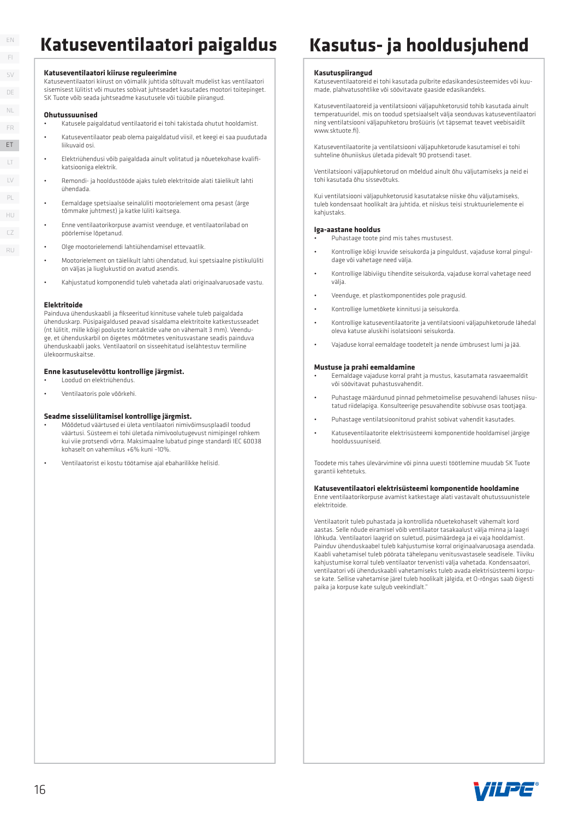### **Katuseventilaatori paigaldus Kasutus- ja hooldusjuhend**

#### **Katuseventilaatori kiiruse reguleerimine**

Katuseventilaatori kiirust on võimalik juhtida sõltuvalt mudelist kas ventilaatori sisemisest lülitist või muutes sobivat juhtseadet kasutades mootori toitepinget. SK Tuote võib seada juhtseadme kasutusele või tüübile piirangud.

#### **Ohutussuunised**

- Katusele paigaldatud ventilaatorid ei tohi takistada ohutut hooldamist.
- Katuseventilaator peab olema paigaldatud viisil, et keegi ei saa puudutada liikuvaid osi.
- Elektriühendusi võib paigaldada ainult volitatud ja nõuetekohase kvalifikatsiooniga elektrik.
- Remondi- ja hooldustööde ajaks tuleb elektritoide alati täielikult lahti ühendada.
- Eemaldage spetsiaalse seinalüliti mootorielement oma pesast (ärge tõmmake juhtmest) ja katke lüliti kaitsega.
- Enne ventilaatorikorpuse avamist veenduge, et ventilaatorilabad on pöörlemise lõpetanud.
- Olge mootorielemendi lahtiühendamisel ettevaatlik.
- Mootorielement on täielikult lahti ühendatud, kui spetsiaalne pistikulüliti on väljas ja liuglukustid on avatud asendis.
- Kahjustatud komponendid tuleb vahetada alati originaalvaruosade vastu.

#### **Elektritoide**

Painduva ühenduskaabli ja fikseeritud kinnituse vahele tuleb paigaldada ühenduskarp. Püsipaigaldused peavad sisaldama elektritoite katkestusseadet (nt lülitit, mille kõigi pooluste kontaktide vahe on vähemalt 3 mm). Veenduge, et ühenduskarbil on õigetes mõõtmetes venitusvastane seadis painduva ühenduskaabli jaoks. Ventilaatoril on sisseehitatud iselähtestuv termiline ülekoormuskaitse.

#### **Enne kasutuselevõttu kontrollige järgmist.**

- Loodud on elektriühendus.
- Ventilaatoris pole võõrkehi.

#### **Seadme sisselülitamisel kontrollige järgmist.**

- Mõõdetud väärtused ei ületa ventilaatori nimivõimsusplaadil toodud väärtusi. Süsteem ei tohi ületada nimivoolutugevust nimipingel rohkem kui viie protsendi võrra. Maksimaalne lubatud pinge standardi IEC 60038 kohaselt on vahemikus +6% kuni –10%.
- Ventilaatorist ei kostu töötamise ajal ebaharilikke helisid.

#### **Kasutuspiirangud**

Katuseventilaatoreid ei tohi kasutada pulbrite edasikandesüsteemides või kuumade, plahvatusohtlike või söövitavate gaaside edasikandeks.

Katuseventilaatoreid ja ventilatsiooni väljapuhketorusid tohib kasutada ainult temperatuuridel, mis on toodud spetsiaalselt välja seonduvas katuseventilaatori ning ventilatsiooni väljapuhketoru brošüüris (vt täpsemat teavet veebisaidilt www.sktunte.fi)

Katuseventilaatorite ja ventilatsiooni väljapuhketorude kasutamisel ei tohi suhteline õhuniiskus ületada pidevalt 90 protsendi taset.

Ventilatsiooni väljapuhketorud on mõeldud ainult õhu väljutamiseks ja neid ei tohi kasutada õhu sissevõtuks.

Kui ventilatsiooni väljapuhketorusid kasutatakse niiske õhu väljutamiseks, tuleb kondensaat hoolikalt ära juhtida, et niiskus teisi struktuurielemente ei kahiustaks

#### **Iga-aastane hooldus**

- Puhastage toote pind mis tahes mustusest.
- Kontrollige kõigi kruvide seisukorda ja pinguldust, vajaduse korral pinguldage või vahetage need välja.
- Kontrollige läbiviigu tihendite seisukorda, vajaduse korral vahetage need välja.
- Veenduge, et plastkomponentides pole pragusid.
- Kontrollige lumetõkete kinnitusi ja seisukorda.
- Kontrollige katuseventilaatorite ja ventilatsiooni väljapuhketorude lähedal oleva katuse aluskihi isolatsiooni seisukorda.
- Vajaduse korral eemaldage toodetelt ja nende ümbrusest lumi ja jää.

#### **Mustuse ja prahi eemaldamine**

- Eemaldage vajaduse korral praht ja mustus, kasutamata rasvaeemaldit või söövitavat puhastusvahendit.
- Puhastage määrdunud pinnad pehmetoimelise pesuvahendi lahuses niisutatud riidelapiga. Konsulteerige pesuvahendite sobivuse osas tootjaga.
- astage ventilatsioonitorud prahist sobivat vahendit kasutades
- Katuseventilaatorite elektrisüsteemi komponentide hooldamisel järgige hooldussuuniseid.

Toodete mis tahes ülevärvimine või pinna uuesti töötlemine muudab SK Tuote garantii kehtetuks.

#### **Katuseventilaatori elektrisüsteemi komponentide hooldamine**

Enne ventilaatorikorpuse avamist katkestage alati vastavalt ohutussuunistele elektritoide.

Ventilaatorit tuleb puhastada ja kontrollida nõuetekohaselt vähemalt kord aastas. Selle nõude eiramisel võib ventilaator tasakaalust välja minna ja laagri lõhkuda. Ventilaatori laagrid on suletud, püsimäärdega ja ei vaja hooldamist. Painduv ühenduskaabel tuleb kahjustumise korral originaalvaruosaga asendada. Kaabli vahetamisel tuleb pöörata tähelepanu venitusvastasele seadisele. Tiiviku kahjustumise korral tuleb ventilaator tervenisti välja vahetada. Kondensaatori, ventilaatori või ühenduskaabli vahetamiseks tuleb avada elektrisüsteemi korpuse kate. Sellise vahetamise järel tuleb hoolikalt jälgida, et O-rõngas saab õigesti paika ja korpuse kate sulgub veekindlalt."



FI SV DE LT LV ET FR PL NL HU CZ ET16

RU

EN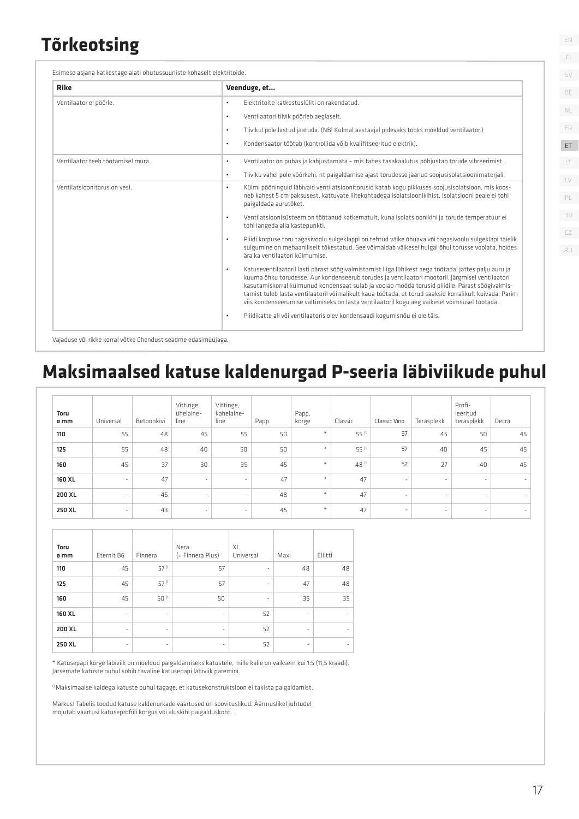### **Tõrkeotsing**

| <b>Rike</b>                       | Veenduge, et                                                                                                                                                                                                                                                                                                                                                                                                                                                                                                                      |
|-----------------------------------|-----------------------------------------------------------------------------------------------------------------------------------------------------------------------------------------------------------------------------------------------------------------------------------------------------------------------------------------------------------------------------------------------------------------------------------------------------------------------------------------------------------------------------------|
| Ventilaator ei pöörle.            | Flektritoite katkestuslüliti on rakendatud.<br>$\bullet$                                                                                                                                                                                                                                                                                                                                                                                                                                                                          |
|                                   | Ventilaatori tiivik pöörleb aeglaselt.<br>$\bullet$                                                                                                                                                                                                                                                                                                                                                                                                                                                                               |
|                                   | Tiivikul pole lastud jäätuda. (NB! Külmal aastaajal pidevaks tööks mõeldud ventilaator.)<br>$\bullet$                                                                                                                                                                                                                                                                                                                                                                                                                             |
|                                   | Kondensaator töötab (kontrollida võib kvalifitseeritud elektrik).<br>$\bullet$                                                                                                                                                                                                                                                                                                                                                                                                                                                    |
| Ventilaator teeb töötamisel müra. | Ventilaator on puhas ja kahjustamata - mis tahes tasakaalutus põhjustab torude vibreerimist.<br>$\bullet$                                                                                                                                                                                                                                                                                                                                                                                                                         |
|                                   | Tiiviku vahel pole võõrkehi, nt paigaldamise ajast torudesse jäänud soojusisolatsioonimaterjali.<br>$\bullet$                                                                                                                                                                                                                                                                                                                                                                                                                     |
| Ventilatsioonitorus on vesi.      | Külmi pööninguid läbivaid ventilatsioonitorusid katab kogu pikkuses soojusisolatsioon, mis koos-<br>$\bullet$<br>neb kahest 5 cm paksusest, kattuvate liitekohtadega isolatsioonikihist. Isolatsiooni peale ei tohi<br>paigaldada aurutõket.                                                                                                                                                                                                                                                                                      |
|                                   | Ventilatsioonisüsteem on töötanud katkematult, kuna isolatsioonikihi ja torude temperatuur ei<br>$\bullet$<br>tohi langeda alla kastepunkti.                                                                                                                                                                                                                                                                                                                                                                                      |
|                                   | Pliidi korpuse toru tagasivoolu sulgeklappi on tehtud väike õhuava või tagasivoolu sulgeklapi täielik<br>$\bullet$<br>sulgumine on mehaaniliselt tõkestatud. See võimaldab väikesel hulgal õhul torusse voolata, hoides<br>ära ka ventilaatori külmumise.                                                                                                                                                                                                                                                                         |
|                                   | Katuseventilaatoril lasti pärast söögivalmistamist liiga lühikest aega töötada, jättes palju auru ja<br>$\bullet$<br>kuuma õhku torudesse. Aur kondenseerub torudes ja ventilaatori mootoril. Järgmisel ventilaatori<br>kasutamiskorral külmunud kondensaat sulab ja voolab mööda torusid pliidile. Pärast söögivalmis-<br>tamist tuleb lasta ventilaatoril võimalikult kaua töötada, et torud saaksid korralikult kuivada. Parim<br>viis kondenseerumise vältimiseks on lasta ventilaatoril kogu aeg väikesel võimsusel töötada. |
|                                   | Pliidikatte all või ventilaatoris olev kondensaadi kogumisnõu ei ole täis.<br>$\bullet$                                                                                                                                                                                                                                                                                                                                                                                                                                           |

Vajaduse või rikke korral võtke ühendust seadme edasimüüjaga.

### **Maksimaalsed katuse kaldenurgad P-seeria läbiviikude puhul**

| Toru<br>ø mm | Universal | Betoonkivi | Vittinge,<br>ühelaine-<br>line | Vittinge,<br>kahelaine-<br>line | Papp | Papp,<br>kõrge       | Classic | Classic Vino             | Terasplekk               | Profi-<br>leeritud<br>terasplekk | Decra  |
|--------------|-----------|------------|--------------------------------|---------------------------------|------|----------------------|---------|--------------------------|--------------------------|----------------------------------|--------|
| 110          | 55        | 48         | 45                             | 55                              | 50   | $\ast$               | 55 (1   | 57                       | 45                       | 50                               | 45     |
| 125          | 55        | 48         | 40                             | 50                              | 50   | $\divideontimes$     | 55 (1   | 57                       | 40                       | 45                               | 45     |
| 160          | 45        | 37         | 30                             | 35                              | 45   | $\frac{1}{\sqrt{2}}$ | 48 (1   | 52                       | 27                       | 40                               | 45     |
| 160 XL       | ٠         | 47         | $\sim$                         | $\overline{\phantom{a}}$        | 47   | $\divideontimes$     | 47      | $\overline{\phantom{a}}$ | ٠                        | ٠                                | $\sim$ |
| 200 XL       | ٠         | 45         | $\sim$                         | $\overline{\phantom{a}}$        | 48   | $\divideontimes$     | 47      | $\sim$                   | $\overline{\phantom{a}}$ | ٠                                | $\sim$ |
| 250 XL       | ٠         | 43         | $\sim$                         | $\overline{\phantom{a}}$        | 45   | $\ast$               | 47      | $\sim$                   | ٠                        | $\overline{\phantom{a}}$         | $\sim$ |

| Toru<br>ø mm | Eternit B6               | Finnera                  | Nera<br>(= Finnera Plus) | XL<br>Universal          | Maxi                     | Eliitti                  |
|--------------|--------------------------|--------------------------|--------------------------|--------------------------|--------------------------|--------------------------|
| 110          | 45                       | 57 (1                    | 57                       | -                        | 48                       | 48                       |
| 125          | 45                       | 57 (1                    | 57                       | $\bar{\phantom{a}}$      | 47                       | 48                       |
| 160          | 45                       | $50^{(1)}$               | 50                       | $\overline{\phantom{m}}$ | 35                       | 35                       |
| 160 XL       | ۰                        | ۰                        | $\overline{\phantom{a}}$ | 52                       | $\overline{\phantom{a}}$ | $\overline{\phantom{m}}$ |
| 200 XL       | ۰                        | ٠                        | $\overline{\phantom{a}}$ | 52                       | $\overline{\phantom{a}}$ | $\overline{\phantom{0}}$ |
| 250 XL       | $\overline{\phantom{0}}$ | $\overline{\phantom{a}}$ | -                        | 52                       | $\overline{\phantom{a}}$ | $\overline{\phantom{m}}$ |

\* Katusepapi kõrge läbiviik on mõeldud paigaldamiseks katustele, mille kalle on väiksem kui 1:5 (11,5 kraadi). Järsemate katuste puhul sobib tavaline katusepapi läbiviik paremini.

(1 Maksimaalse kaldega katuste puhul tagage, et katusekonstruktsioon ei takista paigaldamist.

Märkus! Tabelis toodud katuse kaldenurkade väärtused on soovituslikud. Äärmuslikel juhtudel mõjutab väärtusi katuseprofiili kõrgus või aluskihi paigalduskoht.

EN FI SV DE

 $\Box$ LV

PL

HU CZ RU

ET ET FR

NL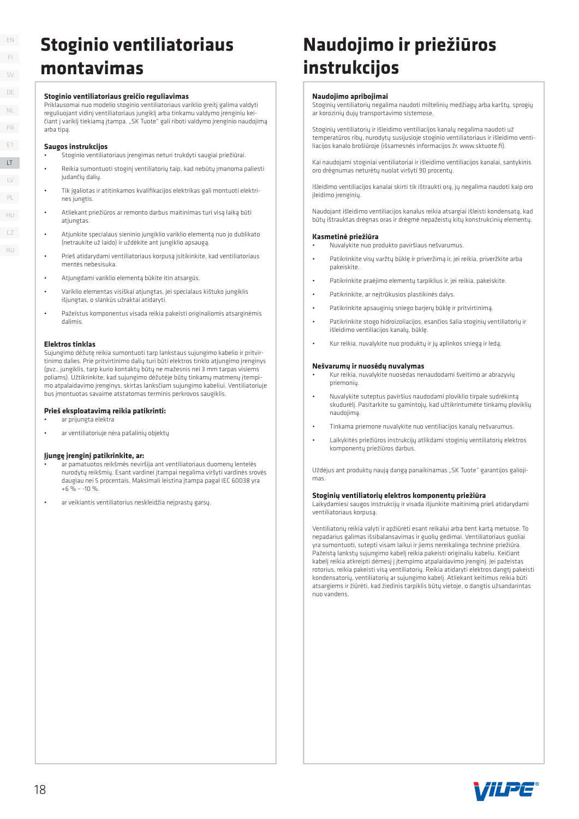RU

### **Stoginio ventiliatoriaus montavimas**

#### **Stoginio ventiliatoriaus greičio reguliavimas**

Priklausomai nuo modelio stoginio ventiliatoriaus variklio greitį galima valdyti reguliuojant vidinį ventiliatoriaus jungiklį arba tinkamu valdymo įrenginiu keičiant į variklį tiekiamą įtampa. "SK Tuote" gali riboti valdymo įrenginio naudojimą arba tipą.

#### **Saugos instrukcijos**

- Stoginio ventiliatoriaus įrengimas neturi trukdyti saugiai priežiūrai.
- Reikia sumontuoti stoginį ventiliatorių taip, kad nebūtų įmanoma paliesti judančių dalių.
- Tik įgaliotas ir atitinkamos kvalifikacijos elektrikas gali montuoti elektrines jungtis.
- Atliekant priežiūros ar remonto darbus maitinimas turi visą laiką būti atjungtas
- Atjunkite specialaus sieninio jungiklio variklio elementą nuo jo dublikato (netraukite už laido) ir uždėkite ant jungiklio apsaugą.
- Prieš atidarydami ventiliatoriaus korpusą įsitikinkite, kad ventiliatoriaus mentės nebesisuka.
- Atjungdami variklio elementą būkite itin atsargūs.
- Variklio elementas visiškai atjungtas, jei specialaus kištuko jungiklis išjungtas, o slankūs užraktai atidaryti.
- Pažeistus komponentus visada reikia pakeisti originaliomis atsarginėmis dalimis.

#### **Elektros tinklas**

Sujungimo dėžutę reikia sumontuoti tarp lankstaus sujungimo kabelio ir pritvirtinimo dalies. Prie pritvirtinimo dalių turi būti elektros tinklo atjungimo įrenginys (pvz., jungiklis, tarp kurio kontaktų būtų ne mažesnis nei 3 mm tarpas visiems poliams). Užtikrinkite, kad sujungimo dėžutėje būtų tinkamų matmenų įtempimo atpalaidavimo įrenginys, skirtas lanksčiam sujungimo kabeliui. Ventiliatoriuje bus įmontuotas savaime atstatomas terminis perkrovos saugiklis.

#### **Prieš eksploatavimą reikia patikrinti:**

- ar prijungta elektra
- ar ventiliatoriuje nėra pašalinių objektų

#### **Įjungę įrenginį patikrinkite, ar:**

- ar pamatuotos reikšmės neviršija ant ventiliatoriaus duomenų lentelės nurodytų reikšmių. Esant vardinei įtampai negalima viršyti vardinės srovės daugiau nei 5 procentais. Maksimali leistina įtampa pagal IEC 60038 yra  $+6$  % – -10 %.
- ar veikiantis ventiliatorius neskleidžia neįprastų garsų.

### **Naudojimo ir priežiūros instrukcijos**

#### **Naudojimo apribojimai**

Stoginių ventiliatorių negalima naudoti miltelinių medžiagų arba karštų, sprogių ar korozinių dujų transportavimo sistemose.

Stoginių ventiliatorių ir išleidimo ventiliacijos kanalų negalima naudoti už temperatūros ribų, nurodytų susijusioje stoginio ventiliatoriaus ir išleidimo ventiliacijos kanalo brošiūroje (išsamesnės informacijos žr. www.sktuote.fi).

Kai naudojami stoginiai ventiliatoriai ir išleidimo ventiliacijos kanalai, santykinis oro drėgnumas neturėtų nuolat viršyti 90 procentų.

Išleidimo ventiliacijos kanalai skirti tik ištraukti orą, jų negalima naudoti kaip oro įleidimo įrenginių.

Naudojant išleidimo ventiliacijos kanalus reikia atsargiai išleisti kondensatą, kad būtų ištrauktas drėgnas oras ir drėgmė nepažeistų kitų konstrukcinių elementų.

#### **Kasmetinė priežiūra**

• Nuvalykite nuo produkto paviršiaus nešvarumus.

- Patikrinkite visų varžtų būklę ir priveržimą ir, jei reikia, priveržkite arba pakeiskite.
- Patikrinkite praėjimo elementų tarpiklius ir, jei reikia, pakeiskite.
- Patikrinkite, ar neįtrūkusios plastikinės dalys.
- Patikrinkite apsauginių sniego barjerų būklę ir pritvirtinimą.
- Patikrinkite stogo hidroizoliacijos, esančios šalia stoginių ventiliatorių ir išleidimo ventiliacijos kanalų, būklę.
- Kur reikia, nuvalykite nuo produktų ir jų aplinkos sniegą ir ledą.

#### **Nešvarumų ir nuosėdų nuvalymas**

- Kur reikia, nuvalykite nuosėdas nenaudodami šveitimo ar abrazyvių priemonių.
- Nuvalykite suteptus paviršius naudodami ploviklio tirpale sudrėkintą skudurėlį. Pasitarkite su gamintojų, kad užtikrintumėte tinkamų ploviklių naudojimą.
- Tinkama priemone nuvalykite nuo ventiliacijos kanalų nešvarumus.
- Laikykitės priežiūros instrukcijų atlikdami stoginių ventiliatorių elektros komponentų priežiūros darbus.

Uždėjus ant produktų naują dangą panaikinamas "SK Tuote" garantijos galiojimas.

#### **Stoginių ventiliatorių elektros komponentų priežiūra**

Laikydamiesi saugos instrukcijų ir visada išjunkite maitinimą prieš atidarydami ventiliatoriaus korpusą.

Ventiliatorių reikia valyti ir apžiūrėti esant reikalui arba bent kartą metuose. To nepadarius galimas išsibalansavimas ir guolių gedimai. Ventiliatoriaus guoliai yra sumontuoti, sutepti visam laikui ir jiems nereikalinga techninė priežiūra. Pažeistą lankstų sujungimo kabelį reikia pakeisti originaliu kabeliu. Keičiant kabelį reikia atkreipti dėmesį į įtempimo atpalaidavimo įrenginį. Jei pažeistas rotorius, reikia pakeisti visą ventiliatorių. Reikia atidaryti elektros dangtį pakeisti kondensatorių, ventiliatorių ar sujungimo kabelį. Atliekant keitimus reikia būti atsargiems ir žiūrėti, kad žiedinis tarpiklis būtų vietoje, o dangtis užsandarintas nuo vandens.

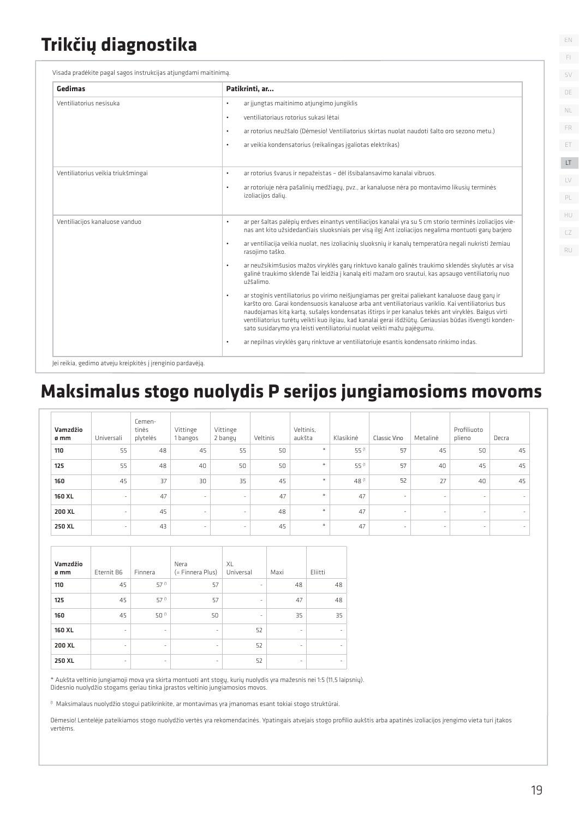## **Trikčių diagnostika**

Visada pradėkite pagal sagos instrukcijas atjungdami maitinimą.

| Gedimas                            | Patikrinti, ar                                                                                                                                                                                                                                                                                                                                                                                                                                                                                       |
|------------------------------------|------------------------------------------------------------------------------------------------------------------------------------------------------------------------------------------------------------------------------------------------------------------------------------------------------------------------------------------------------------------------------------------------------------------------------------------------------------------------------------------------------|
| Ventiliatorius nesisuka            | ar jjungtas maitinimo atjungimo jungiklis                                                                                                                                                                                                                                                                                                                                                                                                                                                            |
|                                    | ventiliatoriaus rotorius sukasi lėtai<br>٠                                                                                                                                                                                                                                                                                                                                                                                                                                                           |
|                                    | ar rotorius neužšalo (Dėmesio! Ventiliatorius skirtas nuolat naudoti šalto oro sezono metu.)<br>٠                                                                                                                                                                                                                                                                                                                                                                                                    |
|                                    | ar veikia kondensatorius (reikalingas jgaliotas elektrikas)<br>٠                                                                                                                                                                                                                                                                                                                                                                                                                                     |
| Ventiliatorius veikia triukšmingai | ar rotorius švarus ir nepažeistas - dėl išsibalansavimo kanalai vibruos.<br>۰                                                                                                                                                                                                                                                                                                                                                                                                                        |
|                                    | ar rotoriuje nėra pašalinių medžiagų, pvz., ar kanaluose nėra po montavimo likusių terminės<br>٠<br>izoliacijos dalių.                                                                                                                                                                                                                                                                                                                                                                               |
| Ventiliacijos kanaluose vanduo     | ar per šaltas palėpių erdves einantys ventiliacijos kanalai yra su 5 cm storio terminės izoliacijos vie-<br>٠<br>nas ant kito užsidedančiais sluoksniais per visą ilgį Ant izoliacijos negalima montuoti garų barjero                                                                                                                                                                                                                                                                                |
|                                    | ar ventiliacija veikia nuolat, nes izoliacinių sluoksnių ir kanalų temperatūra negali nukristi žemiau<br>٠<br>rasojimo taško.                                                                                                                                                                                                                                                                                                                                                                        |
|                                    | ar neužsikimšusios mažos viryklės garų rinktuvo kanalo galinės traukimo sklendės skylutės ar visa<br>$\bullet$<br>galinė traukimo sklendė Tai leidžia į kanalą eiti mažam oro srautui, kas apsaugo ventiliatorių nuo<br>užšalimo.                                                                                                                                                                                                                                                                    |
|                                    | ar stoginis ventiliatorius po virimo neišjungiamas per greitai paliekant kanaluose daug garų ir<br>٠<br>karšto oro. Garai kondensuosis kanaluose arba ant ventiliatoriaus variklio. Kai ventiliatorius bus<br>naudojamas kitą kartą, sušalęs kondensatas ištirps ir per kanalus tekės ant viryklės. Baigus virti<br>ventiliatorius turėtų veikti kuo ilgiau, kad kanalai gerai išdžiūtų. Geriausias būdas išvengti konden-<br>sato susidarymo yra leisti ventiliatoriui nuolat veikti mažu pajėgumu. |
|                                    | ar nepilnas viryklės garų rinktuve ar ventiliatoriuje esantis kondensato rinkimo indas.<br>٠                                                                                                                                                                                                                                                                                                                                                                                                         |

### **Maksimalus stogo nuolydis P serijos jungiamosioms movoms**

| Vamzdžio<br>ø mm | Universali               | Cemen-<br>tinės<br>plytelės | Vittinge<br>1 bangos     | Vittinge<br>2 bangy | Veltinis | Veltinis,<br>aukšta | Klasikinė | Classic Vino             | Metalinė                 | Profiliuoto<br>plieno    | Decra  |
|------------------|--------------------------|-----------------------------|--------------------------|---------------------|----------|---------------------|-----------|--------------------------|--------------------------|--------------------------|--------|
| 110              | 55                       | 48                          | 45                       | 55                  | 50       | $\divideontimes$    | 55 (1     | 57                       | 45                       | 50                       | 45     |
| 125              | 55                       | 48                          | 40                       | 50                  | 50       | $\divideontimes$    | 55 (1     | 57                       | 40                       | 45                       | 45     |
| 160              | 45                       | 37                          | 30                       | 35                  | 45       | $\divideontimes$    | 48 (1     | 52                       | 27                       | 40                       | 45     |
| 160 XL           | $\overline{\phantom{a}}$ | 47                          | $\sim$                   | ٠                   | 47       | $\divideontimes$    | 47        | $\overline{\phantom{a}}$ | -                        |                          | $\sim$ |
| 200 XL           | $\overline{\phantom{a}}$ | 45                          | $\overline{\phantom{a}}$ | $\sim$              | 48       | $\divideontimes$    | 47        | $\overline{\phantom{a}}$ | $\overline{\phantom{a}}$ | $\overline{\phantom{a}}$ | $\sim$ |
| 250 XL           | $\overline{\phantom{a}}$ | 43                          | $\overline{\phantom{a}}$ | $\sim$              | 45       | $\divideontimes$    | 47        | $\overline{\phantom{a}}$ | $\overline{\phantom{a}}$ | $\overline{\phantom{a}}$ | $\sim$ |

| Vamzdžio<br>ø mm | Eternit B6 | Finnera                  | Nera<br>(= Finnera Plus) | XL<br>Universal          | Maxi                     | Eliitti |
|------------------|------------|--------------------------|--------------------------|--------------------------|--------------------------|---------|
|                  |            |                          |                          |                          |                          |         |
| 110              | 45         | $57^{(1)}$               | 57                       | $\overline{\phantom{a}}$ | 48                       | 48      |
| 125              | 45         | 57 (1                    | 57                       | $\sim$                   | 47                       | 48      |
| 160              | 45         | 50 (1                    | 50                       | $\overline{\phantom{a}}$ | 35                       | 35      |
| 160 XL           | $\sim$     | $\overline{\phantom{a}}$ | $\overline{\phantom{m}}$ | 52                       | $\overline{\phantom{0}}$ |         |
| 200 XL           | ٠          | ۰                        | ٠                        | 52                       | ٠                        |         |
| 250 XL           | ۰          | ٠                        | ٠                        | 52                       | ۰                        | ۰       |

\* Aukšta veltinio jungiamoji mova yra skirta montuoti ant stogų, kurių nuolydis yra mažesnis nei 1:5 (11,5 laipsnių). Didesnio nuolydžio stogams geriau tinka įprastos veltinio jungiamosios movos.

(1 Maksimalaus nuolydžio stogui patikrinkite, ar montavimas yra įmanomas esant tokiai stogo struktūrai.

Dėmesio! Lentelėje pateikiamos stogo nuolydžio vertės yra rekomendacinės. Ypatingais atvejais stogo profilio aukštis arba apatinės izoliacijos įrengimo vieta turi įtakos vertėms.

FI

EN

SV DE

NL

LT LV ET FR PL

HU CZ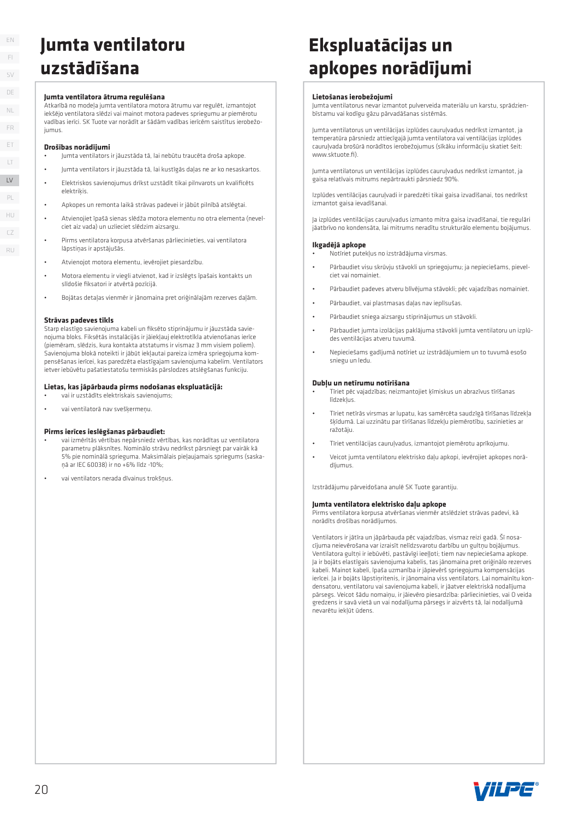### EN FI SV DE LT LV LV ET FR PL NL

HU  $CZ$ RU

### **Jumta ventilatoru uzstādīšana**

#### **Jumta ventilatora ātruma regulēšana**

Atkarībā no modeļa jumta ventilatora motora ātrumu var regulēt, izmantojot iekšējo ventilatora slēdzi vai mainot motora padeves spriegumu ar piemērotu vadības ierīci. SK Tuote var norādīt ar šādām vadības ierīcēm saistītus ierobežojumus.

#### **Drošības norādījumi**

- Jumta ventilators ir jāuzstāda tā, lai nebūtu traucēta droša apkope.
- Jumta ventilators ir jāuzstāda tā, lai kustīgās daļas ne ar ko nesaskartos.
- Elektriskos savienojumus drīkst uzstādīt tikai pilnvarots un kvalificēts elektriķis
- Apkopes un remonta laikā strāvas padevei ir jābūt pilnībā atslēgtai.
- Atvienojiet īpašā sienas slēdža motora elementu no otra elementa (nevelciet aiz vada) un uzlieciet slēdzim aizsargu.
- Pirms ventilatora korpusa atvēršanas pārliecinieties, vai ventilatora lāpstiņas ir apstājušās.
- Atvienojot motora elementu, ievērojiet piesardzību.
- Motora elementu ir viegli atvienot, kad ir izslēgts īpašais kontakts un slīdošie fiksatori ir atvērtā pozīcijā.
- Bojātas detaļas vienmēr ir jānomaina pret oriģinālajām rezerves daļām.

#### **Strāvas padeves tīkls**

Starp elastīgo savienojuma kabeli un fiksēto stiprinājumu ir jāuzstāda savienojuma bloks. Fiksētās instalācijās ir jāiekļauj elektrotīkla atvienošanas ierīce (piemēram, slēdzis, kura kontakta atstatums ir vismaz 3 mm visiem poliem). Savienojuma blokā noteikti ir jābūt iekļautai pareiza izmēra spriegojuma kompensēšanas ierīcei, kas paredzēta elastīgajam savienojuma kabelim. Ventilators ietver iebūvētu pašatiestatošu termiskās pārslodzes atslēgšanas funkciju.

#### **Lietas, kas jāpārbauda pirms nodošanas ekspluatācijā:**

- vai ir uzstādīts elektriskais savienojums;
- vai ventilatorā nav svešķermeņu.

#### **Pirms ierīces ieslēgšanas pārbaudiet:**

- vai izmērītās vērtības nepārsniedz vērtības, kas norādītas uz ventilatora parametru plāksnītes. Nominālo strāvu nedrīkst pārsniegt par vairāk kā 5% pie nominālā sprieguma. Maksimālais pieļaujamais spriegums (saskaņā ar IEC 60038) ir no +6% līdz -10%;
- vai ventilators nerada dīvainus trokšņus.

### **Ekspluatācijas un apkopes norādījumi**

#### **Lietošanas ierobežojumi**

Jumta ventilatorus nevar izmantot pulverveida materiālu un karstu, sprādzienbīstamu vai kodīgu gāzu pārvadāšanas sistēmās.

Jumta ventilatorus un ventilācijas izplūdes cauruļvadus nedrīkst izmantot, ja temperatūra pārsniedz attiecīgajā jumta ventilatora vai ventilācijas izplūdes cauruļvada brošūrā norādītos ierobežojumus (sīkāku informāciju skatiet šeit: www.sktuote.fi).

Jumta ventilatorus un ventilācijas izplūdes cauruļvadus nedrīkst izmantot, ja gaisa relatīvais mitrums nepārtraukti pārsniedz 90%.

Izplūdes ventilācijas caurulvadi ir paredzēti tikai gaisa izvadīšanai, tos nedrīkst izmantot gaisa ievadīšanai.

Ja izplūdes ventilācijas cauruļvadus izmanto mitra gaisa izvadīšanai, tie regulāri jāatbrīvo no kondensāta, lai mitrums neradītu strukturālo elementu bojājumus.

#### **Ikgadējā apkope**

- Notīriet putekļus no izstrādājuma virsmas.
- Pārbaudiet visu skrūvju stāvokli un spriegojumu; ja nepieciešams, pievelciet vai nomainiet.
- Pārbaudiet padeves atveru blīvējuma stāvokli; pēc vajadzības nomainiet.
- Pārbaudiet, vai plastmasas daļas nav ieplīsušas.
- Pārbaudiet sniega aizsargu stiprinājumus un stāvokli.
- Pārbaudiet jumta izolācijas paklājuma stāvokli jumta ventilatoru un izplūdes ventilācijas atveru tuvumā.
- Nepieciešams gadījumā notīriet uz izstrādājumiem un to tuvumā esošo sniegu un ledu.

#### **Dubļu un netīrumu notīrīšana**

• Tīriet pēc vajadzības; neizmantojiet ķīmiskus un abrazīvus tīrīšanas līdzekļus

- Tīriet netīrās virsmas ar lupatu, kas samērcēta saudzīgā tīrīšanas līdzekļa šķīdumā. Lai uzzinātu par tīrīšanas līdzekļu piemērotību, sazinieties ar ražotāju.
- Tīriet ventilācijas cauruļvadus, izmantojot piemērotu aprīkojumu.
- Veicot jumta ventilatoru elektrisko daļu apkopi, ievērojiet apkopes norādījumus.

Izstrādājumu pārveidošana anulē SK Tuote garantiju.

#### **Jumta ventilatora elektrisko daļu apkope**

Pirms ventilatora korpusa atvēršanas vienmēr atslēdziet strāvas padevi, kā norādīts drošības norādījumos.

Ventilators ir jātīra un jāpārbauda pēc vajadzības, vismaz reizi gadā. Šī nosacījuma neievērošana var izraisīt nelīdzsvarotu darbību un gultņu bojājumus. Ventilatora gultņi ir iebūvēti, pastāvīgi ieeļļoti; tiem nav nepieciešama apkope. Ja ir bojāts elastīgais savienojuma kabelis, tas jānomaina pret oriģinālo rezerves kabeli. Mainot kabeli, īpaša uzmanība ir jāpievērš spriegojuma kompensācijas ierīcei. Ja ir bojāts lāpstiņritenis, ir jānomaina viss ventilators. Lai nomainītu kondensatoru, ventilatoru vai savienojuma kabeli, ir jāatver elektriskā nodalījuma pārsegs. Veicot šādu nomaiņu, ir jāievēro piesardzība: pārliecinieties, vai O veida gredzens ir savā vietā un vai nodalījuma pārsegs ir aizvērts tā, lai nodalījumā nevarētu iekļūt ūdens.

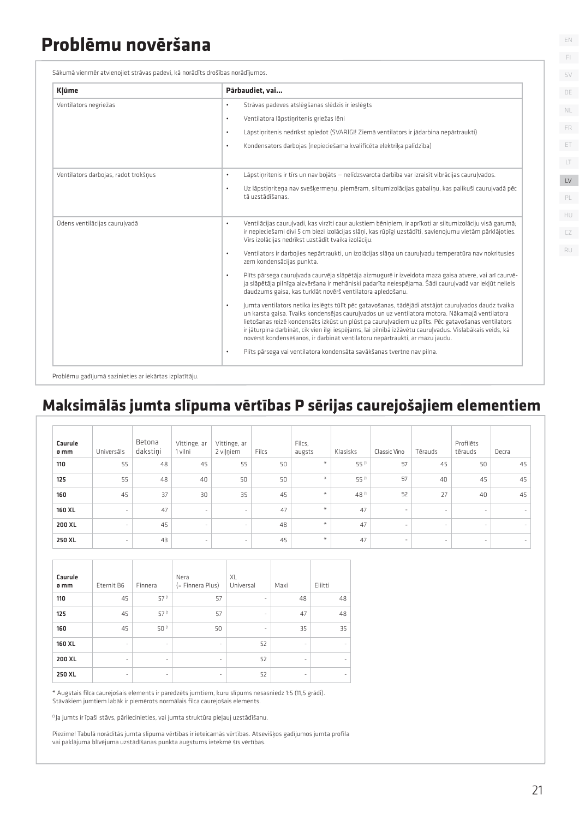### **Problēmu novēršana**

|  | Sākumā vienmēr atvienojiet strāvas padevi, kā norādīts drošības norādījumos. |
|--|------------------------------------------------------------------------------|
|--|------------------------------------------------------------------------------|

| Ventilators negriežas<br>Strāvas padeves atslēgšanas slēdzis ir ieslēgts<br>$\bullet$<br>Ventilatora lāpstiņritenis griežas lēni<br>$\bullet$<br>Lāpstiņritenis nedrīkst apledot (SVARĪGI! Ziemā ventilators ir jādarbina nepārtraukti)<br>$\bullet$<br>Kondensators darbojas (nepieciešama kvalificēta elektrika palīdzība)<br>$\bullet$<br>Ventilators darbojas, radot trokšņus<br>Lāpstiņritenis ir tīrs un nav bojāts - nelīdzsvarota darbība var izraisīt vibrācijas cauruļvados.<br>$\bullet$<br>Uz lāpstiņriteņa nav svešķermeņu, piemēram, siltumizolācijas gabaliņu, kas palikuši cauruļvadā pēc<br>$\bullet$<br>tā uzstādīšanas.<br>Ūdens ventilācijas cauruļvadā<br>Ventilācijas cauruļvadi, kas virzīti caur aukstiem bēniņiem, ir aprīkoti ar siltumizolāciju visā garumā;<br>$\bullet$<br>ir nepieciešami divi 5 cm biezi izolācijas slāņi, kas rūpīgi uzstādīti, savienojumu vietām pārklājoties.<br>Virs izolācijas nedrīkst uzstādīt tvaika izolāciju.<br>$\bullet$<br>Ventilators ir darbojies nepārtraukti, un izolācijas slāņa un cauruļvadu temperatūra nav nokritusies<br>zem kondensācijas punkta.<br>$\bullet$<br>Plīts pārsega cauruļvada caurvēja slāpētāja aizmugurē ir izveidota maza gaisa atvere, vai arī caurvē-<br>ja slāpētāja pilnīga aizvēršana ir mehāniski padarīta neiespējama. Šādi cauruļvadā var iekļūt neliels<br>daudzums gaisa, kas turklāt novērš ventilatora apledošanu.<br>Jumta ventilators netika izslēgts tūlīt pēc gatavošanas, tādējādi atstājot cauruļvados daudz tvaika<br>$\bullet$<br>un karsta gaisa. Tvaiks kondensējas cauruļvados un uz ventilatora motora. Nākamajā ventilatora<br>lietošanas reizē kondensāts izkūst un plūst pa cauruļvadiem uz plīts. Pēc gatavošanas ventilators<br>ir jāturpina darbināt, cik vien ilgi iespējams, lai pilnībā izžāvētu cauruļvadus. Vislabākais veids, kā<br>novērst kondensēšanos, ir darbināt ventilatoru nepārtraukti, ar mazu jaudu.<br>Plīts pārsega vai ventilatora kondensāta savākšanas tvertne nav pilna.<br>$\bullet$<br>Problēmu gadījumā sazinieties ar iekārtas izplatītāju.<br>Maksimālās jumta slīpuma vērtības P sērijas caurejošajiem elementiem<br>Betona<br>Vittinge, ar<br>Filcs.<br>Profilēts<br>Caurule<br>Vittinge, ar<br>dakstini<br>1 vilni<br>2 vilniem<br>Filcs<br>Klasisks<br>Classic Vino<br>tērauds<br>ø mm<br>Universāls<br>augsts<br>Tērauds<br>Decra<br>$\star$<br>55 (1<br>57<br>45<br>55<br>48<br>55<br>50<br>50<br>45<br>110<br>45<br>$\star$<br>55 (1<br>55<br>48<br>57<br>45<br>125<br>40<br>50<br>50<br>40<br>45<br>₩<br>48 (1<br>45<br>37<br>35<br>45<br>52<br>27<br>45<br>160<br>30<br>40<br>$\ast$<br><b>160 XL</b><br>47<br>47<br>47<br>$\sim$<br>÷,<br>÷,<br>$\ast$<br>200 XL<br>45<br>47<br>48<br>i.<br>÷,<br>250 XL<br>43<br>45<br>₩<br>47<br>ä,<br>Caurule<br>XL<br>Nera<br>Eternit B6<br>(= Finnera Plus)<br>Universal<br>Maxi<br>Eliitti<br>ø mm<br>Finnera<br>57 (1<br>110<br>45<br>57<br>48<br>48<br>57 (1<br>45<br>57<br>125<br>47<br>48<br>50 (1<br>45<br>50<br>35<br>35<br>160<br>160 XL<br>52<br>$\sim$<br>$\overline{\phantom{a}}$<br>ł,<br>$\overline{\phantom{a}}$<br>200 XL<br>52<br>Î,<br>÷,<br>52<br>250 XL<br>. (11,5 qrādi). Aurejošais elements ir paredzēts jumtiem, kuru slīpums nesasniedz 1:5 (11,5 grādi) *<br>Stāvākiem jumtiem labāk ir piemērots normālais filca caurejošais elements.<br><sup>0</sup> Ja jumts ir īpaši stāvs, pārliecinieties, vai jumta struktūra pieļauj uzstādīšanu. | Piezīme! Tabulā norādītās jumta slīpuma vērtības ir ieteicamās vērtības. Atsevišķos gadījumos jumta profila |  |  | Pārbaudiet, vai |  |  |  |  |
|----------------------------------------------------------------------------------------------------------------------------------------------------------------------------------------------------------------------------------------------------------------------------------------------------------------------------------------------------------------------------------------------------------------------------------------------------------------------------------------------------------------------------------------------------------------------------------------------------------------------------------------------------------------------------------------------------------------------------------------------------------------------------------------------------------------------------------------------------------------------------------------------------------------------------------------------------------------------------------------------------------------------------------------------------------------------------------------------------------------------------------------------------------------------------------------------------------------------------------------------------------------------------------------------------------------------------------------------------------------------------------------------------------------------------------------------------------------------------------------------------------------------------------------------------------------------------------------------------------------------------------------------------------------------------------------------------------------------------------------------------------------------------------------------------------------------------------------------------------------------------------------------------------------------------------------------------------------------------------------------------------------------------------------------------------------------------------------------------------------------------------------------------------------------------------------------------------------------------------------------------------------------------------------------------------------------------------------------------------------------------------------------------------------------------------------------------------------------------------------------------------------------------------------------------------------------------------------------------------------------------------------------------------------------------------------------------------------------------------------------------------------------------------------------------------------------------------------------------------------------------------------------------------------------------------------------------------------------------------------------------------------------------------------------------------------------------------------------------------------------------------------------------------------------------------------------------------------------------------------------------------------------------------------------------------------------------------------------------------------------------------------------------------------------------------------------------------------------|-------------------------------------------------------------------------------------------------------------|--|--|-----------------|--|--|--|--|
|                                                                                                                                                                                                                                                                                                                                                                                                                                                                                                                                                                                                                                                                                                                                                                                                                                                                                                                                                                                                                                                                                                                                                                                                                                                                                                                                                                                                                                                                                                                                                                                                                                                                                                                                                                                                                                                                                                                                                                                                                                                                                                                                                                                                                                                                                                                                                                                                                                                                                                                                                                                                                                                                                                                                                                                                                                                                                                                                                                                                                                                                                                                                                                                                                                                                                                                                                                                                                                                                      |                                                                                                             |  |  |                 |  |  |  |  |
|                                                                                                                                                                                                                                                                                                                                                                                                                                                                                                                                                                                                                                                                                                                                                                                                                                                                                                                                                                                                                                                                                                                                                                                                                                                                                                                                                                                                                                                                                                                                                                                                                                                                                                                                                                                                                                                                                                                                                                                                                                                                                                                                                                                                                                                                                                                                                                                                                                                                                                                                                                                                                                                                                                                                                                                                                                                                                                                                                                                                                                                                                                                                                                                                                                                                                                                                                                                                                                                                      |                                                                                                             |  |  |                 |  |  |  |  |
|                                                                                                                                                                                                                                                                                                                                                                                                                                                                                                                                                                                                                                                                                                                                                                                                                                                                                                                                                                                                                                                                                                                                                                                                                                                                                                                                                                                                                                                                                                                                                                                                                                                                                                                                                                                                                                                                                                                                                                                                                                                                                                                                                                                                                                                                                                                                                                                                                                                                                                                                                                                                                                                                                                                                                                                                                                                                                                                                                                                                                                                                                                                                                                                                                                                                                                                                                                                                                                                                      |                                                                                                             |  |  |                 |  |  |  |  |
|                                                                                                                                                                                                                                                                                                                                                                                                                                                                                                                                                                                                                                                                                                                                                                                                                                                                                                                                                                                                                                                                                                                                                                                                                                                                                                                                                                                                                                                                                                                                                                                                                                                                                                                                                                                                                                                                                                                                                                                                                                                                                                                                                                                                                                                                                                                                                                                                                                                                                                                                                                                                                                                                                                                                                                                                                                                                                                                                                                                                                                                                                                                                                                                                                                                                                                                                                                                                                                                                      |                                                                                                             |  |  |                 |  |  |  |  |
|                                                                                                                                                                                                                                                                                                                                                                                                                                                                                                                                                                                                                                                                                                                                                                                                                                                                                                                                                                                                                                                                                                                                                                                                                                                                                                                                                                                                                                                                                                                                                                                                                                                                                                                                                                                                                                                                                                                                                                                                                                                                                                                                                                                                                                                                                                                                                                                                                                                                                                                                                                                                                                                                                                                                                                                                                                                                                                                                                                                                                                                                                                                                                                                                                                                                                                                                                                                                                                                                      |                                                                                                             |  |  |                 |  |  |  |  |
|                                                                                                                                                                                                                                                                                                                                                                                                                                                                                                                                                                                                                                                                                                                                                                                                                                                                                                                                                                                                                                                                                                                                                                                                                                                                                                                                                                                                                                                                                                                                                                                                                                                                                                                                                                                                                                                                                                                                                                                                                                                                                                                                                                                                                                                                                                                                                                                                                                                                                                                                                                                                                                                                                                                                                                                                                                                                                                                                                                                                                                                                                                                                                                                                                                                                                                                                                                                                                                                                      |                                                                                                             |  |  |                 |  |  |  |  |
|                                                                                                                                                                                                                                                                                                                                                                                                                                                                                                                                                                                                                                                                                                                                                                                                                                                                                                                                                                                                                                                                                                                                                                                                                                                                                                                                                                                                                                                                                                                                                                                                                                                                                                                                                                                                                                                                                                                                                                                                                                                                                                                                                                                                                                                                                                                                                                                                                                                                                                                                                                                                                                                                                                                                                                                                                                                                                                                                                                                                                                                                                                                                                                                                                                                                                                                                                                                                                                                                      |                                                                                                             |  |  |                 |  |  |  |  |
|                                                                                                                                                                                                                                                                                                                                                                                                                                                                                                                                                                                                                                                                                                                                                                                                                                                                                                                                                                                                                                                                                                                                                                                                                                                                                                                                                                                                                                                                                                                                                                                                                                                                                                                                                                                                                                                                                                                                                                                                                                                                                                                                                                                                                                                                                                                                                                                                                                                                                                                                                                                                                                                                                                                                                                                                                                                                                                                                                                                                                                                                                                                                                                                                                                                                                                                                                                                                                                                                      |                                                                                                             |  |  |                 |  |  |  |  |
|                                                                                                                                                                                                                                                                                                                                                                                                                                                                                                                                                                                                                                                                                                                                                                                                                                                                                                                                                                                                                                                                                                                                                                                                                                                                                                                                                                                                                                                                                                                                                                                                                                                                                                                                                                                                                                                                                                                                                                                                                                                                                                                                                                                                                                                                                                                                                                                                                                                                                                                                                                                                                                                                                                                                                                                                                                                                                                                                                                                                                                                                                                                                                                                                                                                                                                                                                                                                                                                                      |                                                                                                             |  |  |                 |  |  |  |  |
|                                                                                                                                                                                                                                                                                                                                                                                                                                                                                                                                                                                                                                                                                                                                                                                                                                                                                                                                                                                                                                                                                                                                                                                                                                                                                                                                                                                                                                                                                                                                                                                                                                                                                                                                                                                                                                                                                                                                                                                                                                                                                                                                                                                                                                                                                                                                                                                                                                                                                                                                                                                                                                                                                                                                                                                                                                                                                                                                                                                                                                                                                                                                                                                                                                                                                                                                                                                                                                                                      |                                                                                                             |  |  |                 |  |  |  |  |
|                                                                                                                                                                                                                                                                                                                                                                                                                                                                                                                                                                                                                                                                                                                                                                                                                                                                                                                                                                                                                                                                                                                                                                                                                                                                                                                                                                                                                                                                                                                                                                                                                                                                                                                                                                                                                                                                                                                                                                                                                                                                                                                                                                                                                                                                                                                                                                                                                                                                                                                                                                                                                                                                                                                                                                                                                                                                                                                                                                                                                                                                                                                                                                                                                                                                                                                                                                                                                                                                      |                                                                                                             |  |  |                 |  |  |  |  |
|                                                                                                                                                                                                                                                                                                                                                                                                                                                                                                                                                                                                                                                                                                                                                                                                                                                                                                                                                                                                                                                                                                                                                                                                                                                                                                                                                                                                                                                                                                                                                                                                                                                                                                                                                                                                                                                                                                                                                                                                                                                                                                                                                                                                                                                                                                                                                                                                                                                                                                                                                                                                                                                                                                                                                                                                                                                                                                                                                                                                                                                                                                                                                                                                                                                                                                                                                                                                                                                                      |                                                                                                             |  |  |                 |  |  |  |  |
|                                                                                                                                                                                                                                                                                                                                                                                                                                                                                                                                                                                                                                                                                                                                                                                                                                                                                                                                                                                                                                                                                                                                                                                                                                                                                                                                                                                                                                                                                                                                                                                                                                                                                                                                                                                                                                                                                                                                                                                                                                                                                                                                                                                                                                                                                                                                                                                                                                                                                                                                                                                                                                                                                                                                                                                                                                                                                                                                                                                                                                                                                                                                                                                                                                                                                                                                                                                                                                                                      |                                                                                                             |  |  |                 |  |  |  |  |
|                                                                                                                                                                                                                                                                                                                                                                                                                                                                                                                                                                                                                                                                                                                                                                                                                                                                                                                                                                                                                                                                                                                                                                                                                                                                                                                                                                                                                                                                                                                                                                                                                                                                                                                                                                                                                                                                                                                                                                                                                                                                                                                                                                                                                                                                                                                                                                                                                                                                                                                                                                                                                                                                                                                                                                                                                                                                                                                                                                                                                                                                                                                                                                                                                                                                                                                                                                                                                                                                      |                                                                                                             |  |  |                 |  |  |  |  |
|                                                                                                                                                                                                                                                                                                                                                                                                                                                                                                                                                                                                                                                                                                                                                                                                                                                                                                                                                                                                                                                                                                                                                                                                                                                                                                                                                                                                                                                                                                                                                                                                                                                                                                                                                                                                                                                                                                                                                                                                                                                                                                                                                                                                                                                                                                                                                                                                                                                                                                                                                                                                                                                                                                                                                                                                                                                                                                                                                                                                                                                                                                                                                                                                                                                                                                                                                                                                                                                                      |                                                                                                             |  |  |                 |  |  |  |  |
|                                                                                                                                                                                                                                                                                                                                                                                                                                                                                                                                                                                                                                                                                                                                                                                                                                                                                                                                                                                                                                                                                                                                                                                                                                                                                                                                                                                                                                                                                                                                                                                                                                                                                                                                                                                                                                                                                                                                                                                                                                                                                                                                                                                                                                                                                                                                                                                                                                                                                                                                                                                                                                                                                                                                                                                                                                                                                                                                                                                                                                                                                                                                                                                                                                                                                                                                                                                                                                                                      |                                                                                                             |  |  |                 |  |  |  |  |
|                                                                                                                                                                                                                                                                                                                                                                                                                                                                                                                                                                                                                                                                                                                                                                                                                                                                                                                                                                                                                                                                                                                                                                                                                                                                                                                                                                                                                                                                                                                                                                                                                                                                                                                                                                                                                                                                                                                                                                                                                                                                                                                                                                                                                                                                                                                                                                                                                                                                                                                                                                                                                                                                                                                                                                                                                                                                                                                                                                                                                                                                                                                                                                                                                                                                                                                                                                                                                                                                      |                                                                                                             |  |  |                 |  |  |  |  |
|                                                                                                                                                                                                                                                                                                                                                                                                                                                                                                                                                                                                                                                                                                                                                                                                                                                                                                                                                                                                                                                                                                                                                                                                                                                                                                                                                                                                                                                                                                                                                                                                                                                                                                                                                                                                                                                                                                                                                                                                                                                                                                                                                                                                                                                                                                                                                                                                                                                                                                                                                                                                                                                                                                                                                                                                                                                                                                                                                                                                                                                                                                                                                                                                                                                                                                                                                                                                                                                                      |                                                                                                             |  |  |                 |  |  |  |  |
|                                                                                                                                                                                                                                                                                                                                                                                                                                                                                                                                                                                                                                                                                                                                                                                                                                                                                                                                                                                                                                                                                                                                                                                                                                                                                                                                                                                                                                                                                                                                                                                                                                                                                                                                                                                                                                                                                                                                                                                                                                                                                                                                                                                                                                                                                                                                                                                                                                                                                                                                                                                                                                                                                                                                                                                                                                                                                                                                                                                                                                                                                                                                                                                                                                                                                                                                                                                                                                                                      |                                                                                                             |  |  |                 |  |  |  |  |
|                                                                                                                                                                                                                                                                                                                                                                                                                                                                                                                                                                                                                                                                                                                                                                                                                                                                                                                                                                                                                                                                                                                                                                                                                                                                                                                                                                                                                                                                                                                                                                                                                                                                                                                                                                                                                                                                                                                                                                                                                                                                                                                                                                                                                                                                                                                                                                                                                                                                                                                                                                                                                                                                                                                                                                                                                                                                                                                                                                                                                                                                                                                                                                                                                                                                                                                                                                                                                                                                      |                                                                                                             |  |  |                 |  |  |  |  |
|                                                                                                                                                                                                                                                                                                                                                                                                                                                                                                                                                                                                                                                                                                                                                                                                                                                                                                                                                                                                                                                                                                                                                                                                                                                                                                                                                                                                                                                                                                                                                                                                                                                                                                                                                                                                                                                                                                                                                                                                                                                                                                                                                                                                                                                                                                                                                                                                                                                                                                                                                                                                                                                                                                                                                                                                                                                                                                                                                                                                                                                                                                                                                                                                                                                                                                                                                                                                                                                                      |                                                                                                             |  |  |                 |  |  |  |  |
|                                                                                                                                                                                                                                                                                                                                                                                                                                                                                                                                                                                                                                                                                                                                                                                                                                                                                                                                                                                                                                                                                                                                                                                                                                                                                                                                                                                                                                                                                                                                                                                                                                                                                                                                                                                                                                                                                                                                                                                                                                                                                                                                                                                                                                                                                                                                                                                                                                                                                                                                                                                                                                                                                                                                                                                                                                                                                                                                                                                                                                                                                                                                                                                                                                                                                                                                                                                                                                                                      |                                                                                                             |  |  |                 |  |  |  |  |
|                                                                                                                                                                                                                                                                                                                                                                                                                                                                                                                                                                                                                                                                                                                                                                                                                                                                                                                                                                                                                                                                                                                                                                                                                                                                                                                                                                                                                                                                                                                                                                                                                                                                                                                                                                                                                                                                                                                                                                                                                                                                                                                                                                                                                                                                                                                                                                                                                                                                                                                                                                                                                                                                                                                                                                                                                                                                                                                                                                                                                                                                                                                                                                                                                                                                                                                                                                                                                                                                      |                                                                                                             |  |  |                 |  |  |  |  |
|                                                                                                                                                                                                                                                                                                                                                                                                                                                                                                                                                                                                                                                                                                                                                                                                                                                                                                                                                                                                                                                                                                                                                                                                                                                                                                                                                                                                                                                                                                                                                                                                                                                                                                                                                                                                                                                                                                                                                                                                                                                                                                                                                                                                                                                                                                                                                                                                                                                                                                                                                                                                                                                                                                                                                                                                                                                                                                                                                                                                                                                                                                                                                                                                                                                                                                                                                                                                                                                                      |                                                                                                             |  |  |                 |  |  |  |  |
|                                                                                                                                                                                                                                                                                                                                                                                                                                                                                                                                                                                                                                                                                                                                                                                                                                                                                                                                                                                                                                                                                                                                                                                                                                                                                                                                                                                                                                                                                                                                                                                                                                                                                                                                                                                                                                                                                                                                                                                                                                                                                                                                                                                                                                                                                                                                                                                                                                                                                                                                                                                                                                                                                                                                                                                                                                                                                                                                                                                                                                                                                                                                                                                                                                                                                                                                                                                                                                                                      |                                                                                                             |  |  |                 |  |  |  |  |
|                                                                                                                                                                                                                                                                                                                                                                                                                                                                                                                                                                                                                                                                                                                                                                                                                                                                                                                                                                                                                                                                                                                                                                                                                                                                                                                                                                                                                                                                                                                                                                                                                                                                                                                                                                                                                                                                                                                                                                                                                                                                                                                                                                                                                                                                                                                                                                                                                                                                                                                                                                                                                                                                                                                                                                                                                                                                                                                                                                                                                                                                                                                                                                                                                                                                                                                                                                                                                                                                      |                                                                                                             |  |  |                 |  |  |  |  |
|                                                                                                                                                                                                                                                                                                                                                                                                                                                                                                                                                                                                                                                                                                                                                                                                                                                                                                                                                                                                                                                                                                                                                                                                                                                                                                                                                                                                                                                                                                                                                                                                                                                                                                                                                                                                                                                                                                                                                                                                                                                                                                                                                                                                                                                                                                                                                                                                                                                                                                                                                                                                                                                                                                                                                                                                                                                                                                                                                                                                                                                                                                                                                                                                                                                                                                                                                                                                                                                                      |                                                                                                             |  |  |                 |  |  |  |  |
|                                                                                                                                                                                                                                                                                                                                                                                                                                                                                                                                                                                                                                                                                                                                                                                                                                                                                                                                                                                                                                                                                                                                                                                                                                                                                                                                                                                                                                                                                                                                                                                                                                                                                                                                                                                                                                                                                                                                                                                                                                                                                                                                                                                                                                                                                                                                                                                                                                                                                                                                                                                                                                                                                                                                                                                                                                                                                                                                                                                                                                                                                                                                                                                                                                                                                                                                                                                                                                                                      |                                                                                                             |  |  |                 |  |  |  |  |
|                                                                                                                                                                                                                                                                                                                                                                                                                                                                                                                                                                                                                                                                                                                                                                                                                                                                                                                                                                                                                                                                                                                                                                                                                                                                                                                                                                                                                                                                                                                                                                                                                                                                                                                                                                                                                                                                                                                                                                                                                                                                                                                                                                                                                                                                                                                                                                                                                                                                                                                                                                                                                                                                                                                                                                                                                                                                                                                                                                                                                                                                                                                                                                                                                                                                                                                                                                                                                                                                      |                                                                                                             |  |  |                 |  |  |  |  |
|                                                                                                                                                                                                                                                                                                                                                                                                                                                                                                                                                                                                                                                                                                                                                                                                                                                                                                                                                                                                                                                                                                                                                                                                                                                                                                                                                                                                                                                                                                                                                                                                                                                                                                                                                                                                                                                                                                                                                                                                                                                                                                                                                                                                                                                                                                                                                                                                                                                                                                                                                                                                                                                                                                                                                                                                                                                                                                                                                                                                                                                                                                                                                                                                                                                                                                                                                                                                                                                                      |                                                                                                             |  |  |                 |  |  |  |  |
|                                                                                                                                                                                                                                                                                                                                                                                                                                                                                                                                                                                                                                                                                                                                                                                                                                                                                                                                                                                                                                                                                                                                                                                                                                                                                                                                                                                                                                                                                                                                                                                                                                                                                                                                                                                                                                                                                                                                                                                                                                                                                                                                                                                                                                                                                                                                                                                                                                                                                                                                                                                                                                                                                                                                                                                                                                                                                                                                                                                                                                                                                                                                                                                                                                                                                                                                                                                                                                                                      |                                                                                                             |  |  |                 |  |  |  |  |
|                                                                                                                                                                                                                                                                                                                                                                                                                                                                                                                                                                                                                                                                                                                                                                                                                                                                                                                                                                                                                                                                                                                                                                                                                                                                                                                                                                                                                                                                                                                                                                                                                                                                                                                                                                                                                                                                                                                                                                                                                                                                                                                                                                                                                                                                                                                                                                                                                                                                                                                                                                                                                                                                                                                                                                                                                                                                                                                                                                                                                                                                                                                                                                                                                                                                                                                                                                                                                                                                      |                                                                                                             |  |  |                 |  |  |  |  |
| vai paklājuma blīvējuma uzstādīšanas punkta augstums ietekmē šīs vērtības.                                                                                                                                                                                                                                                                                                                                                                                                                                                                                                                                                                                                                                                                                                                                                                                                                                                                                                                                                                                                                                                                                                                                                                                                                                                                                                                                                                                                                                                                                                                                                                                                                                                                                                                                                                                                                                                                                                                                                                                                                                                                                                                                                                                                                                                                                                                                                                                                                                                                                                                                                                                                                                                                                                                                                                                                                                                                                                                                                                                                                                                                                                                                                                                                                                                                                                                                                                                           |                                                                                                             |  |  |                 |  |  |  |  |

### **Maksimālās jumta slīpuma vērtības P sērijas caurejošajiem elementiem**

| Caurule<br>ø mm | Universāls               | Betona<br>dakstini | Vittinge, ar<br>1 vilni  | Vittinge, ar<br>2 viļņiem | Filcs | Filcs.<br>augsts | Klasisks | Classic Vino             | Tērauds                  | Profilēts<br>tērauds     | Decra |
|-----------------|--------------------------|--------------------|--------------------------|---------------------------|-------|------------------|----------|--------------------------|--------------------------|--------------------------|-------|
| 110             | 55                       | 48                 | 45                       | 55                        | 50    | $\ast$           | 55 (1    | 57                       | 45                       | 50                       | 45    |
| 125             | 55                       | 48                 | 40                       | 50                        | 50    | $\ast$           | 55 (1    | 57                       | 40                       | 45                       | 45    |
| 160             | 45                       | 37                 | 30                       | 35                        | 45    | $*$              | 48 (1    | 52                       | 27                       | 40                       | 45    |
| 160 XL          | $\overline{\phantom{a}}$ | 47                 | $\sim$                   | $\sim$                    | 47    | $\star$          | 47       | $\qquad \qquad =$        | $\overline{\phantom{a}}$ | $\sim$                   | ۰     |
| 200 XL          | $\sim$                   | 45                 | $\overline{\phantom{a}}$ | ٠                         | 48    | $\ast$           | 47       | $\overline{\phantom{a}}$ | $\sim$                   | $\sim$                   | ٠     |
| 250 XL          |                          | 43                 | $\sim$                   | ٠                         | 45    | $\ast$           | 47       | $\overline{\phantom{a}}$ | $\overline{\phantom{a}}$ | $\overline{\phantom{a}}$ | ۰     |

| Caurule<br>ø mm | Eternit B6               | Finnera                  | Nera<br>(= Finnera Plus) | XL<br>Universal          | Maxi                     | Eliitti |
|-----------------|--------------------------|--------------------------|--------------------------|--------------------------|--------------------------|---------|
| 110             | 45                       | 57 (1                    | 57                       | $\overline{\phantom{a}}$ | 48                       | 48      |
| 125             | 45                       | 57 (1                    | 57                       | $\overline{\phantom{a}}$ | 47                       | 48      |
| 160             | 45                       | $50^{(1)}$               | 50                       | $\overline{\phantom{a}}$ | 35                       | 35      |
| 160 XL          | $\overline{\phantom{a}}$ | $\overline{\phantom{a}}$ | ٠                        | 52                       | -                        |         |
| 200 XL          | $\overline{\phantom{a}}$ | $\overline{\phantom{a}}$ | $\overline{\phantom{a}}$ | 52                       | $\overline{\phantom{a}}$ |         |
| 250 XL          | $\overline{\phantom{a}}$ | ٠                        | ٠                        | 52                       | ۰                        | -       |

EN FI SV DE

 $\Box$ LV

PL

HU CZ RU

ET FR

NL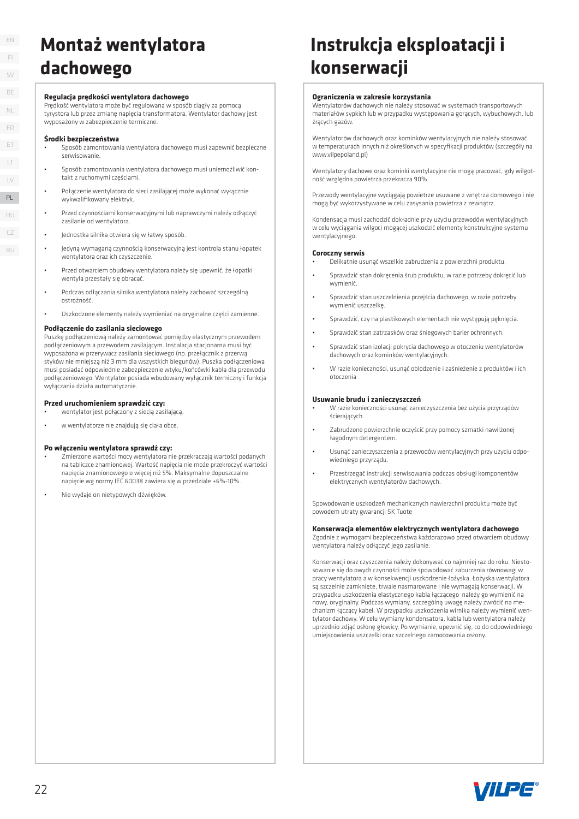### EN FI SV DE LT LV ET FR PL NL

HU  $CZ$ RU

### **Montaż wentylatora dachowego**

#### **Regulacja prędkości wentylatora dachowego**

Prędkość wentylatora może być regulowana w sposób ciągły za pomocą tyrystora lub przez zmianę napięcia transformatora. Wentylator dachowy jest wyposażony w zabezpieczenie termiczne.

#### **Środki bezpieczeństwa**

- Sposób zamontowania wentylatora dachowego musi zapewnić bezpieczne serwisowanie.
- Sposób zamontowania wentylatora dachowego musi uniemożliwić kontakt z ruchomymi częściami.
- Połączenie wentylatora do sieci zasilającej może wykonać wyłącznie wykwalifikowany elektryk
- Przed czynnościami konserwacyjnymi lub naprawczymi należy odłączyć zasilanie od wentylatora.
- Jednostka silnika otwiera się w łatwy sposób.
- Jedyną wymaganą czynnością konserwacyjną jest kontrola stanu łopatek wentylatora oraz ich czyszczenie.
- Przed otwarciem obudowy wentylatora należy się upewnić, że łopatki wentyla przestały się obracać.
- Podczas odłączania silnika wentylatora należy zachować szczególną ostrożność.
- Uszkodzone elementy należy wymieniać na oryginalne części zamienne.

#### **Podłączenie do zasilania sieciowego**

Puszkę podłączeniową należy zamontować pomiędzy elastycznym przewodem podłączeniowym a przewodem zasilającym. Instalacja stacjonarna musi być wyposażona w przerywacz zasilania sieciowego (np. przełącznik z przerwą styków nie mniejszą niż 3 mm dla wszystkich biegunów). Puszka podłączeniowa musi posiadać odpowiednie zabezpieczenie wtyku/końcówki kabla dla przewodu podłączeniowego. Wentylator posiada wbudowany wyłącznik termiczny i funkcja wyłączania działa automatycznie. PL<br>
RU<br>
CZ<br>
RU<br>
PPPP W FPPP<br>
PPP W F<br>
PPP W F<br>
P<br>
22

#### **Przed uruchomieniem sprawdzić czy:**

- wentylator jest połączony z siecią zasilającą,
- w wentylatorze nie znajdują się ciała obce.

#### **Po włączeniu wentylatora sprawdź czy:**

- Zmierzone wartości mocy wentylatora nie przekraczają wartości podanych na tabliczce znamionowej. Wartość napięcia nie może przekroczyć wartości napięcia znamionowego o więcej niż 5%. Maksymalne dopuszczalne napięcie wg normy IEC 60038 zawiera się w przedziale +6%-10%.
- Nie wydaje on nietypowych dźwięków.

# **Instrukcja eksploatacji i konserwacji**

#### **Ograniczenia w zakresie korzystania**

Wentylatorów dachowych nie należy stosować w systemach transportowych materiałów sypkich lub w przypadku występowania gorących, wybuchowych, lub żrących gazów.

Wentylatorów dachowych oraz kominków wentylacyjnych nie należy stosować w temperaturach innych niż określonych w specyfikacji produktów (szczegóły na www.vilpepoland.pl)

Wentylatory dachowe oraz kominki wentylacyjne nie mogą pracować, gdy wilgotność względna powietrza przekracza 90%.

Przewody wentylacyjne wyciągają powietrze usuwane z wnętrza domowego i nie mogą być wykorzystywane w celu zasysania powietrza z zewnątrz.

Kondensacja musi zachodzić dokładnie przy użyciu przewodów wentylacyjnych w celu wyciągania wilgoci mogącej uszkodzić elementy konstrukcyjne systemu wentylacyjnego.

#### **Coroczny serwis**

- Delikatnie usunąć wszelkie zabrudzenia z powierzchni produktu.
- Sprawdzić stan dokręcenia śrub produktu, w razie potrzeby dokręcić lub wymienić
- Sprawdzić stan uszczelnienia przejścia dachowego, w razie potrzeby wymienić uszczelkę.
- Sprawdzić, czy na plastikowych elementach nie występują pęknięcia.
- Sprawdzić stan zatrzasków oraz śniegowych barier ochronnych.
- Sprawdzić stan izolacji pokrycia dachowego w otoczeniu wentylatorów dachowych oraz kominków wentylacyjnych.
- W razie konieczności, usunąć oblodzenie i zaśnieżenie z produktów i ich otoczenia

#### **Usuwanie brudu i zanieczyszczeń**

- W razie konieczności usunąć zanieczyszczenia bez użycia przyrządów ścierających.
- Zabrudzone powierzchnie oczyścić przy pomocy szmatki nawilżonej łagodnym detergentem.
- Usunąć zanieczyszczenia z przewodów wentylacyjnych przy użyciu odpowiedniego przyrządu.
- Przestrzegać instrukcji serwisowania podczas obsługi komponentów elektrycznych wentylatorów dachowych.

Spowodowanie uszkodzeń mechanicznych nawierzchni produktu może być powodem utraty gwarancji SK Tuote

### **Konserwacja elementów elektrycznych wentylatora dachowego**

Zgodnie z wymogami bezpieczeństwa każdorazowo przed otwarciem obudowy wentylatora należy odłączyć jego zasilanie.

Konserwacji oraz czyszczenia należy dokonywać co najmniej raz do roku. Niestosowanie się do owych czynności może spowodować zaburzenia równowagi w pracy wentylatora a w konsekwencji uszkodzenie łożyska. Łożyska wentylatora są szczelnie zamknięte, trwale nasmarowane i nie wymagają konserwacji. W przypadku uszkodzenia elastycznego kabla łączącego należy go wymienić na nowy, oryginalny. Podczas wymiany, szczególną uwagę należy zwrócić na mechanizm łączący kabel. W przypadku uszkodzenia wirnika należy wymienić wentylator dachowy. W celu wymiany kondensatora, kabla lub wentylatora należy uprzednio zdjąć osłonę głowicy. Po wymianie, upewnić się, co do odpowiedniego umiejscowienia uszczelki oraz szczelnego zamocowania osłony.

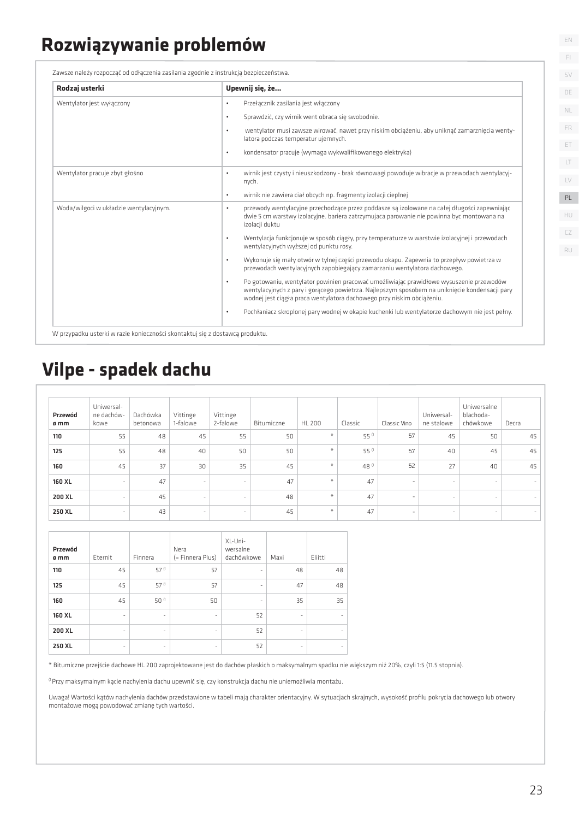### **Rozwiązywanie problemów**

Zawsze należy rozpocząć od odłączenia zasilania zgodnie z instrukcją bezpieczeństwa.

| Rodzaj usterki                         | Upewnij się, że                                                                                                                                                                                                                                                                  |
|----------------------------------------|----------------------------------------------------------------------------------------------------------------------------------------------------------------------------------------------------------------------------------------------------------------------------------|
| Wentylator jest wyłączony              | Przełącznik zasilania jest włączony<br>$\bullet$                                                                                                                                                                                                                                 |
|                                        | Sprawdzić, czy wirnik went obraca się swobodnie.<br>$\bullet$                                                                                                                                                                                                                    |
|                                        | wentylator musi zawsze wirować, nawet przy niskim obciążeniu, aby uniknąć zamarznięcia wenty-<br>$\bullet$<br>latora podczas temperatur ujemnych.                                                                                                                                |
|                                        | kondensator pracuje (wymaga wykwalifikowanego elektryka)<br>$\bullet$                                                                                                                                                                                                            |
| Wentylator pracuje zbyt głośno         | wirnik jest czysty i nieuszkodzony - brak równowagi powoduje wibracje w przewodach wentylacyj-<br>$\bullet$<br>nych.                                                                                                                                                             |
|                                        | wirnik nie zawiera ciał obcych np. fragmenty izolacji cieplnej<br>$\bullet$                                                                                                                                                                                                      |
| Woda/wilgoci w układzie wentylacyjnym. | przewody wentylacyjne przechodzące przez poddasze są izolowane na całej długości zapewniając<br>$\bullet$<br>dwie 5 cm warstwy izolacyjne, bariera zatrzymująca parowanie nie powinna byc montowana na<br>izolacji duktu                                                         |
|                                        | Wentylacja funkcjonuje w sposób ciągły, przy temperaturze w warstwie izolacyjnej i przewodach<br>$\bullet$<br>wentylacyjnych wyższej od punktu rosy.                                                                                                                             |
|                                        | Wykonuje się mały otwór w tylnej części przewodu okapu. Zapewnia to przepływ powietrza w<br>۰<br>przewodach wentylacyjnych zapobiegający zamarzaniu wentylatora dachowego.                                                                                                       |
|                                        | Po gotowaniu, wentylator powinien pracować umożliwiając prawidłowe wysuszenie przewodów<br>$\bullet$<br>wentylacyjnych z pary i gorącego powietrza. Najlepszym sposobem na uniknięcie kondensacji pary<br>wodnej jest ciągła praca wentylatora dachowego przy niskim obciążeniu. |
|                                        | Pochłaniacz skroplonej pary wodnej w okapie kuchenki lub wentylatorze dachowym nie jest pełny.<br>$\bullet$                                                                                                                                                                      |

### **Vilpe - spadek dachu**

| Przewód<br>ø mm | Uniwersal-<br>ne dachów-<br>kowe | Dachówka<br>betonowa | Vittinge<br>1-falowe     | Vittinge<br>2-falowe     | Bitumiczne | <b>HL 200</b> | Classic | Classic Vino             | Uniwersal-<br>ne stalowe | Uniwersalne<br>blachoda-<br>chówkowe | Decra  |
|-----------------|----------------------------------|----------------------|--------------------------|--------------------------|------------|---------------|---------|--------------------------|--------------------------|--------------------------------------|--------|
| 110             | 55                               | 48                   | 45                       | 55                       | 50         | ₩             | 55 (1   | 57                       | 45                       | 50                                   | 45     |
| 125             | 55                               | 48                   | 40                       | 50                       | 50         | ¥             | 55 (1   | 57                       | 40                       | 45                                   | 45     |
| 160             | 45                               | 37                   | 30                       | 35                       | 45         | $\mathcal{M}$ | 48 (1   | 52                       | 27                       | 40                                   | 45     |
| <b>160 XL</b>   | $\overline{\phantom{a}}$         | 47                   | $\sim$                   | $\overline{\phantom{a}}$ | 47         | $+$           | 47      | ۰.                       | $\sim$                   | $\sim$                               | $\sim$ |
| 200 XL          | $\overline{\phantom{a}}$         | 45                   | $\overline{\phantom{a}}$ | $\sim$                   | 48         | $+$           | 47      | $\overline{\phantom{a}}$ | $\overline{\phantom{a}}$ | $\overline{\phantom{a}}$             | $\sim$ |
| 250 XL          | $\overline{\phantom{a}}$         | 43                   | ۰                        | $\overline{\phantom{a}}$ | 45         | ¥.            | 47      | $\overline{\phantom{0}}$ | $\overline{\phantom{a}}$ | $\overline{\phantom{a}}$             | $\sim$ |

| Przewód<br>ømm | Eternit                  | Finnera                  | Nera<br>(= Finnera Plus) | XL-Uni-<br>wersalne<br>dachówkowe | Maxi                     | Eliitti |
|----------------|--------------------------|--------------------------|--------------------------|-----------------------------------|--------------------------|---------|
| 110            | 45                       | 57 (1                    | 57                       | ٠                                 | 48                       | 48      |
| 125            | 45                       | 57 (1                    | 57                       | ٠                                 | 47                       | 48      |
| 160            | 45                       | 50 <sup>11</sup>         | 50                       | $\overline{\phantom{m}}$          | 35                       | 35      |
| <b>160 XL</b>  | $\overline{\phantom{m}}$ | $\overline{\phantom{m}}$ | $\bar{\phantom{a}}$      | 52                                | -                        |         |
| 200 XL         | ٠                        | -                        | -                        | 52                                | -                        |         |
| 250 XL         | ٠                        | ۰                        | -                        | 52                                | $\overline{\phantom{a}}$ |         |

\* Bitumiczne przejście dachowe HL 200 zaprojektowane jest do dachów płaskich o maksymalnym spadku nie większym niż 20%, czyli 1:5 (11.5 stopnia).

<sup>(1</sup> Przy maksymalnym kącie nachylenia dachu upewnić się, czy konstrukcja dachu nie uniemożliwia montażu.

Uwaga! Wartości kątów nachylenia dachów przedstawione w tabeli mają charakter orientacyjny. W sytuacjach skrajnych, wysokość profilu pokrycia dachowego lub otwory montażowe mogą powodować zmianę tych wartości.

EN FI

SV DE

NL

 $\Box$ LV ET FR

HU

PL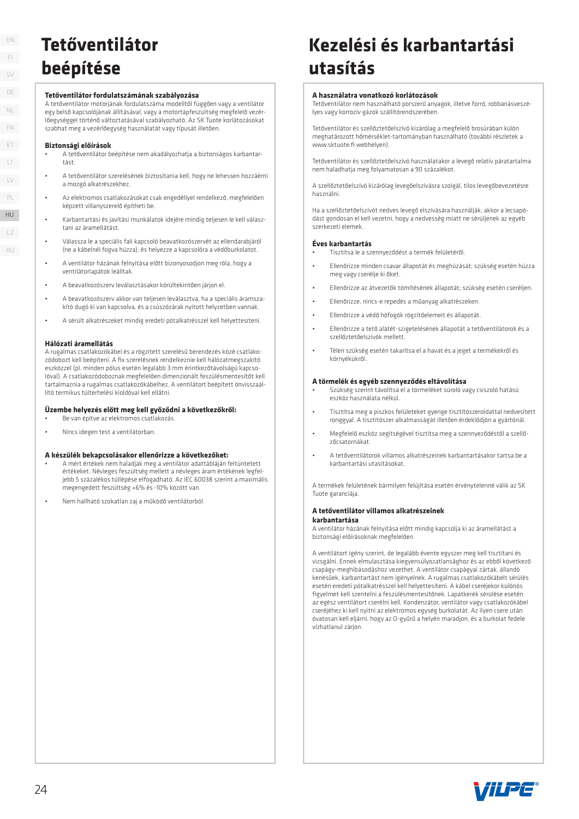HU HU  $CZ$ RU

### **Tetőventilátor beépítése**

#### **Tetőventilátor fordulatszámának szabályozása**

A tetőventilátor motorjának fordulatszáma modelltől függően vagy a ventilátor egy belső kapcsolójának állításával, vagy a motortápfeszültség megfelelő vezérlőegységgel történő változtatásával szabályozható. Az SK Tuote korlátozásokat szabhat meg a vezérlőegység használatát vagy típusát illetően.

#### **Biztonsági előírások**

- A tetőventilátor beépítése nem akadályozhatja a biztonságos karbantartást.
- A tetőventilátor szerelésének biztosítania kell, hogy ne lehessen hozzáérni a mozgó alkatrészekhez.
- Az elektromos csatlakozásokat csak engedéllyel rendelkező, megfelelően képzett villanyszerelő építheti be.
- Karbantartási és javítási munkálatok idejére mindig teljesen le kell választani az áramellátást.
- Válassza le a speciális fali kapcsoló beavatkozószervét az ellendarabjáról (ne a kábelnél fogva húzza), és helyezze a kapcsolóra a védőburkolatot.
- A ventilátor házának felnyitása előtt bizonyosodjon meg róla, hogy a ventilátorlapátok leálltak.
- A beavatkozószerv leválasztásakor körültekintően járjon el.
- A beavatkozószerv akkor van teljesen leválasztva, ha a speciális áramszakító dugó ki van kapcsolva, és a csúszózárak nyitott helyzetben vannak.
- A sérült alkatrészeket mindig eredeti pótalkatrésszel kell helyettesíteni.

#### **Hálózati áramellátás**

A rugalmas csatlakozókábel és a rögzített szerelésű berendezés közé csatlakozódobozt kell beépíteni. A fix szerelésnek rendelkeznie kell hálózatmegszakító eszközzel (pl. minden pólus esetén legalább 3 mm érintkezőtávolságú kapcsolóval). A csatlakozódoboznak megfelelően dimenzionált feszülésmentesítőt kell tartalmaznia a rugalmas csatlakozókábelhez. A ventilátort beépített önvisszaállító termikus túlterhelési kioldóval kell ellátni.

#### **Üzembe helyezés előtt meg kell győződni a következőkről:** • Be van építve az elektromos csatlakozás.

• Nincs idegen test a ventilátorban.

#### **A készülék bekapcsolásakor ellenőrizze a következőket:**

- A mért értékek nem haladják meg a ventilátor adattábláján feltüntetett értékeket. Névleges feszültség mellett a névleges áram értékének legfeljebb 5 százalékos túllépése elfogadható. Az IEC 60038 szerint a maximális megengedett feszültség +6% és -10% között van.
- Nem hallható szokatlan zaj a működő ventilátorból.

## **Kezelési és karbantartási utasítás**

#### **A használatra vonatkozó korlátozások**

Tetőventilátor nem használható porszerű anyagok, illetve forró, robbanásveszélyes vagy korrozív gázok szállítórendszerében.

Tetőventilátor és szellőztetőelszívó kizárólag a megfelelő brosúrában külön meghatározott hőmérséklet-tartományban használható (további részletek a www.sktuote.fi webhelyen).

Tetőventilátor és szellőztetőelszívó használatakor a levegő relatív páratartalma nem haladhatja meg folyamatosan a 90 százalékot.

A szellőztetőelszívó kizárólag levegőelszívásra szolgál, tilos levegőbevezetésre használni.

Ha a szellőztetőelszívót nedves levegő elszívására használják, akkor a lecsapódást gondosan el kell vezetni, hogy a nedvesség miatt ne sérüljenek az egyéb szerkezeti elemek.

#### **Éves karbantartás**

- Tisztítsa le a szennyeződést a termék felületéről.
- Ellenőrizze minden csavar állapotát és meghúzását; szükség esetén húzza meg vagy cserélje ki őket.
- Ellenőrizze az átvezetők tömítésének állapotát; szükség esetén cseréljen.
- Ellenőrizze, nincs-e repedés a műanyag alkatrészeken.
- Ellenőrizze a védő hófogók rögzítőelemeit és állapotát.
- Ellenőrizze a tető alátét-szigetelésének állapotát a tetőventilátorok és a szellőztetőelszívók mellett.
- Télen szükség esetén takarítsa el a havat és a jeget a termékekről és környékükről.

#### **A törmelék és egyéb szennyeződés eltávolítása**

- Szükség szerint távolítsa el a törmeléket súroló vagy csiszoló hatású eszköz használata nélkül.
- Tisztítsa meg a piszkos felületeket gyenge tisztítószeroldattal nedvesített ronggyal. A tisztítószer alkalmasságát illetően érdeklődjön a gyártónál.
- Megfelelő eszköz segítségével tisztítsa meg a szennyeződéstől a szellőzőcsatornákat.
- A tetőventilátorok villamos alkatrészeinek karbantartásakor tartsa be a karbantartási utasításokat.

A termékek felületének bármilyen felújítása esetén érvénytelenné válik az SK Tuote garanciája.

### **A tetőventilátor villamos alkatrészeinek**

#### **karbantartása**

A ventilátor házának felnyitása előtt mindig kapcsolja ki az áramellátást a biztonsági előírásoknak megfelelően.

A ventilátort igény szerint, de legalább évente egyszer meg kell tisztítani és vizsgálni. Ennek elmulasztása kiegyensúlyozatlansághoz és az ebből következő csapágy-meghibásodáshoz vezethet. A ventilátor csapágyai zártak, állandó kenésűek, karbantartást nem igényelnek. A rugalmas csatlakozókábelt sérülés esetén eredeti pótalkatrésszel kell helyettesíteni. A kábel cseréjekor különös figyelmet kell szentelni a feszülésmentesítőnek. Lapátkerék sérülése esetén az egész ventilátort cserélni kell. Kondenzátor, ventilátor vagy csatlakozókábel cseréjéhez ki kell nyitni az elektromos egység burkolatát. Az ilyen csere után óvatosan kell eljárni, hogy az O-gyűrű a helyén maradjon, és a burkolat fedele vízhatlanul zárjon.

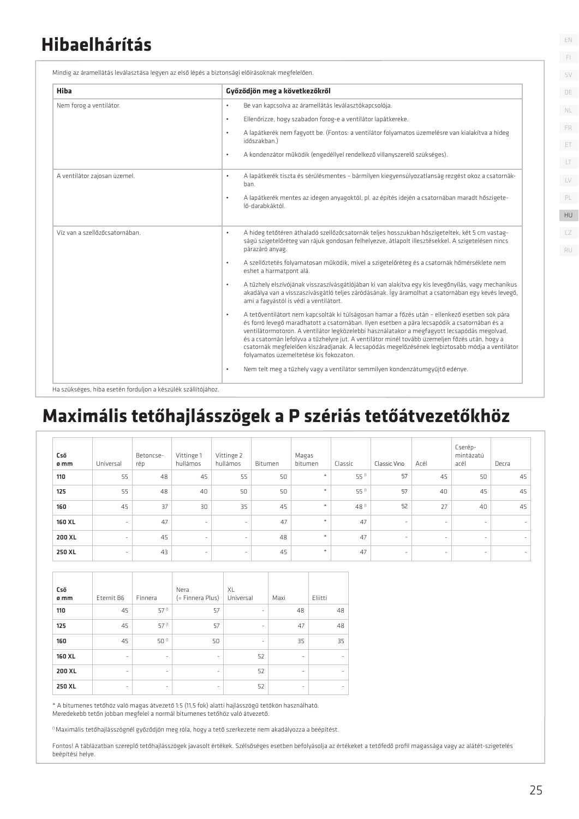### **Hibaelhárítás**

| Hiba                           | Győződjön meg a következőkről                                                                                                                                                                                                                                                                                                                                                                                                                                                                                                                                |
|--------------------------------|--------------------------------------------------------------------------------------------------------------------------------------------------------------------------------------------------------------------------------------------------------------------------------------------------------------------------------------------------------------------------------------------------------------------------------------------------------------------------------------------------------------------------------------------------------------|
| Nem forog a ventilátor.        | Be van kapcsolva az áramellátás leválasztókapcsolója.<br>$\bullet$                                                                                                                                                                                                                                                                                                                                                                                                                                                                                           |
|                                | Ellenőrizze, hogy szabadon forog-e a ventilátor lapátkereke.<br>$\bullet$                                                                                                                                                                                                                                                                                                                                                                                                                                                                                    |
|                                | A lapátkerék nem fagyott be. (Fontos: a ventilátor folyamatos üzemelésre van kialakítva a hideg<br>$\bullet$<br>időszakban.)                                                                                                                                                                                                                                                                                                                                                                                                                                 |
|                                | A kondenzátor működik (engedéllyel rendelkező villanyszerelő szükséges).<br>$\bullet$                                                                                                                                                                                                                                                                                                                                                                                                                                                                        |
| A ventilátor zajosan üzemel.   | A lapátkerék tiszta és sérülésmentes - bármilyen kiegyensúlyozatlanság rezgést okoz a csatornák-<br>$\bullet$<br>ban.                                                                                                                                                                                                                                                                                                                                                                                                                                        |
|                                | A lapátkerék mentes az idegen anyagoktól, pl. az építés idején a csatornában maradt hőszigete-<br>$\bullet$<br>lő-darabkáktól.                                                                                                                                                                                                                                                                                                                                                                                                                               |
| Víz van a szellőzőcsatornában. | A hideg tetőtéren áthaladó szellőzőcsatornák teljes hosszukban hőszigeteltek, két 5 cm vastag-<br>۰<br>ságú szigetelőréteg van rájuk gondosan felhelyezve, átlapolt illesztésekkel. A szigetelésen nincs<br>párazáró anyag.                                                                                                                                                                                                                                                                                                                                  |
|                                | A szellőztetés folyamatosan működik, mivel a szigetelőréteg és a csatornák hőmérséklete nem<br>$\bullet$<br>eshet a harmatpont alá.                                                                                                                                                                                                                                                                                                                                                                                                                          |
|                                | A tűzhely elszívójának visszaszívásgátlójában ki van alakítva egy kis levegőnyílás, vagy mechanikus<br>$\bullet$<br>akadálya van a visszaszívásgátló teljes záródásának. Így áramolhat a csatornában egy kevés levegő,<br>ami a fagyástól is védi a ventilátort.                                                                                                                                                                                                                                                                                             |
|                                | A tetőventilátort nem kapcsolták ki túlságosan hamar a főzés után - ellenkező esetben sok pára<br>$\bullet$<br>és forró levegő maradhatott a csatornában. Ilyen esetben a pára lecsapódik a csatornában és a<br>ventilátormotoron. A ventilátor legközelebbi használatakor a megfagyott lecsapódás megolvad,<br>és a csatornán lefolyva a tűzhelyre jut. A ventilátor minél tovább üzemeljen főzés után, hogy a<br>csatornák megfelelően kiszáradjanak. A lecsapódás megelőzésének legbiztosabb módja a ventilátor<br>folyamatos üzemeltetése kis fokozaton. |
|                                | Nem telt meg a tűzhely vagy a ventilátor semmilyen kondenzátumgyűjtő edénye.<br>$\bullet$                                                                                                                                                                                                                                                                                                                                                                                                                                                                    |

### **Maximális tetőhajlásszögek a P szériás tetőátvezetőkhöz**

| Cső<br>ø mm | Universal                | Betoncse-<br>rép | Vittinge 1<br>hullámos   | Vittinge 2<br>hullámos   | Bitumen | Magas<br>bitumen | Classic | Classic Vino             | Acél                     | Cserép-<br>mintázatú<br>acél | Decra  |
|-------------|--------------------------|------------------|--------------------------|--------------------------|---------|------------------|---------|--------------------------|--------------------------|------------------------------|--------|
| 110         | 55                       | 48               | 45                       | 55                       | 50      | $\ast$           | 55 (1   | 57                       | 45                       | 50                           | 45     |
| 125         | 55                       | 48               | 40                       | 50                       | 50      | $\star$          | 55 (1   | 57                       | 40                       | 45                           | 45     |
| 160         | 45                       | 37               | 30                       | 35                       | 45      | $\frac{M}{N}$    | 48 (1   | 52                       | 27                       | 40                           | 45     |
| 160 XL      | $\sim$                   | 47               | $\sim$                   | $\sim$                   | 47      | $\star$          | 47      | $\overline{\phantom{a}}$ |                          | ۰                            | $\sim$ |
| 200 XL      | ٠                        | 45               | $\sim$                   | $\sim$                   | 48      | $\star$          | 47      | $\overline{\phantom{a}}$ | $\overline{\phantom{a}}$ | $\sim$                       | $\sim$ |
| 250 XL      | $\overline{\phantom{a}}$ | 43               | $\overline{\phantom{a}}$ | $\overline{\phantom{a}}$ | 45      | $\star$          | 47      | $\overline{\phantom{a}}$ |                          | ۰                            | $\sim$ |

| Cső<br>ø mm | Eternit B6               | Finnera                  | Nera<br>(= Finnera Plus) | XL<br>Universal          | Maxi                     | Eliitti |
|-------------|--------------------------|--------------------------|--------------------------|--------------------------|--------------------------|---------|
| 110         | 45                       | 57 (1                    | 57                       | ٠                        | 48                       | 48      |
| 125         | 45                       | $57^{(1)}$               | 57                       | ۰                        | 47                       | 48      |
| 160         | 45                       | 50 (1                    | 50                       | $\overline{\phantom{m}}$ | 35                       | 35      |
| 160 XL      | ٠                        | ۰                        | -                        | 52                       | ٠                        |         |
| 200 XL      | $\overline{\phantom{0}}$ | $\overline{\phantom{a}}$ | -                        | 52                       | $\overline{\phantom{a}}$ |         |
| 250 XL      | $\overline{\phantom{0}}$ | $\overline{\phantom{0}}$ | -                        | 52                       | ٠                        |         |

\* A bitumenes tetőhöz való magas átvezető 1:5 (11,5 fok) alatti hajlásszögű tetőkön használható. Meredekebb tetőn jobban megfelel a normál bitumenes tetőhöz való átvezető.

 $^{\rm (f)}$ Maximális tetőhajlásszögnél győződjön meg róla, hogy a tető szerkezete nem akadályozza a beépítést.

Fontos! A táblázatban szereplő tetőhajlásszögek javasolt értékek. Szélsőséges esetben befolyásolja az értékeket a tetőfedő profil magassága vagy az alátét-szigetelés beépítési helye.

EN

FI SV DE

 $\Box$ LV ET FR NL

PL HU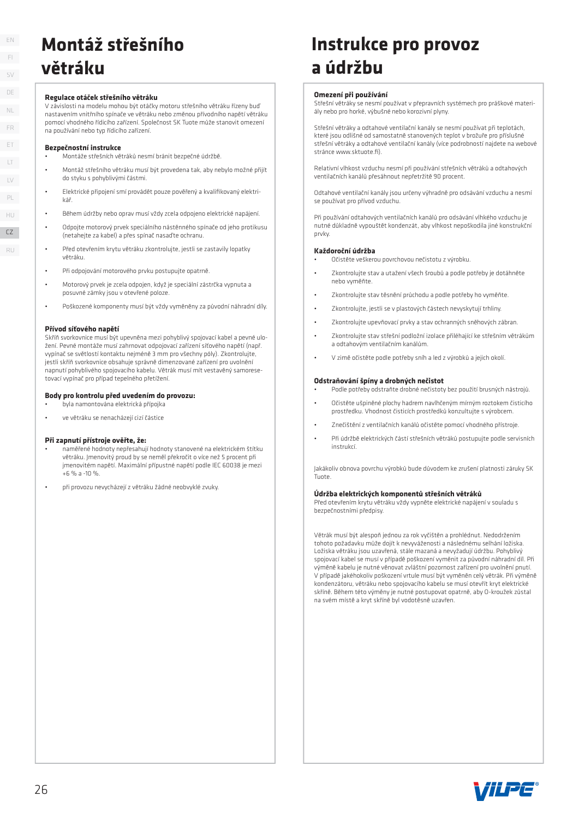### **Montáž střešního větráku**

#### **Regulace otáček střešního větráku**

V závislosti na modelu mohou být otáčky motoru střešního větráku řízeny buď nastavením vnitřního spínače ve větráku nebo změnou přívodního napětí větráku pomocí vhodného řídicího zařízení. Společnost SK Tuote může stanovit omezení na používání nebo typ řídicího zařízení.

#### **Bezpečnostní instrukce**

- Montáže střešních větráků nesmí bránit bezpečné údržbě.
- Montáž střešního větráku musí být provedena tak, aby nebylo možné přijít do styku s pohyblivými částmi.
- Elektrické připojení smí provádět pouze pověřený a kvalifikovaný elektrikář.
- Během údržby nebo oprav musí vždy zcela odpojeno elektrické napájení.
- Odpojte motorový prvek speciálního nástěnného spínače od jeho protikusu (netahejte za kabel) a přes spínač nasaďte ochranu.
- Před otevřením krytu větráku zkontrolujte, jestli se zastavily lopatky větráku.
- Při odpojování motorového prvku postupujte opatrně.
- Motorový prvek je zcela odpojen, když je speciální zástrčka vypnuta a posuvné zámky jsou v otevřené poloze.
- Poškozené komponenty musí být vždy vyměněny za původní náhradní díly.

#### **Přívod síťového napětí**

Skříň svorkovnice musí být upevněna mezi pohyblivý spojovací kabel a pevné uložení. Pevné montáže musí zahrnovat odpojovací zařízení síťového napětí (např. vypínač se světlostí kontaktu nejméně 3 mm pro všechny póly). Zkontrolujte, jestli skříň svorkovnice obsahuje správně dimenzované zařízení pro uvolnění napnutí pohyblivého spojovacího kabelu. Větrák musí mít vestavěný samoresetovací vypínač pro případ tepelného přetížení.

#### **Body pro kontrolu před uvedením do provozu:**

- byla namontována elektrická přípojka
- ve větráku se nenacházejí cizí částice

#### **Při zapnutí přístroje ověřte, že:**

- naměřené hodnoty nepřesahují hodnoty stanovené na elektrickém štítku větráku. Jmenovitý proud by se neměl překročit o více než 5 procent při jmenovitém napětí. Maximální přípustné napětí podle IEC 60038 je mezi  $+6$  % a -10 %
- při provozu nevycházejí z větráku žádné neobvyklé zvuky.

### **Instrukce pro provoz a údržbu**

#### **Omezení při používání**

Střešní větráky se nesmí používat v přepravních systémech pro práškové materiály nebo pro horké, výbušné nebo korozivní plyny.

Střešní větráky a odtahové ventilační kanály se nesmí používat při teplotách, které jsou odlišné od samostatně stanovených teplot v brožuře pro příslušné střešní větráky a odtahové ventilační kanály (více podrobností najdete na webové stránce www.sktuote.fi).

Relativní vlhkost vzduchu nesmí při používání střešních větráků a odtahových ventilačních kanálů přesáhnout nepřetržitě 90 procent.

Odtahové ventilační kanály jsou určeny výhradně pro odsávání vzduchu a nesmí se používat pro přívod vzduchu.

Při používání odtahových ventilačních kanálů pro odsávání vlhkého vzduchu je nutné důkladně vypouštět kondenzát, aby vlhkost nepoškodila jiné konstrukční prvky.

#### **Každoroční údržba**

- Očistěte veškerou povrchovou nečistotu z výrobku.
- Zkontrolujte stav a utažení všech šroubů a podle potřeby je dotáhněte nebo vyměňte.
- Zkontrolujte stav těsnění průchodu a podle potřeby ho vyměňte.
- Zkontrolujte, jestli se v plastových částech nevyskytují trhliny.
- Zkontrolujte upevňovací prvky a stav ochranných sněhových zábran.
- Zkontrolujte stav střešní podložní izolace přiléhající ke střešním větrákům a odtahovým ventilačním kanálům.
- V zimě očistěte podle potřeby sníh a led z výrobků a jejich okolí.

#### **Odstraňování špíny a drobných nečistot**

- Podle potřeby odstraňte drobné nečistoty bez použití brusných nástrojů.
- Očistěte ušpiněné plochy hadrem navlhčeným mírným roztokem čisticího prostředku. Vhodnost čisticích prostředků konzultujte s výrobcem.
- Znečištění z ventilačních kanálů očistěte pomocí vhodného přístroje.
- Při údržbě elektrických částí střešních větráků postupujte podle servisních instrukcí.

Jakákoliv obnova povrchu výrobků bude důvodem ke zrušení platnosti záruky SK Tuote.

#### **Údržba elektrických komponentů střešních větráků**

Před otevřením krytu větráku vždy vypněte elektrické napájení v souladu s bezpečnostními předpisy.

Větrák musí být alespoň jednou za rok vyčištěn a prohlédnut. Nedodržením tohoto požadavku může dojít k nevyváženosti a následnému selhání ložiska. Ložiska větráku jsou uzavřená, stále mazaná a nevyžadují údržbu. Pohyblivý spojovací kabel se musí v případě poškození vyměnit za původní náhradní díl. Při výměně kabelu je nutné věnovat zvláštní pozornost zařízení pro uvolnění pnutí. V případě jakéhokoliv poškození vrtule musí být vyměněn celý větrák. Při výměně kondenzátoru, větráku nebo spojovacího kabelu se musí otevřít kryt elektrické skříně. Během této výměny je nutné postupovat opatrně, aby O-kroužek zůstal na svém místě a kryt skříně byl vodotěsně uzavřen.



EN FI SV DE

FR

NL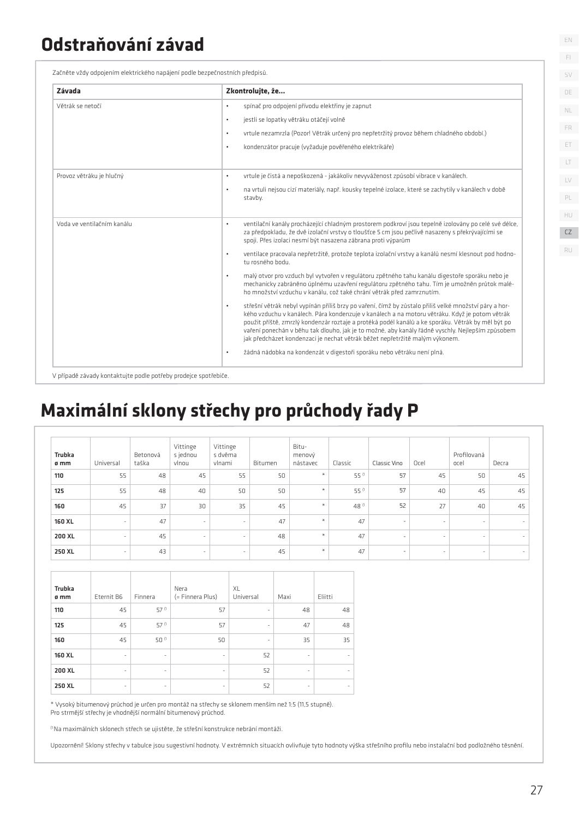### **Odstraňování závad**

Začněte vždy odpojením elektrického napájení podle bezpečnostních předpisů.

| Závada                     | Zkontrolujte, že                                                                                                                                                                                                                                                                                                                                                                                                                                                                                            |
|----------------------------|-------------------------------------------------------------------------------------------------------------------------------------------------------------------------------------------------------------------------------------------------------------------------------------------------------------------------------------------------------------------------------------------------------------------------------------------------------------------------------------------------------------|
| Větrák se netočí           | spínač pro odpojení přívodu elektřiny je zapnut<br>$\bullet$                                                                                                                                                                                                                                                                                                                                                                                                                                                |
|                            | jestli se lopatky větráku otáčejí volně<br>$\bullet$                                                                                                                                                                                                                                                                                                                                                                                                                                                        |
|                            | vrtule nezamrzla (Pozor! Větrák určený pro nepřetržitý provoz během chladného období.)<br>$\bullet$                                                                                                                                                                                                                                                                                                                                                                                                         |
|                            | kondenzátor pracuje (vyžaduje pověřeného elektrikáře)<br>$\bullet$                                                                                                                                                                                                                                                                                                                                                                                                                                          |
| Provoz větráku je hlučný   | vrtule je čistá a nepoškozená - jakákoliv nevyváženost způsobí vibrace v kanálech.<br>$\bullet$                                                                                                                                                                                                                                                                                                                                                                                                             |
|                            | na vrtuli nejsou cizí materiály, např. kousky tepelné izolace, které se zachytily v kanálech v době<br>$\bullet$<br>stavby.                                                                                                                                                                                                                                                                                                                                                                                 |
| Voda ve ventilačním kanálu | ventilační kanály procházející chladným prostorem podkroví jsou tepelně izolovány po celé své délce,<br>$\bullet$<br>za předpokladu, že dvě izolační vrstvy o tloušťce 5 cm jsou pečlivě nasazeny s překrývajícími se<br>spoji. Přes izolaci nesmí být nasazena zábrana proti výparům                                                                                                                                                                                                                       |
|                            | ventilace pracovala nepřetržitě, protože teplota izolační vrstvy a kanálů nesmí klesnout pod hodno-<br>$\bullet$<br>tu rosného bodu.                                                                                                                                                                                                                                                                                                                                                                        |
|                            | malý otvor pro vzduch byl vytvořen v regulátoru zpětného tahu kanálu digestoře sporáku nebo je<br>$\bullet$<br>mechanicky zabráněno úplnému uzavření regulátoru zpětného tahu. Tím je umožněn průtok malé-<br>ho množství vzduchu v kanálu, což také chrání větrák před zamrznutím.                                                                                                                                                                                                                         |
|                            | střešní větrák nebyl vypínán příliš brzy po vaření, čímž by zůstalo přiliš velké množství páry a hor-<br>$\bullet$<br>kého vzduchu v kanálech. Pára kondenzuje v kanálech a na motoru větráku. Když je potom větrák<br>použit příště, zmrzlý kondenzár roztaje a protéká podél kanálů a ke sporáku. Větrák by měl být po<br>vaření ponechán v běhu tak dlouho, jak je to možné, aby kanály řádně vyschly. Nejlepším způsobem<br>jak předcházet kondenzaci je nechat větrák běžet nepřetržitě malým výkonem. |
|                            | žádná nádobka na kondenzát v digestoři sporáku nebo větráku není plná.<br>$\bullet$                                                                                                                                                                                                                                                                                                                                                                                                                         |

V případě závady kontaktujte podle potřeby prodejce spotřebiče.

## **Maximální sklony střechy pro průchody řady P**

| Trubka<br>ø mm | Universal                | Betonová<br>taška | Vittinge<br>s jednou<br>vlnou | Vittinge<br>s dvěma<br>vlnami | Bitumen | Bitu-<br>menový<br>nástavec | Classic | Classic Vino             | Ocel   | Profilovaná<br>ocel | Decra                    |
|----------------|--------------------------|-------------------|-------------------------------|-------------------------------|---------|-----------------------------|---------|--------------------------|--------|---------------------|--------------------------|
| 110            | 55                       | 48                | 45                            | 55                            | 50      | $\ast$                      | 55 (1   | 57                       | 45     | 50                  | 45                       |
| 125            | 55                       | 48                | 40                            | 50                            | 50      | $\ast$                      | 55 (1   | 57                       | 40     | 45                  | 45                       |
| 160            | 45                       | 37                | 30                            | 35                            | 45      | $\star$                     | 48 (1   | 52                       | 27     | 40                  | 45                       |
| 160 XL         | $\sim$                   | 47                | $\sim$                        | $\overline{\phantom{a}}$      | 47      | $\ast$                      | 47      | $\sim$                   | $\sim$ | ٠                   | $\sim$                   |
| 200 XL         | ٠                        | 45                | $\overline{\phantom{a}}$      | $\overline{\phantom{a}}$      | 48      | $\ast$                      | 47      | $\overline{\phantom{a}}$ | ٠      | ٠                   | $\overline{\phantom{a}}$ |
| 250 XL         | $\overline{\phantom{a}}$ | 43                | $\overline{\phantom{a}}$      | $\sim$                        | 45      | $\ast$                      | 47      | $\overline{\phantom{a}}$ | $\sim$ | $\sim$              | $\overline{\phantom{a}}$ |

| <b>Trubka</b><br>ø mm | Eternit B6               | Finnera                  | Nera<br>(= Finnera Plus) | XL<br>Universal          | Maxi                     | Eliitti |
|-----------------------|--------------------------|--------------------------|--------------------------|--------------------------|--------------------------|---------|
| 110                   | 45                       | 57 (1                    | 57                       | $\overline{\phantom{0}}$ | 48                       | 48      |
| 125                   | 45                       | 57 (1                    | 57                       | ٠                        | 47                       | 48      |
| 160                   | 45                       | $50^{(1)}$               | 50                       | $\overline{\phantom{a}}$ | 35                       | 35      |
| 160 XL                | $\overline{\phantom{a}}$ | $\overline{\phantom{a}}$ | ۰                        | 52                       | $\overline{\phantom{a}}$ |         |
| 200 XL                | $\overline{\phantom{a}}$ | ۰                        | -                        | 52                       | $\overline{\phantom{a}}$ |         |
| 250 XL                | $\overline{\phantom{a}}$ | ٠                        | ۰                        | 52                       | ٠                        |         |

\* Vysoký bitumenový průchod je určen pro montáž na střechy se sklonem menším než 1:5 (11,5 stupně).

Pro strmější střechy je vhodnější normální bitumenový průchod.

(1 Na maximálních sklonech střech se ujistěte, že střešní konstrukce nebrání montáži.

Upozornění! Sklony střechy v tabulce jsou sugestivní hodnoty. V extrémních situacích ovlivňuje tyto hodnoty výška střešního profilu nebo instalační bod podložného těsnění.

EN

FI SV

HU CZ RU

PL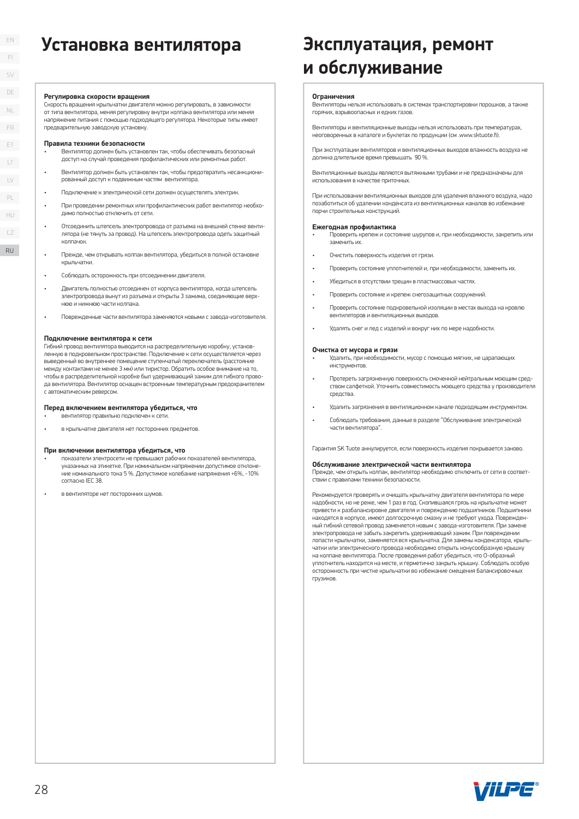### **Установка вентилятора Эксплуатация, ремонт**

#### **Регулировка скорости вращения**

Скорость вращения крыльчатки двигателя можно регулировать, в зависимости от типа вентилятора, меняя регулировку внутри колпака вентилятора или меняя напряжение питания с помощью подходящего регулятора. Некоторые типы имеют предварительную заводскую установку.

#### **Правила техники безопасности**

- Вентилятор должен быть установлен так, чтобы обеспечивать безопасный доступ на случай проведения профилактических или ремонтных работ.
- Вентилятор должен быть установлен так, чтобы предотвратить несанкционированный доступ к подвижным частям вентилятора.
- Подключение к электрической сети должен осуществлять электрик.
- При проведении ремонтных или профилактических работ вентилятор необходимо полностью отключить от сети.
- Отсоединить штепсель электропровода от разъема на внешней стенке вентилятора (не тянуть за провод). На штепсель электропровода одеть защитный колпачок.
- Прежде, чем открывать колпак вентилятора, убедиться в полной остановке крыльчатки.
- Соблюдать осторожность при отсоединении двигателя.
- Двигатель полностью отсоединен от корпуса вентилятора, когда штепсель электропровода вынут из разъема и открыты 3 зажима, соединяющие верхнюю и нижнюю части колпака.
- Поврежденные части вентилятора заменяются новыми с завода-изготовителя.

#### **Подключение вентилятора к сети**

Гибкий провод вентилятора выводится на распределительную коробку, установленную в подкровельном пространстве. Подключение к сети осуществляется через выведенный во внутреннее помещение ступенчатый переключатель (расстояние между контактами не менее 3 мм) или тиристор. Обратить особое внимание на то, чтобы в распределительной коробке был удерживающий зажим для гибкого провода вентилятора. Вентилятор оснащен встроенным температурным предохранителем с автоматическим реверсом. RU28

#### **Перед включением вентилятора убедиться, что**

• вентилятор правильно подключен к сети.

• в крыльчатке двигателя нет посторонних предметов.

#### **При включении вентилятора убедиться, что**

- показатели электросети не превышают рабочих показателей вентилятора, указанных на этикетке. При номинальном напряжении допустимое отклонение номинального тока 5 %. Допустимое колебание напряжения +6%, -10% согласно IEC 38.
- в вентиляторе нет посторонних шумов.

# **и обслуживание**

#### **Ограничения**

Вентиляторы нельзя использовать в системах транспортировки порошков, а также горячих, взрывоопасных и едких газов.

Вентиляторы и вентиляционные выходы нельзя использовать при температурах, неоговоренных в каталоге и буклетах по продукции (см .www.sktuote.fi)

При эксплуатации вентиляторов и вентиляционных выходов влажность воздуха не должна длительное время превышать 90 %.

Вентиляционные выходы являются вытяжными трубами и не предназначены для использования в качестве приточных.

При использовании вентиляционных выходов для удаления влажного воздуха, надо позаботиться об удалении конденсата из вентиляционных каналов во избежание порчи строительных конструкций.

#### **Ежегодная профилактика**

- Проверить крепеж и состояние шурупов и, при необходимости, закрепить или заменить их.
- Очистить поверхность изделия от грязи.
- Проверить состояние уплотнителей и, при необходимости, заменить их.
- Убедиться в отсутствии трещин в пластмассовых частях.
- Проверить состояние и крепеж снегозащитных сооружений.
- Проверить состояние подкровельной изоляции в местах выхода на кровлю вентиляторов и вентиляционных выходов.
- Удалять снег и лед с изделий и вокруг них по мере надобности.

#### **Очистка от мусора и грязи**

- Удалить, при необходимости, мусор с помощью мягких, не царапающих инструментов.
- Протереть загрязненную поверхность смоченной нейтральным моющим средством салфеткой. Уточнить совместимость моющего средства у производителя средства.
- Удалить загрязнения в вентиляционном канале подходящим инструментом.
- Соблюдать требования, данные в разделе "Обслуживание электрической части вентилятора".

Гарантия SK Tuote аннулируется, если поверхность изделия покрывается заново.

#### **Обслуживание электрической части вентилятора**

Прежде, чем открыть колпак, вентилятор необходимо отключить от сети в соответствии с правилами техники безопасности.

Рекомендуется проверять и очищать крыльчатку двигателя вентилятора по мере надобности, но не реже, чем 1 раз в год. Скопившаяся грязь на крыльчатке может привести к разбалансировке двигателя и повреждению подшипников. Подшипники находятся в корпусе, имеют долгосрочную смазку и не требуют ухода. Поврежденный гибкий сетевой провод заменяется новым с завода-изготовителя. При замене электропровода не забыть закрепить удерживающий зажим. При повреждении лопасти крыльчатки, заменяется вся крыльчатка. Для замены конденсатора, крыльчатки или электрического провода необходимо открыть конусообразную крышку на колпаке вентилятора. После проведения работ убедиться, что О-образный уплотнитель находится на месте, и герметично закрыть крышку. Соблюдать особую осторожность при чистке крыльчатки во избежание смещения балансировочных грузиков.



RU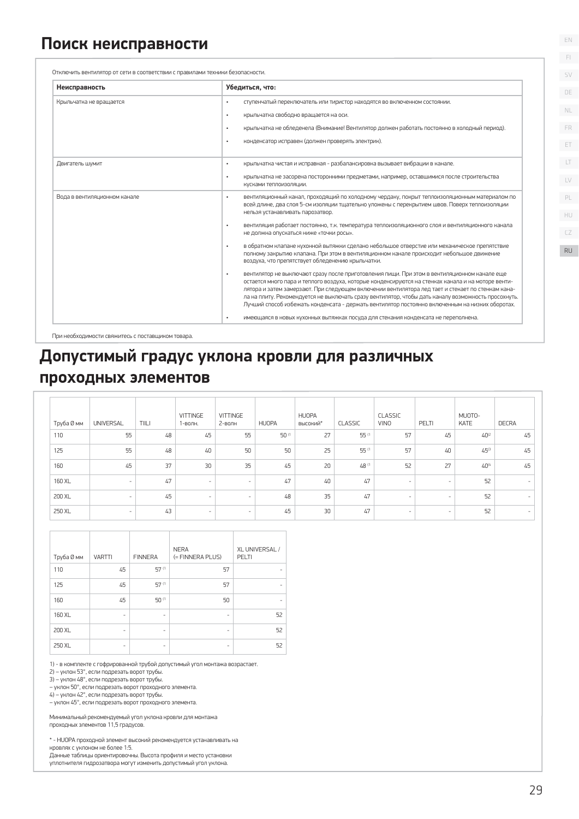| Неисправность                | Убедиться, что:                                                                                                                                                                                                                                                                                                                                                                                                                                                                                                                                                                                                                                                                                                                                                                                                                                                                                                                                                                                                                                                                                                                                                                                                                                                                                                |
|------------------------------|----------------------------------------------------------------------------------------------------------------------------------------------------------------------------------------------------------------------------------------------------------------------------------------------------------------------------------------------------------------------------------------------------------------------------------------------------------------------------------------------------------------------------------------------------------------------------------------------------------------------------------------------------------------------------------------------------------------------------------------------------------------------------------------------------------------------------------------------------------------------------------------------------------------------------------------------------------------------------------------------------------------------------------------------------------------------------------------------------------------------------------------------------------------------------------------------------------------------------------------------------------------------------------------------------------------|
| Крыльчатка не вращается      | ступенчатый переключатель или тиристор находятся во включенном состоянии.<br>$\bullet$<br>крыльчатка свободно вращается на оси.<br>$\bullet$<br>крыльчатка не обледенела (Внимание! Вентилятор должен работать постоянно в холодный период).<br>$\bullet$<br>конденсатор исправен (должен проверять электрик).<br>$\bullet$                                                                                                                                                                                                                                                                                                                                                                                                                                                                                                                                                                                                                                                                                                                                                                                                                                                                                                                                                                                    |
| Двигатель шумит              | крыльчатка чистая и исправная - разбалансировка вызывает вибрации в канале.<br>$\bullet$<br>крыльчатка не засорена посторонними предметами, например, оставшимися после строительства<br>$\bullet$<br>кусками теплоизоляции.                                                                                                                                                                                                                                                                                                                                                                                                                                                                                                                                                                                                                                                                                                                                                                                                                                                                                                                                                                                                                                                                                   |
| Вода в вентиляционном канале | вентиляционный канал, проходящий по холодному чердаку, покрыт теплоизоляционным материалом по<br>$\bullet$<br>всей длине, два слоя 5-см изоляции тщательно уложены с перекрытием швов. Поверх теплоизоляции<br>нельзя устанавливать парозатвор.<br>вентиляция работает постоянно, т.к. температура теплоизоляционного слоя и вентиляционного канала<br>$\bullet$<br>не должна опускаться ниже «точки росы».<br>в обратном клапане кухонной вытяжки сделано небольшое отверстие или механическое препятствие<br>$\bullet$<br>полному закрытию клапана. При этом в вентиляционном канале происходит небольшое движение<br>воздуха, что препятствует обледенению крыльчатки.<br>вентилятор не выключают сразу после приготовления пищи. При этом в вентиляционном канале еще<br>$\bullet$<br>остается много пара и теплого воздуха, которые конденсируются на стенках канала и на моторе венти-<br>лятора и затем замерзают. При следующем включении вентилятора лед тает и стекает по стенкам кана-<br>ла на плиту. Рекомендуется не выключать сразу вентилятор, чтобы дать каналу возможность просохнуть.<br>Лучший способ избежать конденсата - держать вентилятор постоянно включенным на низких оборотах.<br>имеющаяся в новых кухонных вытяжках посуда для стекания конденсата не переполнена.<br>$\bullet$ |

# **Допустимый градус уклона кровли для различных**

### **проходных элементов**

|                   |                                                                                                                                                                                 |                                                                                                                  |                                                                                                                                         | $\bullet$                                                          |                | воздуха, что препятствует обледенению крыльчатки. |                | полному закрытию клапана. При этом в вентиляционном канале происходит небольшое движение<br>вентилятор не выключают сразу после приготовления пищи. При этом в вентиляционном канале еще<br>остается много пара и теплого воздуха, которые конденсируются на стенках канала и на моторе венти-<br>лятора и затем замерзают. При следующем включении вентилятора лед тает и стекает по стенкам кана-<br>ла на плиту. Рекомендуется не выключать сразу вентилятор, чтобы дать каналу возможность просохнуть.<br>Лучший способ избежать конденсата - держать вентилятор постоянно включенным на низких оборотах. |       |                 |              |
|-------------------|---------------------------------------------------------------------------------------------------------------------------------------------------------------------------------|------------------------------------------------------------------------------------------------------------------|-----------------------------------------------------------------------------------------------------------------------------------------|--------------------------------------------------------------------|----------------|---------------------------------------------------|----------------|---------------------------------------------------------------------------------------------------------------------------------------------------------------------------------------------------------------------------------------------------------------------------------------------------------------------------------------------------------------------------------------------------------------------------------------------------------------------------------------------------------------------------------------------------------------------------------------------------------------|-------|-----------------|--------------|
|                   |                                                                                                                                                                                 | При необходимости свяжитесь с поставщиком товара.                                                                | <b>]опустимый градус уклона кровли для различных</b>                                                                                    |                                                                    |                |                                                   |                | имеющаяся в новых кухонных вытяжках посуда для стекания конденсата не переполнена.                                                                                                                                                                                                                                                                                                                                                                                                                                                                                                                            |       |                 |              |
|                   |                                                                                                                                                                                 | роходных элементов                                                                                               |                                                                                                                                         |                                                                    |                |                                                   |                |                                                                                                                                                                                                                                                                                                                                                                                                                                                                                                                                                                                                               |       |                 |              |
| Труба Ø мм        | <b>UNIVERSAL</b>                                                                                                                                                                | TIILI                                                                                                            | VITTINGE<br>1-волн.                                                                                                                     | VITTINGE<br>2-волн                                                 | <b>HUOPA</b>   | <b>HUOPA</b><br>ВЫСОКИЙ*                          | <b>CLASSIC</b> | CLASSIC<br><b>VINO</b>                                                                                                                                                                                                                                                                                                                                                                                                                                                                                                                                                                                        | PELTI | MUOTO-<br>KATE  | <b>DECRA</b> |
| 110               | 55                                                                                                                                                                              | 48                                                                                                               | 45                                                                                                                                      | 55                                                                 | 50 (1          | 27                                                | 55 (1          | 57                                                                                                                                                                                                                                                                                                                                                                                                                                                                                                                                                                                                            | 45    | $40^{2}$        | 45           |
| 125               | 55                                                                                                                                                                              | 48                                                                                                               | 40                                                                                                                                      | 50                                                                 | 50             | 25                                                | 55 (1          | 57                                                                                                                                                                                                                                                                                                                                                                                                                                                                                                                                                                                                            | 40    | 45 <sup>3</sup> | 45           |
| 160               | 45                                                                                                                                                                              | 37                                                                                                               | 30                                                                                                                                      | 35                                                                 | 45             | 20                                                | 48 (1          | 52                                                                                                                                                                                                                                                                                                                                                                                                                                                                                                                                                                                                            | 27    | $40^{(4)}$      | 45           |
| 160 XL            |                                                                                                                                                                                 | 47                                                                                                               |                                                                                                                                         |                                                                    | 47             | 40                                                | 47             |                                                                                                                                                                                                                                                                                                                                                                                                                                                                                                                                                                                                               |       | 52              |              |
| 200 XL            |                                                                                                                                                                                 | 45                                                                                                               |                                                                                                                                         |                                                                    | 48             | 35                                                | 47             |                                                                                                                                                                                                                                                                                                                                                                                                                                                                                                                                                                                                               |       | 52              |              |
| 250 XL            | 43                                                                                                                                                                              |                                                                                                                  |                                                                                                                                         |                                                                    | 45             | 30                                                | 47             |                                                                                                                                                                                                                                                                                                                                                                                                                                                                                                                                                                                                               |       | 52              |              |
| Труба Ø мм<br>110 | <b>VARTTI</b><br>45                                                                                                                                                             | <b>FINNERA</b><br>$57^{(1)}$                                                                                     | <b>NERA</b><br>(= FINNERA PLUS)                                                                                                         | PELTI<br>57                                                        | XL UNIVERSAL / |                                                   |                |                                                                                                                                                                                                                                                                                                                                                                                                                                                                                                                                                                                                               |       |                 |              |
| 125               | 45                                                                                                                                                                              | 57 (1                                                                                                            |                                                                                                                                         | 57                                                                 |                |                                                   |                |                                                                                                                                                                                                                                                                                                                                                                                                                                                                                                                                                                                                               |       |                 |              |
| 160               | 45                                                                                                                                                                              | 50 (1                                                                                                            |                                                                                                                                         | 50                                                                 |                |                                                   |                |                                                                                                                                                                                                                                                                                                                                                                                                                                                                                                                                                                                                               |       |                 |              |
| 160 XL            |                                                                                                                                                                                 |                                                                                                                  |                                                                                                                                         |                                                                    | 52             |                                                   |                |                                                                                                                                                                                                                                                                                                                                                                                                                                                                                                                                                                                                               |       |                 |              |
| 200 XL            |                                                                                                                                                                                 |                                                                                                                  |                                                                                                                                         |                                                                    | 52             |                                                   |                |                                                                                                                                                                                                                                                                                                                                                                                                                                                                                                                                                                                                               |       |                 |              |
| 250 XL            |                                                                                                                                                                                 |                                                                                                                  |                                                                                                                                         |                                                                    | 52             |                                                   |                |                                                                                                                                                                                                                                                                                                                                                                                                                                                                                                                                                                                                               |       |                 |              |
|                   | 2) - уклон 53°, если подрезать ворот трубы.<br>3) - уклон 48°, если подрезать ворот трубы.<br>4) - уклон 42°, если подрезать ворот трубы.<br>проходных элементов 11,5 градусов. | - уклон 50°, если подрезать ворот проходного элемента.<br>- уклон 45°, если подрезать ворот проходного элемента. | 1) - в комплекте с гофрированной трубой допустимый угол монтажа возрастает.<br>Минимальный рекомендуемый угол уклона кровли для монтажа | * - HUOPA проходной элемент высокий рекомендуется устанавливать на |                |                                                   |                |                                                                                                                                                                                                                                                                                                                                                                                                                                                                                                                                                                                                               |       |                 |              |

| Труба Ø мм | <b>VARTTI</b> | <b>FINNERA</b>           | <b>NERA</b><br>(= FINNERA PLUS) | XL UNIVERSAL /<br>PELTI |
|------------|---------------|--------------------------|---------------------------------|-------------------------|
|            |               |                          |                                 |                         |
| 110        | 45            | 57 (1                    | 57                              |                         |
| 125        | 45            | 57 (1                    | 57                              |                         |
| 160        | 45            | 50 (1                    | 50                              |                         |
| 160 XL     | ٠             | ۰                        | ۰                               | 52                      |
| 200 XL     | -             | ۰                        | ۰                               | 52                      |
| 250 XL     |               | $\overline{\phantom{0}}$ |                                 | 52                      |

EN FI SV DE

 $\Box$ LV

PL

HU CZ RU

ET FR

NL